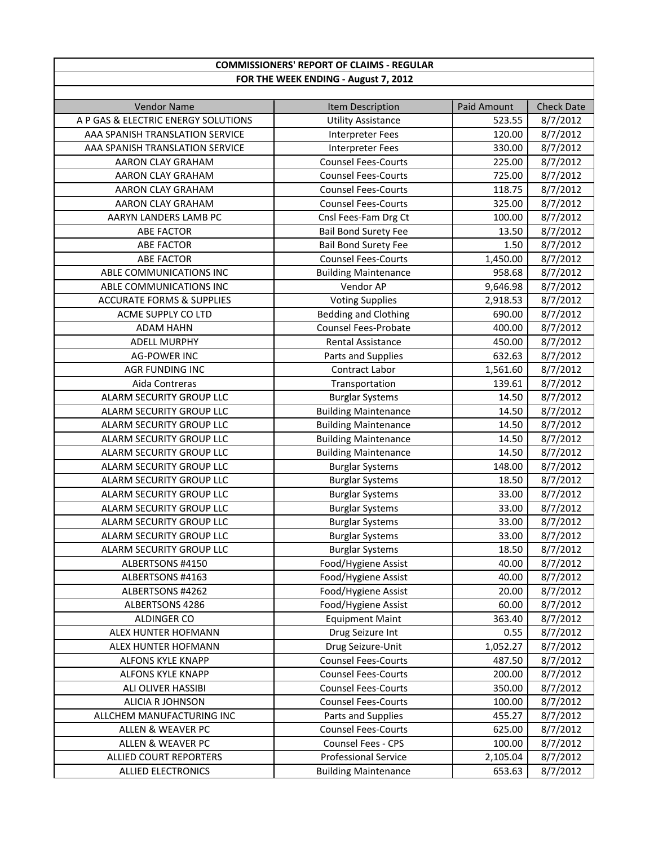| <b>COMMISSIONERS' REPORT OF CLAIMS - REGULAR</b> |                                      |             |                   |  |
|--------------------------------------------------|--------------------------------------|-------------|-------------------|--|
|                                                  | FOR THE WEEK ENDING - August 7, 2012 |             |                   |  |
|                                                  |                                      |             |                   |  |
| <b>Vendor Name</b>                               | Item Description                     | Paid Amount | <b>Check Date</b> |  |
| A P GAS & ELECTRIC ENERGY SOLUTIONS              | <b>Utility Assistance</b>            | 523.55      | 8/7/2012          |  |
| AAA SPANISH TRANSLATION SERVICE                  | <b>Interpreter Fees</b>              | 120.00      | 8/7/2012          |  |
| AAA SPANISH TRANSLATION SERVICE                  | <b>Interpreter Fees</b>              | 330.00      | 8/7/2012          |  |
| AARON CLAY GRAHAM                                | <b>Counsel Fees-Courts</b>           | 225.00      | 8/7/2012          |  |
| AARON CLAY GRAHAM                                | <b>Counsel Fees-Courts</b>           | 725.00      | 8/7/2012          |  |
| AARON CLAY GRAHAM                                | <b>Counsel Fees-Courts</b>           | 118.75      | 8/7/2012          |  |
| AARON CLAY GRAHAM                                | <b>Counsel Fees-Courts</b>           | 325.00      | 8/7/2012          |  |
| AARYN LANDERS LAMB PC                            | Cnsl Fees-Fam Drg Ct                 | 100.00      | 8/7/2012          |  |
| <b>ABE FACTOR</b>                                | <b>Bail Bond Surety Fee</b>          | 13.50       | 8/7/2012          |  |
| <b>ABE FACTOR</b>                                | <b>Bail Bond Surety Fee</b>          | 1.50        | 8/7/2012          |  |
| <b>ABE FACTOR</b>                                | <b>Counsel Fees-Courts</b>           | 1,450.00    | 8/7/2012          |  |
| ABLE COMMUNICATIONS INC                          | <b>Building Maintenance</b>          | 958.68      | 8/7/2012          |  |
| ABLE COMMUNICATIONS INC                          | Vendor AP                            | 9,646.98    | 8/7/2012          |  |
| <b>ACCURATE FORMS &amp; SUPPLIES</b>             | <b>Voting Supplies</b>               | 2,918.53    | 8/7/2012          |  |
| ACME SUPPLY CO LTD                               | <b>Bedding and Clothing</b>          | 690.00      | 8/7/2012          |  |
| <b>ADAM HAHN</b>                                 | <b>Counsel Fees-Probate</b>          | 400.00      | 8/7/2012          |  |
| <b>ADELL MURPHY</b>                              | Rental Assistance                    | 450.00      | 8/7/2012          |  |
| <b>AG-POWER INC</b>                              | Parts and Supplies                   | 632.63      | 8/7/2012          |  |
| <b>AGR FUNDING INC</b>                           | <b>Contract Labor</b>                | 1,561.60    | 8/7/2012          |  |
| Aida Contreras                                   | Transportation                       | 139.61      | 8/7/2012          |  |
| ALARM SECURITY GROUP LLC                         | <b>Burglar Systems</b>               | 14.50       | 8/7/2012          |  |
| ALARM SECURITY GROUP LLC                         | <b>Building Maintenance</b>          | 14.50       | 8/7/2012          |  |
| ALARM SECURITY GROUP LLC                         | <b>Building Maintenance</b>          | 14.50       | 8/7/2012          |  |
| ALARM SECURITY GROUP LLC                         | <b>Building Maintenance</b>          | 14.50       | 8/7/2012          |  |
| ALARM SECURITY GROUP LLC                         | <b>Building Maintenance</b>          | 14.50       | 8/7/2012          |  |
| ALARM SECURITY GROUP LLC                         | <b>Burglar Systems</b>               | 148.00      | 8/7/2012          |  |
| ALARM SECURITY GROUP LLC                         | <b>Burglar Systems</b>               | 18.50       | 8/7/2012          |  |
| ALARM SECURITY GROUP LLC                         | <b>Burglar Systems</b>               | 33.00       | 8/7/2012          |  |
| ALARM SECURITY GROUP LLC                         | <b>Burglar Systems</b>               | 33.00       | 8/7/2012          |  |
| ALARM SECURITY GROUP LLC                         | <b>Burglar Systems</b>               | 33.00       | 8/7/2012          |  |
| ALARM SECURITY GROUP LLC                         | <b>Burglar Systems</b>               | 33.00       | 8/7/2012          |  |
| ALARM SECURITY GROUP LLC                         | <b>Burglar Systems</b>               | 18.50       | 8/7/2012          |  |
| ALBERTSONS #4150                                 | Food/Hygiene Assist                  | 40.00       | 8/7/2012          |  |
| ALBERTSONS #4163                                 | Food/Hygiene Assist                  | 40.00       | 8/7/2012          |  |
| ALBERTSONS #4262                                 | Food/Hygiene Assist                  | 20.00       | 8/7/2012          |  |
| ALBERTSONS 4286                                  | Food/Hygiene Assist                  | 60.00       | 8/7/2012          |  |
| <b>ALDINGER CO</b>                               | <b>Equipment Maint</b>               | 363.40      | 8/7/2012          |  |
| ALEX HUNTER HOFMANN                              | Drug Seizure Int                     | 0.55        | 8/7/2012          |  |
| ALEX HUNTER HOFMANN                              | Drug Seizure-Unit                    | 1,052.27    | 8/7/2012          |  |
| <b>ALFONS KYLE KNAPP</b>                         | <b>Counsel Fees-Courts</b>           | 487.50      | 8/7/2012          |  |
| ALFONS KYLE KNAPP                                | <b>Counsel Fees-Courts</b>           | 200.00      | 8/7/2012          |  |
| ALI OLIVER HASSIBI                               | <b>Counsel Fees-Courts</b>           | 350.00      | 8/7/2012          |  |
| ALICIA R JOHNSON                                 | <b>Counsel Fees-Courts</b>           | 100.00      | 8/7/2012          |  |
| ALLCHEM MANUFACTURING INC                        | Parts and Supplies                   | 455.27      | 8/7/2012          |  |
| ALLEN & WEAVER PC                                | <b>Counsel Fees-Courts</b>           | 625.00      | 8/7/2012          |  |
| <b>ALLEN &amp; WEAVER PC</b>                     | Counsel Fees - CPS                   | 100.00      | 8/7/2012          |  |
| ALLIED COURT REPORTERS                           | <b>Professional Service</b>          | 2,105.04    | 8/7/2012          |  |
| <b>ALLIED ELECTRONICS</b>                        | <b>Building Maintenance</b>          | 653.63      | 8/7/2012          |  |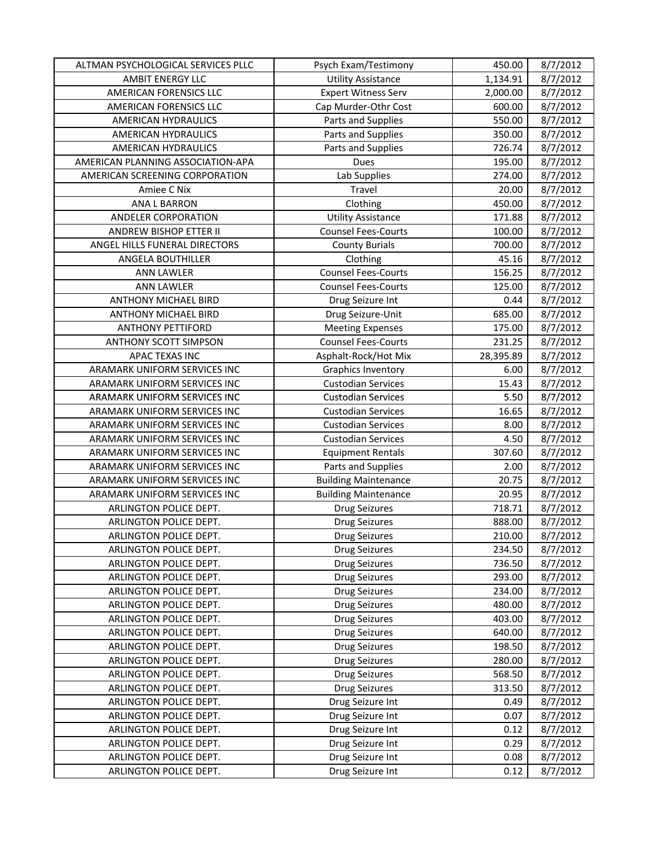| ALTMAN PSYCHOLOGICAL SERVICES PLLC | Psych Exam/Testimony        | 450.00    | 8/7/2012 |
|------------------------------------|-----------------------------|-----------|----------|
| AMBIT ENERGY LLC                   | <b>Utility Assistance</b>   | 1,134.91  | 8/7/2012 |
| AMERICAN FORENSICS LLC             | <b>Expert Witness Serv</b>  | 2,000.00  | 8/7/2012 |
| AMERICAN FORENSICS LLC             | Cap Murder-Othr Cost        | 600.00    | 8/7/2012 |
| AMERICAN HYDRAULICS                | Parts and Supplies          | 550.00    | 8/7/2012 |
| <b>AMERICAN HYDRAULICS</b>         | Parts and Supplies          | 350.00    | 8/7/2012 |
| AMERICAN HYDRAULICS                | Parts and Supplies          | 726.74    | 8/7/2012 |
| AMERICAN PLANNING ASSOCIATION-APA  | Dues                        | 195.00    | 8/7/2012 |
| AMERICAN SCREENING CORPORATION     | Lab Supplies                | 274.00    | 8/7/2012 |
| Amiee C Nix                        | Travel                      | 20.00     | 8/7/2012 |
| <b>ANA L BARRON</b>                | Clothing                    | 450.00    | 8/7/2012 |
| ANDELER CORPORATION                | <b>Utility Assistance</b>   | 171.88    | 8/7/2012 |
| <b>ANDREW BISHOP ETTER II</b>      | <b>Counsel Fees-Courts</b>  | 100.00    | 8/7/2012 |
| ANGEL HILLS FUNERAL DIRECTORS      | <b>County Burials</b>       | 700.00    | 8/7/2012 |
| ANGELA BOUTHILLER                  | Clothing                    | 45.16     | 8/7/2012 |
| <b>ANN LAWLER</b>                  | <b>Counsel Fees-Courts</b>  | 156.25    | 8/7/2012 |
| <b>ANN LAWLER</b>                  | <b>Counsel Fees-Courts</b>  | 125.00    | 8/7/2012 |
| <b>ANTHONY MICHAEL BIRD</b>        | Drug Seizure Int            | 0.44      | 8/7/2012 |
| ANTHONY MICHAEL BIRD               | Drug Seizure-Unit           | 685.00    | 8/7/2012 |
| <b>ANTHONY PETTIFORD</b>           | <b>Meeting Expenses</b>     | 175.00    | 8/7/2012 |
| <b>ANTHONY SCOTT SIMPSON</b>       | <b>Counsel Fees-Courts</b>  | 231.25    | 8/7/2012 |
| <b>APAC TEXAS INC</b>              | Asphalt-Rock/Hot Mix        | 28,395.89 | 8/7/2012 |
| ARAMARK UNIFORM SERVICES INC       | Graphics Inventory          | 6.00      | 8/7/2012 |
| ARAMARK UNIFORM SERVICES INC       | <b>Custodian Services</b>   | 15.43     | 8/7/2012 |
| ARAMARK UNIFORM SERVICES INC       | <b>Custodian Services</b>   | 5.50      | 8/7/2012 |
| ARAMARK UNIFORM SERVICES INC       | <b>Custodian Services</b>   | 16.65     | 8/7/2012 |
| ARAMARK UNIFORM SERVICES INC       | <b>Custodian Services</b>   | 8.00      | 8/7/2012 |
| ARAMARK UNIFORM SERVICES INC       | <b>Custodian Services</b>   | 4.50      | 8/7/2012 |
| ARAMARK UNIFORM SERVICES INC       | <b>Equipment Rentals</b>    | 307.60    | 8/7/2012 |
| ARAMARK UNIFORM SERVICES INC       | Parts and Supplies          | 2.00      | 8/7/2012 |
| ARAMARK UNIFORM SERVICES INC       | <b>Building Maintenance</b> | 20.75     | 8/7/2012 |
| ARAMARK UNIFORM SERVICES INC       | <b>Building Maintenance</b> | 20.95     | 8/7/2012 |
| ARLINGTON POLICE DEPT.             | <b>Drug Seizures</b>        | 718.71    | 8/7/2012 |
| ARLINGTON POLICE DEPT.             | <b>Drug Seizures</b>        | 888.00    | 8/7/2012 |
| ARLINGTON POLICE DEPT.             | Drug Seizures               | 210.00    | 8/7/2012 |
| ARLINGTON POLICE DEPT.             | <b>Drug Seizures</b>        | 234.50    | 8/7/2012 |
| ARLINGTON POLICE DEPT.             | Drug Seizures               | 736.50    | 8/7/2012 |
| ARLINGTON POLICE DEPT.             | <b>Drug Seizures</b>        | 293.00    | 8/7/2012 |
| ARLINGTON POLICE DEPT.             | <b>Drug Seizures</b>        | 234.00    | 8/7/2012 |
| ARLINGTON POLICE DEPT.             | <b>Drug Seizures</b>        | 480.00    | 8/7/2012 |
| ARLINGTON POLICE DEPT.             | <b>Drug Seizures</b>        | 403.00    | 8/7/2012 |
| ARLINGTON POLICE DEPT.             | <b>Drug Seizures</b>        | 640.00    | 8/7/2012 |
| ARLINGTON POLICE DEPT.             | <b>Drug Seizures</b>        | 198.50    | 8/7/2012 |
| ARLINGTON POLICE DEPT.             | <b>Drug Seizures</b>        | 280.00    | 8/7/2012 |
| ARLINGTON POLICE DEPT.             | <b>Drug Seizures</b>        | 568.50    | 8/7/2012 |
| ARLINGTON POLICE DEPT.             | <b>Drug Seizures</b>        | 313.50    | 8/7/2012 |
| ARLINGTON POLICE DEPT.             | Drug Seizure Int            | 0.49      | 8/7/2012 |
| ARLINGTON POLICE DEPT.             | Drug Seizure Int            | 0.07      | 8/7/2012 |
| ARLINGTON POLICE DEPT.             | Drug Seizure Int            | 0.12      | 8/7/2012 |
| ARLINGTON POLICE DEPT.             | Drug Seizure Int            | 0.29      | 8/7/2012 |
| ARLINGTON POLICE DEPT.             | Drug Seizure Int            | 0.08      | 8/7/2012 |
| ARLINGTON POLICE DEPT.             | Drug Seizure Int            | 0.12      | 8/7/2012 |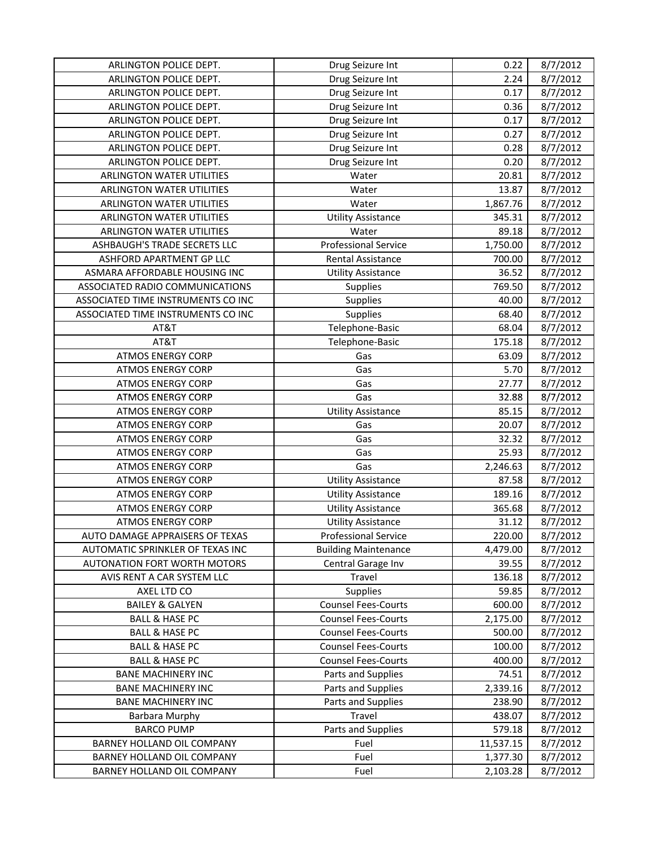| ARLINGTON POLICE DEPT.              | Drug Seizure Int            | 0.22      | 8/7/2012 |
|-------------------------------------|-----------------------------|-----------|----------|
| ARLINGTON POLICE DEPT.              | Drug Seizure Int            | 2.24      | 8/7/2012 |
| ARLINGTON POLICE DEPT.              | Drug Seizure Int            | 0.17      | 8/7/2012 |
| ARLINGTON POLICE DEPT.              | Drug Seizure Int            | 0.36      | 8/7/2012 |
| ARLINGTON POLICE DEPT.              | Drug Seizure Int            | 0.17      | 8/7/2012 |
| ARLINGTON POLICE DEPT.              | Drug Seizure Int            | 0.27      | 8/7/2012 |
| ARLINGTON POLICE DEPT.              | Drug Seizure Int            | 0.28      | 8/7/2012 |
| ARLINGTON POLICE DEPT.              | Drug Seizure Int            | 0.20      | 8/7/2012 |
| <b>ARLINGTON WATER UTILITIES</b>    | Water                       | 20.81     | 8/7/2012 |
| ARLINGTON WATER UTILITIES           | Water                       | 13.87     | 8/7/2012 |
| <b>ARLINGTON WATER UTILITIES</b>    | Water                       | 1,867.76  | 8/7/2012 |
| ARLINGTON WATER UTILITIES           | <b>Utility Assistance</b>   | 345.31    | 8/7/2012 |
| ARLINGTON WATER UTILITIES           | Water                       | 89.18     | 8/7/2012 |
| ASHBAUGH'S TRADE SECRETS LLC        | <b>Professional Service</b> | 1,750.00  | 8/7/2012 |
| ASHFORD APARTMENT GP LLC            | Rental Assistance           | 700.00    | 8/7/2012 |
| ASMARA AFFORDABLE HOUSING INC       | <b>Utility Assistance</b>   | 36.52     | 8/7/2012 |
| ASSOCIATED RADIO COMMUNICATIONS     | Supplies                    | 769.50    | 8/7/2012 |
| ASSOCIATED TIME INSTRUMENTS CO INC  | Supplies                    | 40.00     | 8/7/2012 |
| ASSOCIATED TIME INSTRUMENTS CO INC  | <b>Supplies</b>             | 68.40     | 8/7/2012 |
| AT&T                                | Telephone-Basic             | 68.04     | 8/7/2012 |
| AT&T                                | Telephone-Basic             | 175.18    | 8/7/2012 |
| <b>ATMOS ENERGY CORP</b>            | Gas                         | 63.09     | 8/7/2012 |
| <b>ATMOS ENERGY CORP</b>            | Gas                         | 5.70      | 8/7/2012 |
| <b>ATMOS ENERGY CORP</b>            | Gas                         | 27.77     | 8/7/2012 |
| <b>ATMOS ENERGY CORP</b>            | Gas                         | 32.88     | 8/7/2012 |
| <b>ATMOS ENERGY CORP</b>            | <b>Utility Assistance</b>   | 85.15     | 8/7/2012 |
| <b>ATMOS ENERGY CORP</b>            | Gas                         | 20.07     | 8/7/2012 |
| <b>ATMOS ENERGY CORP</b>            | Gas                         | 32.32     | 8/7/2012 |
| <b>ATMOS ENERGY CORP</b>            | Gas                         | 25.93     | 8/7/2012 |
| <b>ATMOS ENERGY CORP</b>            | Gas                         | 2,246.63  | 8/7/2012 |
| <b>ATMOS ENERGY CORP</b>            | <b>Utility Assistance</b>   | 87.58     | 8/7/2012 |
| <b>ATMOS ENERGY CORP</b>            | <b>Utility Assistance</b>   | 189.16    | 8/7/2012 |
| <b>ATMOS ENERGY CORP</b>            | <b>Utility Assistance</b>   | 365.68    | 8/7/2012 |
| <b>ATMOS ENERGY CORP</b>            | <b>Utility Assistance</b>   | 31.12     | 8/7/2012 |
| AUTO DAMAGE APPRAISERS OF TEXAS     | <b>Professional Service</b> | 220.00    | 8/7/2012 |
| AUTOMATIC SPRINKLER OF TEXAS INC    | <b>Building Maintenance</b> | 4,479.00  | 8/7/2012 |
| <b>AUTONATION FORT WORTH MOTORS</b> | Central Garage Inv          | 39.55     | 8/7/2012 |
| AVIS RENT A CAR SYSTEM LLC          | Travel                      | 136.18    | 8/7/2012 |
| AXEL LTD CO                         | Supplies                    | 59.85     | 8/7/2012 |
| <b>BAILEY &amp; GALYEN</b>          | <b>Counsel Fees-Courts</b>  | 600.00    | 8/7/2012 |
| <b>BALL &amp; HASE PC</b>           | <b>Counsel Fees-Courts</b>  | 2,175.00  | 8/7/2012 |
| <b>BALL &amp; HASE PC</b>           | <b>Counsel Fees-Courts</b>  | 500.00    | 8/7/2012 |
| <b>BALL &amp; HASE PC</b>           | <b>Counsel Fees-Courts</b>  | 100.00    | 8/7/2012 |
| <b>BALL &amp; HASE PC</b>           | <b>Counsel Fees-Courts</b>  | 400.00    | 8/7/2012 |
| <b>BANE MACHINERY INC</b>           | Parts and Supplies          | 74.51     | 8/7/2012 |
| <b>BANE MACHINERY INC</b>           | Parts and Supplies          | 2,339.16  | 8/7/2012 |
| <b>BANE MACHINERY INC</b>           | Parts and Supplies          | 238.90    | 8/7/2012 |
| Barbara Murphy                      | Travel                      | 438.07    | 8/7/2012 |
| <b>BARCO PUMP</b>                   | Parts and Supplies          | 579.18    | 8/7/2012 |
| BARNEY HOLLAND OIL COMPANY          | Fuel                        | 11,537.15 | 8/7/2012 |
| BARNEY HOLLAND OIL COMPANY          | Fuel                        | 1,377.30  | 8/7/2012 |
| BARNEY HOLLAND OIL COMPANY          | Fuel                        | 2,103.28  | 8/7/2012 |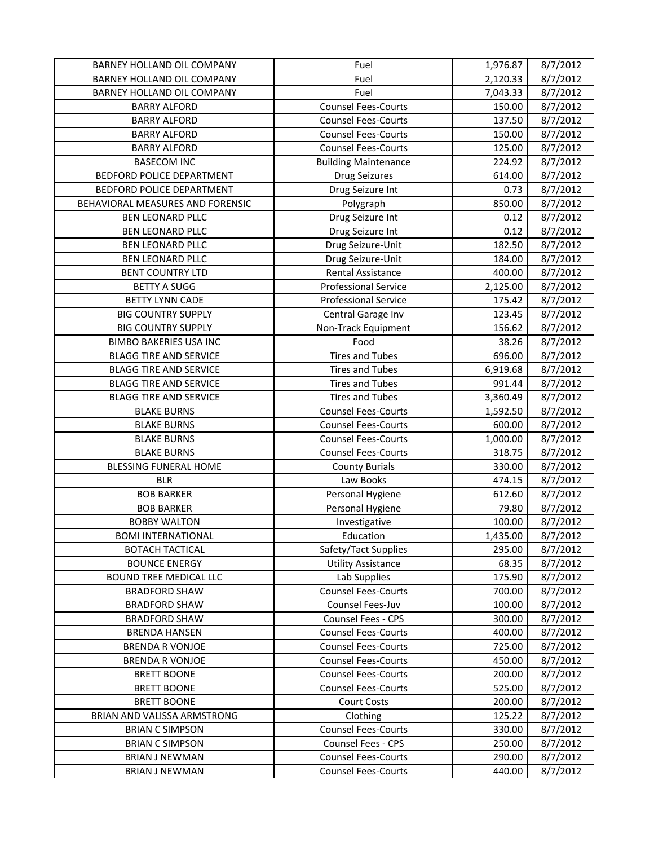| BARNEY HOLLAND OIL COMPANY       | Fuel                        | 1,976.87 | 8/7/2012 |
|----------------------------------|-----------------------------|----------|----------|
| BARNEY HOLLAND OIL COMPANY       | Fuel                        | 2,120.33 | 8/7/2012 |
| BARNEY HOLLAND OIL COMPANY       | Fuel                        | 7,043.33 | 8/7/2012 |
| <b>BARRY ALFORD</b>              | <b>Counsel Fees-Courts</b>  | 150.00   | 8/7/2012 |
| <b>BARRY ALFORD</b>              | <b>Counsel Fees-Courts</b>  | 137.50   | 8/7/2012 |
| <b>BARRY ALFORD</b>              | <b>Counsel Fees-Courts</b>  | 150.00   | 8/7/2012 |
| <b>BARRY ALFORD</b>              | <b>Counsel Fees-Courts</b>  | 125.00   | 8/7/2012 |
| <b>BASECOM INC</b>               | <b>Building Maintenance</b> | 224.92   | 8/7/2012 |
| BEDFORD POLICE DEPARTMENT        | <b>Drug Seizures</b>        | 614.00   | 8/7/2012 |
| BEDFORD POLICE DEPARTMENT        | Drug Seizure Int            | 0.73     | 8/7/2012 |
| BEHAVIORAL MEASURES AND FORENSIC | Polygraph                   | 850.00   | 8/7/2012 |
| <b>BEN LEONARD PLLC</b>          | Drug Seizure Int            | 0.12     | 8/7/2012 |
| <b>BEN LEONARD PLLC</b>          | Drug Seizure Int            | 0.12     | 8/7/2012 |
| <b>BEN LEONARD PLLC</b>          | Drug Seizure-Unit           | 182.50   | 8/7/2012 |
| <b>BEN LEONARD PLLC</b>          | Drug Seizure-Unit           | 184.00   | 8/7/2012 |
| <b>BENT COUNTRY LTD</b>          | <b>Rental Assistance</b>    | 400.00   | 8/7/2012 |
| <b>BETTY A SUGG</b>              | <b>Professional Service</b> | 2,125.00 | 8/7/2012 |
| <b>BETTY LYNN CADE</b>           | <b>Professional Service</b> | 175.42   | 8/7/2012 |
| <b>BIG COUNTRY SUPPLY</b>        | Central Garage Inv          | 123.45   | 8/7/2012 |
| <b>BIG COUNTRY SUPPLY</b>        | Non-Track Equipment         | 156.62   | 8/7/2012 |
| <b>BIMBO BAKERIES USA INC</b>    | Food                        | 38.26    | 8/7/2012 |
| <b>BLAGG TIRE AND SERVICE</b>    | <b>Tires and Tubes</b>      | 696.00   | 8/7/2012 |
| <b>BLAGG TIRE AND SERVICE</b>    | <b>Tires and Tubes</b>      | 6,919.68 | 8/7/2012 |
| <b>BLAGG TIRE AND SERVICE</b>    | <b>Tires and Tubes</b>      | 991.44   | 8/7/2012 |
| <b>BLAGG TIRE AND SERVICE</b>    | <b>Tires and Tubes</b>      | 3,360.49 | 8/7/2012 |
| <b>BLAKE BURNS</b>               | <b>Counsel Fees-Courts</b>  | 1,592.50 | 8/7/2012 |
| <b>BLAKE BURNS</b>               | <b>Counsel Fees-Courts</b>  | 600.00   | 8/7/2012 |
| <b>BLAKE BURNS</b>               | <b>Counsel Fees-Courts</b>  | 1,000.00 | 8/7/2012 |
| <b>BLAKE BURNS</b>               | <b>Counsel Fees-Courts</b>  | 318.75   | 8/7/2012 |
| BLESSING FUNERAL HOME            | <b>County Burials</b>       | 330.00   | 8/7/2012 |
| <b>BLR</b>                       | Law Books                   | 474.15   | 8/7/2012 |
| <b>BOB BARKER</b>                | Personal Hygiene            | 612.60   | 8/7/2012 |
| <b>BOB BARKER</b>                | Personal Hygiene            | 79.80    | 8/7/2012 |
| <b>BOBBY WALTON</b>              | Investigative               | 100.00   | 8/7/2012 |
| <b>BOMI INTERNATIONAL</b>        | Education                   | 1,435.00 | 8/7/2012 |
| <b>BOTACH TACTICAL</b>           | Safety/Tact Supplies        | 295.00   | 8/7/2012 |
| <b>BOUNCE ENERGY</b>             | <b>Utility Assistance</b>   | 68.35    | 8/7/2012 |
| <b>BOUND TREE MEDICAL LLC</b>    | Lab Supplies                | 175.90   | 8/7/2012 |
| <b>BRADFORD SHAW</b>             | <b>Counsel Fees-Courts</b>  | 700.00   | 8/7/2012 |
| <b>BRADFORD SHAW</b>             | Counsel Fees-Juv            | 100.00   | 8/7/2012 |
| <b>BRADFORD SHAW</b>             | Counsel Fees - CPS          | 300.00   | 8/7/2012 |
| <b>BRENDA HANSEN</b>             | <b>Counsel Fees-Courts</b>  | 400.00   | 8/7/2012 |
| <b>BRENDA R VONJOE</b>           | <b>Counsel Fees-Courts</b>  | 725.00   | 8/7/2012 |
| <b>BRENDA R VONJOE</b>           | <b>Counsel Fees-Courts</b>  | 450.00   | 8/7/2012 |
| <b>BRETT BOONE</b>               | <b>Counsel Fees-Courts</b>  | 200.00   | 8/7/2012 |
| <b>BRETT BOONE</b>               | <b>Counsel Fees-Courts</b>  | 525.00   | 8/7/2012 |
| <b>BRETT BOONE</b>               | <b>Court Costs</b>          | 200.00   | 8/7/2012 |
| BRIAN AND VALISSA ARMSTRONG      | Clothing                    | 125.22   | 8/7/2012 |
| <b>BRIAN C SIMPSON</b>           | <b>Counsel Fees-Courts</b>  | 330.00   | 8/7/2012 |
| <b>BRIAN C SIMPSON</b>           | Counsel Fees - CPS          | 250.00   | 8/7/2012 |
| <b>BRIAN J NEWMAN</b>            | <b>Counsel Fees-Courts</b>  | 290.00   | 8/7/2012 |
| <b>BRIAN J NEWMAN</b>            | <b>Counsel Fees-Courts</b>  | 440.00   | 8/7/2012 |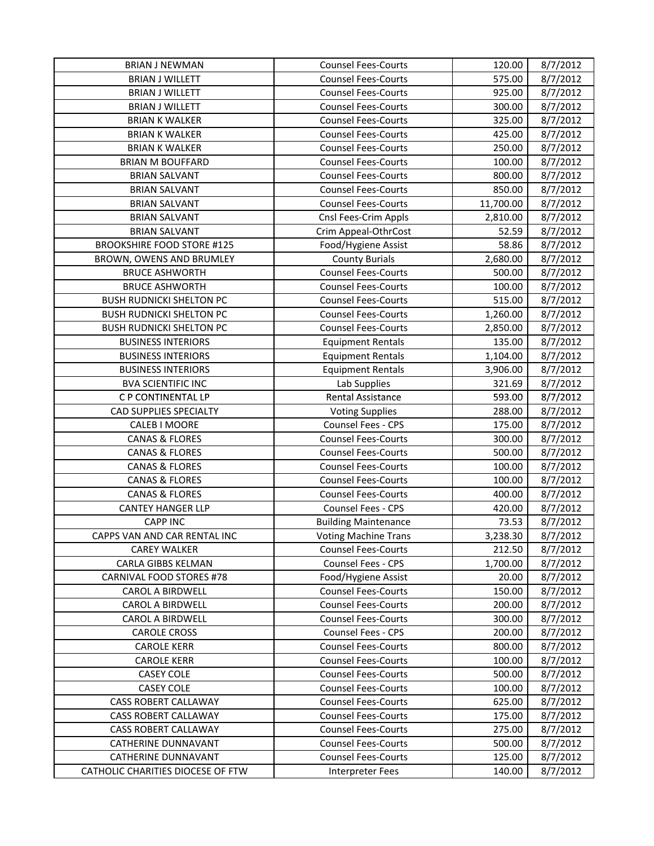| <b>BRIAN J NEWMAN</b>                             | <b>Counsel Fees-Courts</b>                               | 120.00           | 8/7/2012             |
|---------------------------------------------------|----------------------------------------------------------|------------------|----------------------|
| <b>BRIAN J WILLETT</b>                            | <b>Counsel Fees-Courts</b>                               | 575.00           | 8/7/2012             |
| <b>BRIAN J WILLETT</b>                            | <b>Counsel Fees-Courts</b>                               | 925.00           | 8/7/2012             |
| <b>BRIAN J WILLETT</b>                            | <b>Counsel Fees-Courts</b>                               | 300.00           | 8/7/2012             |
| <b>BRIAN K WALKER</b>                             | <b>Counsel Fees-Courts</b>                               | 325.00           | 8/7/2012             |
| <b>BRIAN K WALKER</b>                             | <b>Counsel Fees-Courts</b>                               | 425.00           | 8/7/2012             |
| <b>BRIAN K WALKER</b>                             | <b>Counsel Fees-Courts</b>                               | 250.00           | 8/7/2012             |
| <b>BRIAN M BOUFFARD</b>                           | <b>Counsel Fees-Courts</b>                               | 100.00           | 8/7/2012             |
| <b>BRIAN SALVANT</b>                              | <b>Counsel Fees-Courts</b>                               | 800.00           | 8/7/2012             |
| <b>BRIAN SALVANT</b>                              | <b>Counsel Fees-Courts</b>                               | 850.00           | 8/7/2012             |
| <b>BRIAN SALVANT</b>                              | <b>Counsel Fees-Courts</b>                               | 11,700.00        | 8/7/2012             |
| <b>BRIAN SALVANT</b>                              | Cnsl Fees-Crim Appls                                     | 2,810.00         | 8/7/2012             |
| <b>BRIAN SALVANT</b>                              | Crim Appeal-OthrCost                                     | 52.59            | 8/7/2012             |
| <b>BROOKSHIRE FOOD STORE #125</b>                 | Food/Hygiene Assist                                      | 58.86            | 8/7/2012             |
| BROWN, OWENS AND BRUMLEY                          | <b>County Burials</b>                                    | 2,680.00         | 8/7/2012             |
| <b>BRUCE ASHWORTH</b>                             | <b>Counsel Fees-Courts</b>                               | 500.00           | 8/7/2012             |
| <b>BRUCE ASHWORTH</b>                             | <b>Counsel Fees-Courts</b>                               | 100.00           | 8/7/2012             |
| <b>BUSH RUDNICKI SHELTON PC</b>                   | <b>Counsel Fees-Courts</b>                               | 515.00           | 8/7/2012             |
| <b>BUSH RUDNICKI SHELTON PC</b>                   | <b>Counsel Fees-Courts</b>                               | 1,260.00         | 8/7/2012             |
| <b>BUSH RUDNICKI SHELTON PC</b>                   | <b>Counsel Fees-Courts</b>                               | 2,850.00         | 8/7/2012             |
| <b>BUSINESS INTERIORS</b>                         | <b>Equipment Rentals</b>                                 | 135.00           | 8/7/2012             |
| <b>BUSINESS INTERIORS</b>                         | <b>Equipment Rentals</b>                                 | 1,104.00         | 8/7/2012             |
| <b>BUSINESS INTERIORS</b>                         | <b>Equipment Rentals</b>                                 | 3,906.00         | 8/7/2012             |
| <b>BVA SCIENTIFIC INC</b>                         | Lab Supplies                                             | 321.69           | 8/7/2012             |
| C P CONTINENTAL LP                                | <b>Rental Assistance</b>                                 | 593.00           | 8/7/2012             |
| <b>CAD SUPPLIES SPECIALTY</b>                     | <b>Voting Supplies</b>                                   | 288.00           | 8/7/2012             |
| CALEB I MOORE                                     | Counsel Fees - CPS                                       | 175.00           | 8/7/2012             |
| <b>CANAS &amp; FLORES</b>                         | <b>Counsel Fees-Courts</b>                               | 300.00           | 8/7/2012             |
| <b>CANAS &amp; FLORES</b>                         | <b>Counsel Fees-Courts</b>                               | 500.00           | 8/7/2012             |
| <b>CANAS &amp; FLORES</b>                         | <b>Counsel Fees-Courts</b>                               | 100.00           | 8/7/2012             |
| <b>CANAS &amp; FLORES</b>                         | <b>Counsel Fees-Courts</b>                               | 100.00           | 8/7/2012             |
| <b>CANAS &amp; FLORES</b>                         | <b>Counsel Fees-Courts</b>                               | 400.00           | 8/7/2012             |
| <b>CANTEY HANGER LLP</b>                          | Counsel Fees - CPS                                       | 420.00           | 8/7/2012             |
| <b>CAPP INC</b>                                   | <b>Building Maintenance</b>                              | 73.53            | 8/7/2012             |
| CAPPS VAN AND CAR RENTAL INC                      | <b>Voting Machine Trans</b>                              | 3,238.30         | 8/7/2012             |
| <b>CAREY WALKER</b>                               | <b>Counsel Fees-Courts</b>                               | 212.50           | 8/7/2012             |
| CARLA GIBBS KELMAN                                | Counsel Fees - CPS                                       | 1,700.00         | 8/7/2012             |
| <b>CARNIVAL FOOD STORES #78</b>                   | Food/Hygiene Assist                                      | 20.00            | 8/7/2012             |
| <b>CAROL A BIRDWELL</b>                           | <b>Counsel Fees-Courts</b>                               | 150.00           | 8/7/2012             |
| <b>CAROL A BIRDWELL</b>                           | <b>Counsel Fees-Courts</b>                               | 200.00           | 8/7/2012             |
| <b>CAROL A BIRDWELL</b>                           | <b>Counsel Fees-Courts</b>                               | 300.00           | 8/7/2012             |
| <b>CAROLE CROSS</b>                               | Counsel Fees - CPS                                       | 200.00           | 8/7/2012             |
| <b>CAROLE KERR</b>                                | <b>Counsel Fees-Courts</b>                               | 800.00           | 8/7/2012             |
| <b>CAROLE KERR</b>                                | <b>Counsel Fees-Courts</b>                               | 100.00           | 8/7/2012             |
| <b>CASEY COLE</b>                                 | <b>Counsel Fees-Courts</b>                               | 500.00           | 8/7/2012             |
| <b>CASEY COLE</b>                                 | <b>Counsel Fees-Courts</b>                               | 100.00           | 8/7/2012             |
| <b>CASS ROBERT CALLAWAY</b>                       | <b>Counsel Fees-Courts</b>                               | 625.00           | 8/7/2012             |
| <b>CASS ROBERT CALLAWAY</b>                       | <b>Counsel Fees-Courts</b>                               | 175.00           | 8/7/2012             |
| <b>CASS ROBERT CALLAWAY</b>                       | <b>Counsel Fees-Courts</b>                               | 275.00           | 8/7/2012             |
| <b>CATHERINE DUNNAVANT</b><br>CATHERINE DUNNAVANT | <b>Counsel Fees-Courts</b><br><b>Counsel Fees-Courts</b> | 500.00<br>125.00 | 8/7/2012<br>8/7/2012 |
| CATHOLIC CHARITIES DIOCESE OF FTW                 |                                                          |                  |                      |
|                                                   | <b>Interpreter Fees</b>                                  | 140.00           | 8/7/2012             |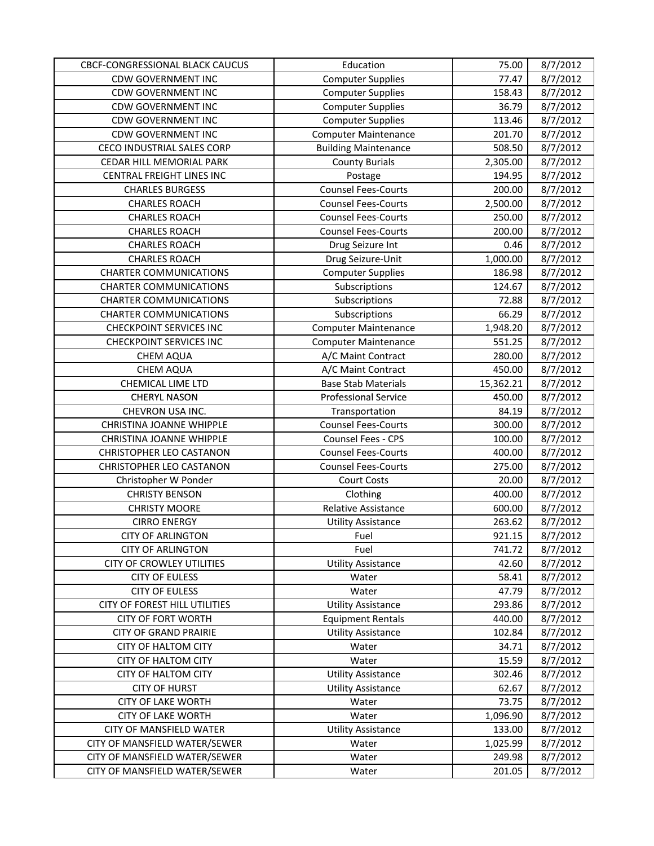| CBCF-CONGRESSIONAL BLACK CAUCUS | Education                   | 75.00     | 8/7/2012 |
|---------------------------------|-----------------------------|-----------|----------|
| <b>CDW GOVERNMENT INC</b>       | <b>Computer Supplies</b>    | 77.47     | 8/7/2012 |
| <b>CDW GOVERNMENT INC</b>       | <b>Computer Supplies</b>    | 158.43    | 8/7/2012 |
| <b>CDW GOVERNMENT INC</b>       | <b>Computer Supplies</b>    | 36.79     | 8/7/2012 |
| <b>CDW GOVERNMENT INC</b>       | <b>Computer Supplies</b>    | 113.46    | 8/7/2012 |
| <b>CDW GOVERNMENT INC</b>       | <b>Computer Maintenance</b> | 201.70    | 8/7/2012 |
| CECO INDUSTRIAL SALES CORP      | <b>Building Maintenance</b> | 508.50    | 8/7/2012 |
| CEDAR HILL MEMORIAL PARK        | <b>County Burials</b>       | 2,305.00  | 8/7/2012 |
| CENTRAL FREIGHT LINES INC       | Postage                     | 194.95    | 8/7/2012 |
| <b>CHARLES BURGESS</b>          | <b>Counsel Fees-Courts</b>  | 200.00    | 8/7/2012 |
| <b>CHARLES ROACH</b>            | <b>Counsel Fees-Courts</b>  | 2,500.00  | 8/7/2012 |
| <b>CHARLES ROACH</b>            | <b>Counsel Fees-Courts</b>  | 250.00    | 8/7/2012 |
| <b>CHARLES ROACH</b>            | <b>Counsel Fees-Courts</b>  | 200.00    | 8/7/2012 |
| <b>CHARLES ROACH</b>            | Drug Seizure Int            | 0.46      | 8/7/2012 |
| <b>CHARLES ROACH</b>            | Drug Seizure-Unit           | 1,000.00  | 8/7/2012 |
| <b>CHARTER COMMUNICATIONS</b>   | <b>Computer Supplies</b>    | 186.98    | 8/7/2012 |
| <b>CHARTER COMMUNICATIONS</b>   | Subscriptions               | 124.67    | 8/7/2012 |
| <b>CHARTER COMMUNICATIONS</b>   | Subscriptions               | 72.88     | 8/7/2012 |
| <b>CHARTER COMMUNICATIONS</b>   | Subscriptions               | 66.29     | 8/7/2012 |
| <b>CHECKPOINT SERVICES INC</b>  | <b>Computer Maintenance</b> | 1,948.20  | 8/7/2012 |
| <b>CHECKPOINT SERVICES INC</b>  | <b>Computer Maintenance</b> | 551.25    | 8/7/2012 |
| <b>CHEM AQUA</b>                | A/C Maint Contract          | 280.00    | 8/7/2012 |
| <b>CHEM AQUA</b>                | A/C Maint Contract          | 450.00    | 8/7/2012 |
| CHEMICAL LIME LTD               | <b>Base Stab Materials</b>  | 15,362.21 | 8/7/2012 |
| <b>CHERYL NASON</b>             | <b>Professional Service</b> | 450.00    | 8/7/2012 |
| CHEVRON USA INC.                | Transportation              | 84.19     | 8/7/2012 |
| CHRISTINA JOANNE WHIPPLE        | <b>Counsel Fees-Courts</b>  | 300.00    | 8/7/2012 |
| CHRISTINA JOANNE WHIPPLE        | Counsel Fees - CPS          | 100.00    | 8/7/2012 |
| <b>CHRISTOPHER LEO CASTANON</b> | <b>Counsel Fees-Courts</b>  | 400.00    | 8/7/2012 |
| <b>CHRISTOPHER LEO CASTANON</b> | <b>Counsel Fees-Courts</b>  | 275.00    | 8/7/2012 |
| Christopher W Ponder            | <b>Court Costs</b>          | 20.00     | 8/7/2012 |
| <b>CHRISTY BENSON</b>           | Clothing                    | 400.00    | 8/7/2012 |
| <b>CHRISTY MOORE</b>            | Relative Assistance         | 600.00    | 8/7/2012 |
| <b>CIRRO ENERGY</b>             | <b>Utility Assistance</b>   | 263.62    | 8/7/2012 |
| <b>CITY OF ARLINGTON</b>        | Fuel                        | 921.15    | 8/7/2012 |
| <b>CITY OF ARLINGTON</b>        | Fuel                        | 741.72    | 8/7/2012 |
| CITY OF CROWLEY UTILITIES       | <b>Utility Assistance</b>   | 42.60     | 8/7/2012 |
| <b>CITY OF EULESS</b>           | Water                       | 58.41     | 8/7/2012 |
| <b>CITY OF EULESS</b>           | Water                       | 47.79     | 8/7/2012 |
| CITY OF FOREST HILL UTILITIES   | <b>Utility Assistance</b>   | 293.86    | 8/7/2012 |
| <b>CITY OF FORT WORTH</b>       | <b>Equipment Rentals</b>    | 440.00    | 8/7/2012 |
| <b>CITY OF GRAND PRAIRIE</b>    | <b>Utility Assistance</b>   | 102.84    | 8/7/2012 |
| <b>CITY OF HALTOM CITY</b>      | Water                       | 34.71     | 8/7/2012 |
| <b>CITY OF HALTOM CITY</b>      | Water                       | 15.59     | 8/7/2012 |
| <b>CITY OF HALTOM CITY</b>      | <b>Utility Assistance</b>   | 302.46    | 8/7/2012 |
| <b>CITY OF HURST</b>            | <b>Utility Assistance</b>   | 62.67     | 8/7/2012 |
| <b>CITY OF LAKE WORTH</b>       | Water                       | 73.75     | 8/7/2012 |
| <b>CITY OF LAKE WORTH</b>       | Water                       | 1,096.90  | 8/7/2012 |
| CITY OF MANSFIELD WATER         | <b>Utility Assistance</b>   | 133.00    | 8/7/2012 |
| CITY OF MANSFIELD WATER/SEWER   | Water                       | 1,025.99  | 8/7/2012 |
| CITY OF MANSFIELD WATER/SEWER   | Water                       | 249.98    | 8/7/2012 |
| CITY OF MANSFIELD WATER/SEWER   | Water                       | 201.05    | 8/7/2012 |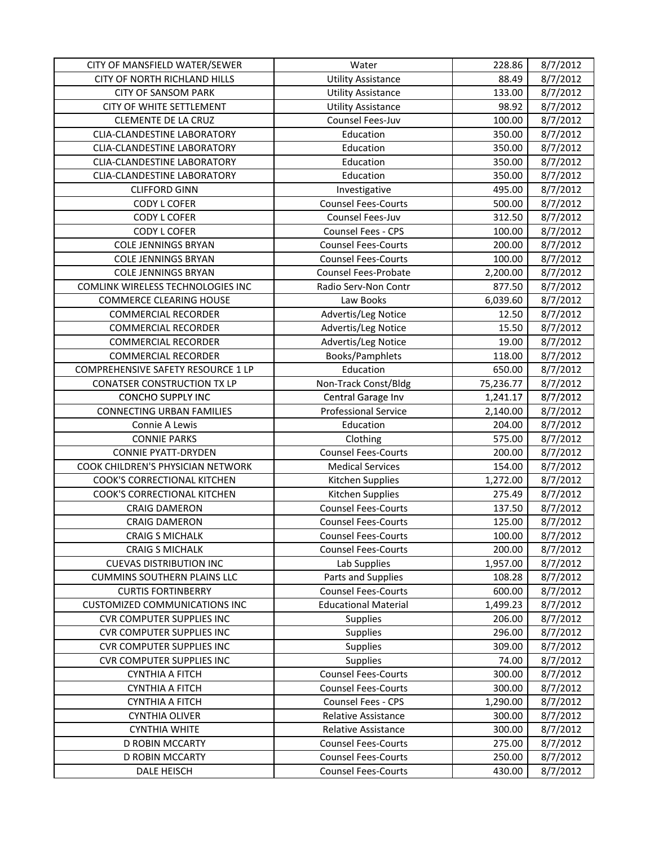| CITY OF MANSFIELD WATER/SEWER        | Water                       | 228.86    | 8/7/2012 |
|--------------------------------------|-----------------------------|-----------|----------|
| CITY OF NORTH RICHLAND HILLS         | <b>Utility Assistance</b>   | 88.49     | 8/7/2012 |
| <b>CITY OF SANSOM PARK</b>           | <b>Utility Assistance</b>   | 133.00    | 8/7/2012 |
| CITY OF WHITE SETTLEMENT             | <b>Utility Assistance</b>   | 98.92     | 8/7/2012 |
| <b>CLEMENTE DE LA CRUZ</b>           | Counsel Fees-Juv            | 100.00    | 8/7/2012 |
| <b>CLIA-CLANDESTINE LABORATORY</b>   | Education                   | 350.00    | 8/7/2012 |
| CLIA-CLANDESTINE LABORATORY          | Education                   | 350.00    | 8/7/2012 |
| <b>CLIA-CLANDESTINE LABORATORY</b>   | Education                   | 350.00    | 8/7/2012 |
| <b>CLIA-CLANDESTINE LABORATORY</b>   | Education                   | 350.00    | 8/7/2012 |
| <b>CLIFFORD GINN</b>                 | Investigative               | 495.00    | 8/7/2012 |
| CODY L COFER                         | <b>Counsel Fees-Courts</b>  | 500.00    | 8/7/2012 |
| <b>CODY L COFER</b>                  | Counsel Fees-Juv            | 312.50    | 8/7/2012 |
| <b>CODY L COFER</b>                  | Counsel Fees - CPS          | 100.00    | 8/7/2012 |
| <b>COLE JENNINGS BRYAN</b>           | <b>Counsel Fees-Courts</b>  | 200.00    | 8/7/2012 |
| <b>COLE JENNINGS BRYAN</b>           | <b>Counsel Fees-Courts</b>  | 100.00    | 8/7/2012 |
| <b>COLE JENNINGS BRYAN</b>           | <b>Counsel Fees-Probate</b> | 2,200.00  | 8/7/2012 |
| COMLINK WIRELESS TECHNOLOGIES INC    | Radio Serv-Non Contr        | 877.50    | 8/7/2012 |
| <b>COMMERCE CLEARING HOUSE</b>       | Law Books                   | 6,039.60  | 8/7/2012 |
| <b>COMMERCIAL RECORDER</b>           | Advertis/Leg Notice         | 12.50     | 8/7/2012 |
| <b>COMMERCIAL RECORDER</b>           | Advertis/Leg Notice         | 15.50     | 8/7/2012 |
| <b>COMMERCIAL RECORDER</b>           | Advertis/Leg Notice         | 19.00     | 8/7/2012 |
| <b>COMMERCIAL RECORDER</b>           | Books/Pamphlets             | 118.00    | 8/7/2012 |
| COMPREHENSIVE SAFETY RESOURCE 1 LP   | Education                   | 650.00    | 8/7/2012 |
| <b>CONATSER CONSTRUCTION TX LP</b>   | Non-Track Const/Bldg        | 75,236.77 | 8/7/2012 |
| <b>CONCHO SUPPLY INC</b>             | Central Garage Inv          | 1,241.17  | 8/7/2012 |
| <b>CONNECTING URBAN FAMILIES</b>     | <b>Professional Service</b> | 2,140.00  | 8/7/2012 |
| Connie A Lewis                       | Education                   | 204.00    | 8/7/2012 |
| <b>CONNIE PARKS</b>                  | Clothing                    | 575.00    | 8/7/2012 |
| <b>CONNIE PYATT-DRYDEN</b>           | <b>Counsel Fees-Courts</b>  | 200.00    | 8/7/2012 |
| COOK CHILDREN'S PHYSICIAN NETWORK    | <b>Medical Services</b>     | 154.00    | 8/7/2012 |
| COOK'S CORRECTIONAL KITCHEN          | Kitchen Supplies            | 1,272.00  | 8/7/2012 |
| COOK'S CORRECTIONAL KITCHEN          | Kitchen Supplies            | 275.49    | 8/7/2012 |
| <b>CRAIG DAMERON</b>                 | <b>Counsel Fees-Courts</b>  | 137.50    | 8/7/2012 |
| <b>CRAIG DAMERON</b>                 | <b>Counsel Fees-Courts</b>  | 125.00    | 8/7/2012 |
| <b>CRAIG S MICHALK</b>               | <b>Counsel Fees-Courts</b>  | 100.00    | 8/7/2012 |
| <b>CRAIG S MICHALK</b>               | <b>Counsel Fees-Courts</b>  | 200.00    | 8/7/2012 |
| <b>CUEVAS DISTRIBUTION INC</b>       | Lab Supplies                | 1,957.00  | 8/7/2012 |
| <b>CUMMINS SOUTHERN PLAINS LLC</b>   | Parts and Supplies          | 108.28    | 8/7/2012 |
| <b>CURTIS FORTINBERRY</b>            | <b>Counsel Fees-Courts</b>  | 600.00    | 8/7/2012 |
| <b>CUSTOMIZED COMMUNICATIONS INC</b> | <b>Educational Material</b> | 1,499.23  | 8/7/2012 |
| <b>CVR COMPUTER SUPPLIES INC</b>     | Supplies                    | 206.00    | 8/7/2012 |
| <b>CVR COMPUTER SUPPLIES INC</b>     | Supplies                    | 296.00    | 8/7/2012 |
| <b>CVR COMPUTER SUPPLIES INC</b>     | Supplies                    | 309.00    | 8/7/2012 |
| <b>CVR COMPUTER SUPPLIES INC</b>     | <b>Supplies</b>             | 74.00     | 8/7/2012 |
| <b>CYNTHIA A FITCH</b>               | <b>Counsel Fees-Courts</b>  | 300.00    | 8/7/2012 |
| <b>CYNTHIA A FITCH</b>               | <b>Counsel Fees-Courts</b>  | 300.00    | 8/7/2012 |
| <b>CYNTHIA A FITCH</b>               | <b>Counsel Fees - CPS</b>   | 1,290.00  | 8/7/2012 |
| <b>CYNTHIA OLIVER</b>                | Relative Assistance         | 300.00    | 8/7/2012 |
| <b>CYNTHIA WHITE</b>                 | Relative Assistance         | 300.00    | 8/7/2012 |
| D ROBIN MCCARTY                      | <b>Counsel Fees-Courts</b>  | 275.00    | 8/7/2012 |
| D ROBIN MCCARTY                      | <b>Counsel Fees-Courts</b>  | 250.00    | 8/7/2012 |
| DALE HEISCH                          | <b>Counsel Fees-Courts</b>  | 430.00    | 8/7/2012 |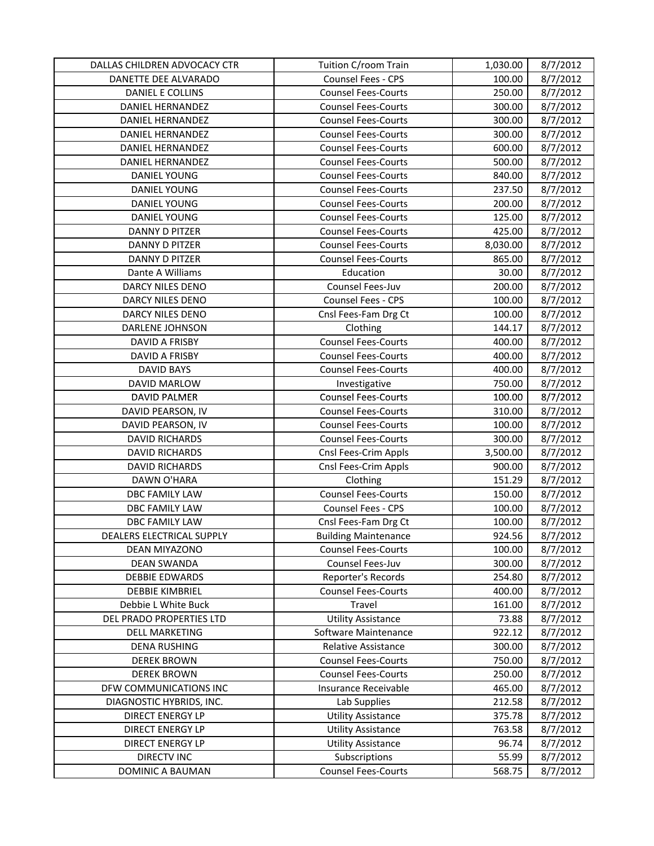| DALLAS CHILDREN ADVOCACY CTR | Tuition C/room Train        | 1,030.00 | 8/7/2012 |
|------------------------------|-----------------------------|----------|----------|
| DANETTE DEE ALVARADO         | Counsel Fees - CPS          | 100.00   | 8/7/2012 |
| DANIEL E COLLINS             | <b>Counsel Fees-Courts</b>  | 250.00   | 8/7/2012 |
| DANIEL HERNANDEZ             | <b>Counsel Fees-Courts</b>  | 300.00   | 8/7/2012 |
| <b>DANIEL HERNANDEZ</b>      | <b>Counsel Fees-Courts</b>  | 300.00   | 8/7/2012 |
| <b>DANIEL HERNANDEZ</b>      | <b>Counsel Fees-Courts</b>  | 300.00   | 8/7/2012 |
| DANIEL HERNANDEZ             | <b>Counsel Fees-Courts</b>  | 600.00   | 8/7/2012 |
| DANIEL HERNANDEZ             | <b>Counsel Fees-Courts</b>  | 500.00   | 8/7/2012 |
| DANIEL YOUNG                 | <b>Counsel Fees-Courts</b>  | 840.00   | 8/7/2012 |
| <b>DANIEL YOUNG</b>          | <b>Counsel Fees-Courts</b>  | 237.50   | 8/7/2012 |
| <b>DANIEL YOUNG</b>          | <b>Counsel Fees-Courts</b>  | 200.00   | 8/7/2012 |
| DANIEL YOUNG                 | <b>Counsel Fees-Courts</b>  | 125.00   | 8/7/2012 |
| DANNY D PITZER               | <b>Counsel Fees-Courts</b>  | 425.00   | 8/7/2012 |
| DANNY D PITZER               | <b>Counsel Fees-Courts</b>  | 8,030.00 | 8/7/2012 |
| DANNY D PITZER               | <b>Counsel Fees-Courts</b>  | 865.00   | 8/7/2012 |
| Dante A Williams             | Education                   | 30.00    | 8/7/2012 |
| DARCY NILES DENO             | Counsel Fees-Juv            | 200.00   | 8/7/2012 |
| DARCY NILES DENO             | Counsel Fees - CPS          | 100.00   | 8/7/2012 |
| DARCY NILES DENO             | Cnsl Fees-Fam Drg Ct        | 100.00   | 8/7/2012 |
| DARLENE JOHNSON              | Clothing                    | 144.17   | 8/7/2012 |
| DAVID A FRISBY               | <b>Counsel Fees-Courts</b>  | 400.00   | 8/7/2012 |
| DAVID A FRISBY               | <b>Counsel Fees-Courts</b>  | 400.00   | 8/7/2012 |
| <b>DAVID BAYS</b>            | <b>Counsel Fees-Courts</b>  | 400.00   | 8/7/2012 |
| DAVID MARLOW                 | Investigative               | 750.00   | 8/7/2012 |
| <b>DAVID PALMER</b>          | <b>Counsel Fees-Courts</b>  | 100.00   | 8/7/2012 |
| DAVID PEARSON, IV            | <b>Counsel Fees-Courts</b>  | 310.00   | 8/7/2012 |
| DAVID PEARSON, IV            | <b>Counsel Fees-Courts</b>  | 100.00   | 8/7/2012 |
| <b>DAVID RICHARDS</b>        | <b>Counsel Fees-Courts</b>  | 300.00   | 8/7/2012 |
| <b>DAVID RICHARDS</b>        | Cnsl Fees-Crim Appls        | 3,500.00 | 8/7/2012 |
| <b>DAVID RICHARDS</b>        | Cnsl Fees-Crim Appls        | 900.00   | 8/7/2012 |
| DAWN O'HARA                  | Clothing                    | 151.29   | 8/7/2012 |
| DBC FAMILY LAW               | <b>Counsel Fees-Courts</b>  | 150.00   | 8/7/2012 |
| DBC FAMILY LAW               | Counsel Fees - CPS          | 100.00   | 8/7/2012 |
| DBC FAMILY LAW               | Cnsl Fees-Fam Drg Ct        | 100.00   | 8/7/2012 |
| DEALERS ELECTRICAL SUPPLY    | <b>Building Maintenance</b> | 924.56   | 8/7/2012 |
| DEAN MIYAZONO                | <b>Counsel Fees-Courts</b>  | 100.00   | 8/7/2012 |
| <b>DEAN SWANDA</b>           | Counsel Fees-Juv            | 300.00   | 8/7/2012 |
| <b>DEBBIE EDWARDS</b>        | Reporter's Records          | 254.80   | 8/7/2012 |
| <b>DEBBIE KIMBRIEL</b>       | <b>Counsel Fees-Courts</b>  | 400.00   | 8/7/2012 |
| Debbie L White Buck          | Travel                      | 161.00   | 8/7/2012 |
| DEL PRADO PROPERTIES LTD     | <b>Utility Assistance</b>   | 73.88    | 8/7/2012 |
| <b>DELL MARKETING</b>        | Software Maintenance        | 922.12   | 8/7/2012 |
| <b>DENA RUSHING</b>          | Relative Assistance         | 300.00   | 8/7/2012 |
| <b>DEREK BROWN</b>           | <b>Counsel Fees-Courts</b>  | 750.00   | 8/7/2012 |
| <b>DEREK BROWN</b>           | <b>Counsel Fees-Courts</b>  | 250.00   | 8/7/2012 |
| DFW COMMUNICATIONS INC       | Insurance Receivable        | 465.00   | 8/7/2012 |
| DIAGNOSTIC HYBRIDS, INC.     | Lab Supplies                | 212.58   | 8/7/2012 |
| DIRECT ENERGY LP             | <b>Utility Assistance</b>   | 375.78   | 8/7/2012 |
| DIRECT ENERGY LP             | <b>Utility Assistance</b>   | 763.58   | 8/7/2012 |
| DIRECT ENERGY LP             | <b>Utility Assistance</b>   | 96.74    | 8/7/2012 |
| <b>DIRECTV INC</b>           | Subscriptions               | 55.99    | 8/7/2012 |
| <b>DOMINIC A BAUMAN</b>      | <b>Counsel Fees-Courts</b>  | 568.75   | 8/7/2012 |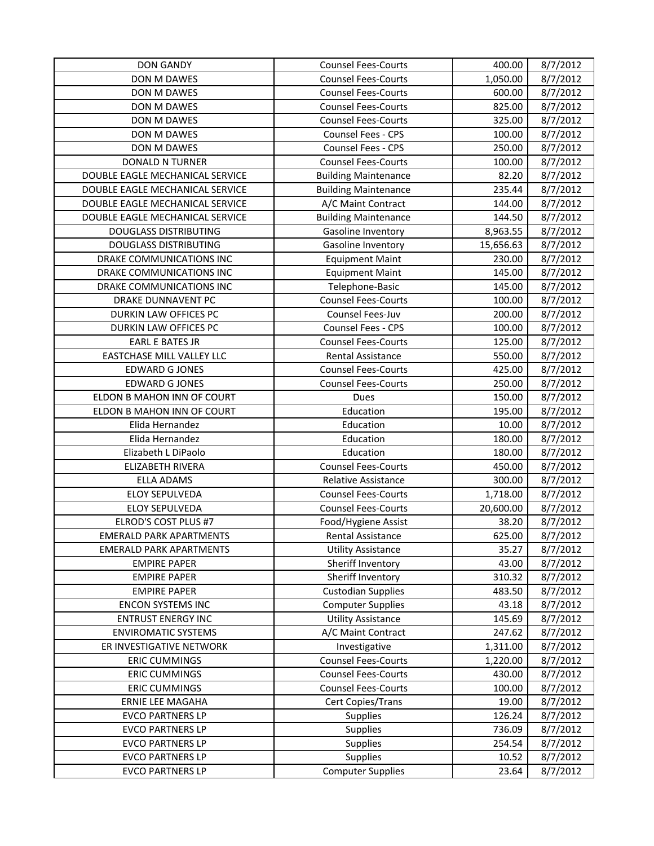| <b>DON GANDY</b>                | <b>Counsel Fees-Courts</b>  | 400.00    | 8/7/2012 |
|---------------------------------|-----------------------------|-----------|----------|
| <b>DON M DAWES</b>              | <b>Counsel Fees-Courts</b>  | 1,050.00  | 8/7/2012 |
| DON M DAWES                     | <b>Counsel Fees-Courts</b>  | 600.00    | 8/7/2012 |
| DON M DAWES                     | <b>Counsel Fees-Courts</b>  | 825.00    | 8/7/2012 |
| DON M DAWES                     | <b>Counsel Fees-Courts</b>  | 325.00    | 8/7/2012 |
| DON M DAWES                     | Counsel Fees - CPS          | 100.00    | 8/7/2012 |
| DON M DAWES                     | Counsel Fees - CPS          | 250.00    | 8/7/2012 |
| <b>DONALD N TURNER</b>          | <b>Counsel Fees-Courts</b>  | 100.00    | 8/7/2012 |
| DOUBLE EAGLE MECHANICAL SERVICE | <b>Building Maintenance</b> | 82.20     | 8/7/2012 |
| DOUBLE EAGLE MECHANICAL SERVICE | <b>Building Maintenance</b> | 235.44    | 8/7/2012 |
| DOUBLE EAGLE MECHANICAL SERVICE | A/C Maint Contract          | 144.00    | 8/7/2012 |
| DOUBLE EAGLE MECHANICAL SERVICE | <b>Building Maintenance</b> | 144.50    | 8/7/2012 |
| <b>DOUGLASS DISTRIBUTING</b>    | Gasoline Inventory          | 8,963.55  | 8/7/2012 |
| <b>DOUGLASS DISTRIBUTING</b>    | Gasoline Inventory          | 15,656.63 | 8/7/2012 |
| DRAKE COMMUNICATIONS INC        | <b>Equipment Maint</b>      | 230.00    | 8/7/2012 |
| DRAKE COMMUNICATIONS INC        | <b>Equipment Maint</b>      | 145.00    | 8/7/2012 |
| DRAKE COMMUNICATIONS INC        | Telephone-Basic             | 145.00    | 8/7/2012 |
| <b>DRAKE DUNNAVENT PC</b>       | <b>Counsel Fees-Courts</b>  | 100.00    | 8/7/2012 |
| DURKIN LAW OFFICES PC           | Counsel Fees-Juv            | 200.00    | 8/7/2012 |
| DURKIN LAW OFFICES PC           | Counsel Fees - CPS          | 100.00    | 8/7/2012 |
| <b>EARL E BATES JR</b>          | <b>Counsel Fees-Courts</b>  | 125.00    | 8/7/2012 |
| EASTCHASE MILL VALLEY LLC       | Rental Assistance           | 550.00    | 8/7/2012 |
| <b>EDWARD G JONES</b>           | <b>Counsel Fees-Courts</b>  | 425.00    | 8/7/2012 |
| <b>EDWARD G JONES</b>           | <b>Counsel Fees-Courts</b>  | 250.00    | 8/7/2012 |
| ELDON B MAHON INN OF COURT      | Dues                        | 150.00    | 8/7/2012 |
| ELDON B MAHON INN OF COURT      | Education                   | 195.00    | 8/7/2012 |
| Elida Hernandez                 | Education                   | 10.00     | 8/7/2012 |
| Elida Hernandez                 | Education                   | 180.00    | 8/7/2012 |
| Elizabeth L DiPaolo             | Education                   | 180.00    | 8/7/2012 |
| ELIZABETH RIVERA                | <b>Counsel Fees-Courts</b>  | 450.00    | 8/7/2012 |
| <b>ELLA ADAMS</b>               | <b>Relative Assistance</b>  | 300.00    | 8/7/2012 |
| <b>ELOY SEPULVEDA</b>           | <b>Counsel Fees-Courts</b>  | 1,718.00  | 8/7/2012 |
| <b>ELOY SEPULVEDA</b>           | <b>Counsel Fees-Courts</b>  | 20,600.00 | 8/7/2012 |
| ELROD'S COST PLUS #7            | Food/Hygiene Assist         | 38.20     | 8/7/2012 |
| <b>EMERALD PARK APARTMENTS</b>  | Rental Assistance           | 625.00    | 8/7/2012 |
| <b>EMERALD PARK APARTMENTS</b>  | <b>Utility Assistance</b>   | 35.27     | 8/7/2012 |
| <b>EMPIRE PAPER</b>             | Sheriff Inventory           | 43.00     | 8/7/2012 |
| <b>EMPIRE PAPER</b>             | Sheriff Inventory           | 310.32    | 8/7/2012 |
| <b>EMPIRE PAPER</b>             | <b>Custodian Supplies</b>   | 483.50    | 8/7/2012 |
| <b>ENCON SYSTEMS INC</b>        | <b>Computer Supplies</b>    | 43.18     | 8/7/2012 |
| <b>ENTRUST ENERGY INC</b>       | <b>Utility Assistance</b>   | 145.69    | 8/7/2012 |
| <b>ENVIROMATIC SYSTEMS</b>      | A/C Maint Contract          | 247.62    | 8/7/2012 |
| ER INVESTIGATIVE NETWORK        | Investigative               | 1,311.00  | 8/7/2012 |
| <b>ERIC CUMMINGS</b>            | <b>Counsel Fees-Courts</b>  | 1,220.00  | 8/7/2012 |
| <b>ERIC CUMMINGS</b>            | <b>Counsel Fees-Courts</b>  | 430.00    | 8/7/2012 |
| <b>ERIC CUMMINGS</b>            | <b>Counsel Fees-Courts</b>  | 100.00    | 8/7/2012 |
| ERNIE LEE MAGAHA                | Cert Copies/Trans           | 19.00     | 8/7/2012 |
| <b>EVCO PARTNERS LP</b>         | Supplies                    | 126.24    | 8/7/2012 |
| <b>EVCO PARTNERS LP</b>         | Supplies                    | 736.09    | 8/7/2012 |
| <b>EVCO PARTNERS LP</b>         | Supplies                    | 254.54    | 8/7/2012 |
| <b>EVCO PARTNERS LP</b>         | Supplies                    | 10.52     | 8/7/2012 |
| <b>EVCO PARTNERS LP</b>         | <b>Computer Supplies</b>    | 23.64     | 8/7/2012 |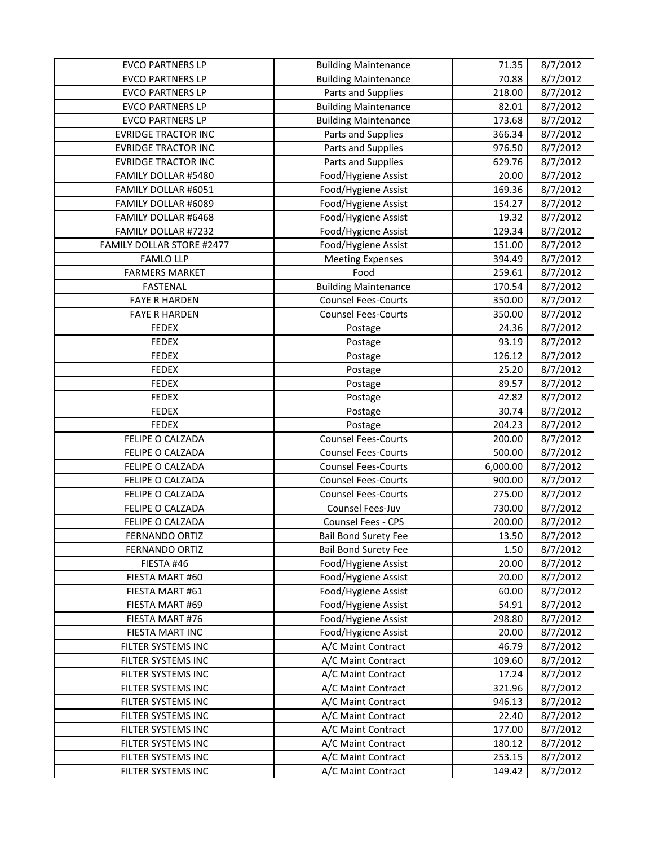| <b>EVCO PARTNERS LP</b>    | <b>Building Maintenance</b> | 71.35    | 8/7/2012 |
|----------------------------|-----------------------------|----------|----------|
| <b>EVCO PARTNERS LP</b>    | <b>Building Maintenance</b> | 70.88    | 8/7/2012 |
| <b>EVCO PARTNERS LP</b>    | Parts and Supplies          | 218.00   | 8/7/2012 |
| <b>EVCO PARTNERS LP</b>    | <b>Building Maintenance</b> | 82.01    | 8/7/2012 |
| <b>EVCO PARTNERS LP</b>    | <b>Building Maintenance</b> | 173.68   | 8/7/2012 |
| <b>EVRIDGE TRACTOR INC</b> | Parts and Supplies          | 366.34   | 8/7/2012 |
| <b>EVRIDGE TRACTOR INC</b> | Parts and Supplies          | 976.50   | 8/7/2012 |
| <b>EVRIDGE TRACTOR INC</b> | Parts and Supplies          | 629.76   | 8/7/2012 |
| FAMILY DOLLAR #5480        | Food/Hygiene Assist         | 20.00    | 8/7/2012 |
| FAMILY DOLLAR #6051        | Food/Hygiene Assist         | 169.36   | 8/7/2012 |
| FAMILY DOLLAR #6089        | Food/Hygiene Assist         | 154.27   | 8/7/2012 |
| FAMILY DOLLAR #6468        | Food/Hygiene Assist         | 19.32    | 8/7/2012 |
| FAMILY DOLLAR #7232        | Food/Hygiene Assist         | 129.34   | 8/7/2012 |
| FAMILY DOLLAR STORE #2477  | Food/Hygiene Assist         | 151.00   | 8/7/2012 |
| <b>FAMLO LLP</b>           | <b>Meeting Expenses</b>     | 394.49   | 8/7/2012 |
| <b>FARMERS MARKET</b>      | Food                        | 259.61   | 8/7/2012 |
| <b>FASTENAL</b>            | <b>Building Maintenance</b> | 170.54   | 8/7/2012 |
| <b>FAYE R HARDEN</b>       | <b>Counsel Fees-Courts</b>  | 350.00   | 8/7/2012 |
| <b>FAYE R HARDEN</b>       | <b>Counsel Fees-Courts</b>  | 350.00   | 8/7/2012 |
| <b>FEDEX</b>               | Postage                     | 24.36    | 8/7/2012 |
| <b>FEDEX</b>               | Postage                     | 93.19    | 8/7/2012 |
| <b>FEDEX</b>               | Postage                     | 126.12   | 8/7/2012 |
| <b>FEDEX</b>               | Postage                     | 25.20    | 8/7/2012 |
| <b>FEDEX</b>               | Postage                     | 89.57    | 8/7/2012 |
| <b>FEDEX</b>               | Postage                     | 42.82    | 8/7/2012 |
| <b>FEDEX</b>               | Postage                     | 30.74    | 8/7/2012 |
| <b>FEDEX</b>               | Postage                     | 204.23   | 8/7/2012 |
| FELIPE O CALZADA           | <b>Counsel Fees-Courts</b>  | 200.00   | 8/7/2012 |
| FELIPE O CALZADA           | <b>Counsel Fees-Courts</b>  | 500.00   | 8/7/2012 |
| FELIPE O CALZADA           | <b>Counsel Fees-Courts</b>  | 6,000.00 | 8/7/2012 |
| FELIPE O CALZADA           | <b>Counsel Fees-Courts</b>  | 900.00   | 8/7/2012 |
| FELIPE O CALZADA           | <b>Counsel Fees-Courts</b>  | 275.00   | 8/7/2012 |
| FELIPE O CALZADA           | Counsel Fees-Juv            | 730.00   | 8/7/2012 |
| FELIPE O CALZADA           | Counsel Fees - CPS          | 200.00   | 8/7/2012 |
| FERNANDO ORTIZ             | <b>Bail Bond Surety Fee</b> | 13.50    | 8/7/2012 |
| <b>FERNANDO ORTIZ</b>      | <b>Bail Bond Surety Fee</b> | 1.50     | 8/7/2012 |
| FIESTA #46                 | Food/Hygiene Assist         | 20.00    | 8/7/2012 |
| FIESTA MART #60            | Food/Hygiene Assist         | 20.00    | 8/7/2012 |
| FIESTA MART #61            | Food/Hygiene Assist         | 60.00    | 8/7/2012 |
| FIESTA MART #69            | Food/Hygiene Assist         | 54.91    | 8/7/2012 |
| FIESTA MART #76            | Food/Hygiene Assist         | 298.80   | 8/7/2012 |
| FIESTA MART INC            | Food/Hygiene Assist         | 20.00    | 8/7/2012 |
| FILTER SYSTEMS INC         | A/C Maint Contract          | 46.79    | 8/7/2012 |
| FILTER SYSTEMS INC         | A/C Maint Contract          | 109.60   | 8/7/2012 |
| FILTER SYSTEMS INC         | A/C Maint Contract          | 17.24    | 8/7/2012 |
| FILTER SYSTEMS INC         | A/C Maint Contract          | 321.96   | 8/7/2012 |
| FILTER SYSTEMS INC         | A/C Maint Contract          | 946.13   | 8/7/2012 |
| FILTER SYSTEMS INC         | A/C Maint Contract          | 22.40    | 8/7/2012 |
| FILTER SYSTEMS INC         | A/C Maint Contract          | 177.00   | 8/7/2012 |
| FILTER SYSTEMS INC         | A/C Maint Contract          | 180.12   | 8/7/2012 |
| FILTER SYSTEMS INC         | A/C Maint Contract          | 253.15   | 8/7/2012 |
| FILTER SYSTEMS INC         | A/C Maint Contract          | 149.42   | 8/7/2012 |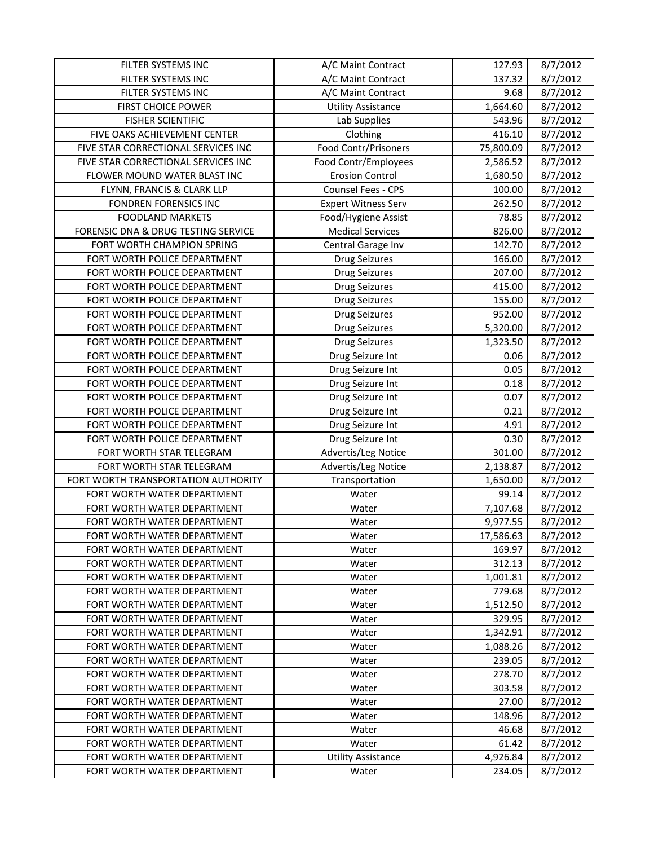| FILTER SYSTEMS INC                  | A/C Maint Contract         | 127.93    | 8/7/2012 |
|-------------------------------------|----------------------------|-----------|----------|
| FILTER SYSTEMS INC                  | A/C Maint Contract         | 137.32    | 8/7/2012 |
| FILTER SYSTEMS INC                  | A/C Maint Contract         | 9.68      | 8/7/2012 |
| FIRST CHOICE POWER                  | <b>Utility Assistance</b>  | 1,664.60  | 8/7/2012 |
| <b>FISHER SCIENTIFIC</b>            | Lab Supplies               | 543.96    | 8/7/2012 |
| FIVE OAKS ACHIEVEMENT CENTER        | Clothing                   | 416.10    | 8/7/2012 |
| FIVE STAR CORRECTIONAL SERVICES INC | Food Contr/Prisoners       | 75,800.09 | 8/7/2012 |
| FIVE STAR CORRECTIONAL SERVICES INC | Food Contr/Employees       | 2,586.52  | 8/7/2012 |
| FLOWER MOUND WATER BLAST INC        | <b>Erosion Control</b>     | 1,680.50  | 8/7/2012 |
| FLYNN, FRANCIS & CLARK LLP          | Counsel Fees - CPS         | 100.00    | 8/7/2012 |
| FONDREN FORENSICS INC               | <b>Expert Witness Serv</b> | 262.50    | 8/7/2012 |
| <b>FOODLAND MARKETS</b>             | Food/Hygiene Assist        | 78.85     | 8/7/2012 |
| FORENSIC DNA & DRUG TESTING SERVICE | <b>Medical Services</b>    | 826.00    | 8/7/2012 |
| FORT WORTH CHAMPION SPRING          | Central Garage Inv         | 142.70    | 8/7/2012 |
| FORT WORTH POLICE DEPARTMENT        | <b>Drug Seizures</b>       | 166.00    | 8/7/2012 |
| FORT WORTH POLICE DEPARTMENT        | <b>Drug Seizures</b>       | 207.00    | 8/7/2012 |
| FORT WORTH POLICE DEPARTMENT        | <b>Drug Seizures</b>       | 415.00    | 8/7/2012 |
| FORT WORTH POLICE DEPARTMENT        | <b>Drug Seizures</b>       | 155.00    | 8/7/2012 |
| FORT WORTH POLICE DEPARTMENT        | <b>Drug Seizures</b>       | 952.00    | 8/7/2012 |
| FORT WORTH POLICE DEPARTMENT        | <b>Drug Seizures</b>       | 5,320.00  | 8/7/2012 |
| FORT WORTH POLICE DEPARTMENT        | <b>Drug Seizures</b>       | 1,323.50  | 8/7/2012 |
| FORT WORTH POLICE DEPARTMENT        | Drug Seizure Int           | 0.06      | 8/7/2012 |
| FORT WORTH POLICE DEPARTMENT        | Drug Seizure Int           | 0.05      | 8/7/2012 |
| FORT WORTH POLICE DEPARTMENT        | Drug Seizure Int           | 0.18      | 8/7/2012 |
| FORT WORTH POLICE DEPARTMENT        | Drug Seizure Int           | 0.07      | 8/7/2012 |
| FORT WORTH POLICE DEPARTMENT        | Drug Seizure Int           | 0.21      | 8/7/2012 |
| FORT WORTH POLICE DEPARTMENT        | Drug Seizure Int           | 4.91      | 8/7/2012 |
| FORT WORTH POLICE DEPARTMENT        | Drug Seizure Int           | 0.30      | 8/7/2012 |
| FORT WORTH STAR TELEGRAM            | Advertis/Leg Notice        | 301.00    | 8/7/2012 |
| FORT WORTH STAR TELEGRAM            | Advertis/Leg Notice        | 2,138.87  | 8/7/2012 |
| FORT WORTH TRANSPORTATION AUTHORITY | Transportation             | 1,650.00  | 8/7/2012 |
| FORT WORTH WATER DEPARTMENT         | Water                      | 99.14     | 8/7/2012 |
| FORT WORTH WATER DEPARTMENT         | Water                      | 7,107.68  | 8/7/2012 |
| FORT WORTH WATER DEPARTMENT         | Water                      | 9,977.55  | 8/7/2012 |
| FORT WORTH WATER DEPARTMENT         | Water                      | 17,586.63 | 8/7/2012 |
| FORT WORTH WATER DEPARTMENT         | Water                      | 169.97    | 8/7/2012 |
| FORT WORTH WATER DEPARTMENT         | Water                      | 312.13    | 8/7/2012 |
| FORT WORTH WATER DEPARTMENT         | Water                      | 1,001.81  | 8/7/2012 |
| FORT WORTH WATER DEPARTMENT         | Water                      | 779.68    | 8/7/2012 |
| FORT WORTH WATER DEPARTMENT         | Water                      | 1,512.50  | 8/7/2012 |
| FORT WORTH WATER DEPARTMENT         | Water                      | 329.95    | 8/7/2012 |
| FORT WORTH WATER DEPARTMENT         | Water                      | 1,342.91  | 8/7/2012 |
| FORT WORTH WATER DEPARTMENT         | Water                      | 1,088.26  | 8/7/2012 |
| FORT WORTH WATER DEPARTMENT         | Water                      | 239.05    | 8/7/2012 |
| FORT WORTH WATER DEPARTMENT         | Water                      | 278.70    | 8/7/2012 |
| FORT WORTH WATER DEPARTMENT         | Water                      | 303.58    | 8/7/2012 |
| FORT WORTH WATER DEPARTMENT         | Water                      | 27.00     | 8/7/2012 |
| FORT WORTH WATER DEPARTMENT         | Water                      | 148.96    | 8/7/2012 |
| FORT WORTH WATER DEPARTMENT         | Water                      | 46.68     | 8/7/2012 |
| FORT WORTH WATER DEPARTMENT         | Water                      | 61.42     | 8/7/2012 |
| FORT WORTH WATER DEPARTMENT         | <b>Utility Assistance</b>  | 4,926.84  | 8/7/2012 |
| FORT WORTH WATER DEPARTMENT         | Water                      | 234.05    | 8/7/2012 |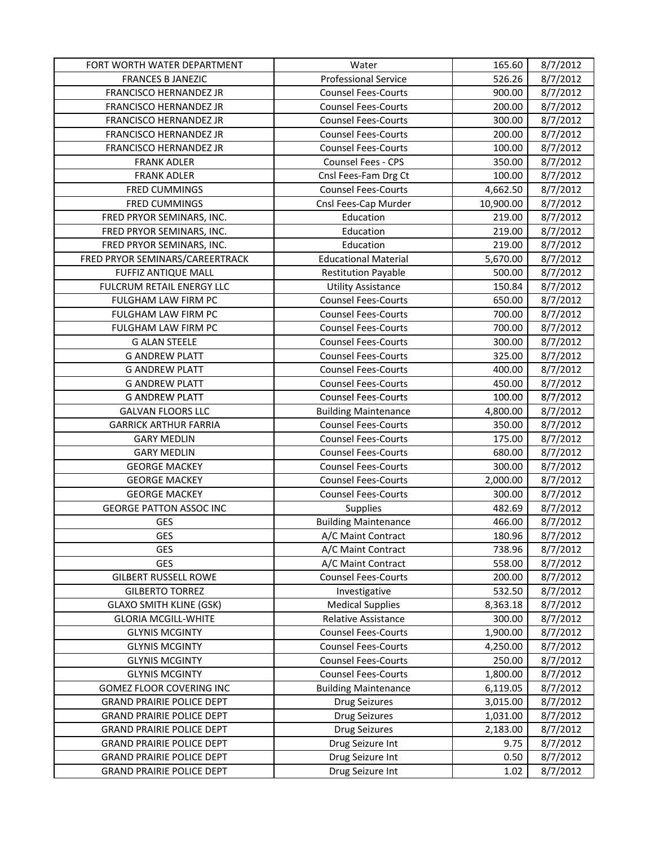| FORT WORTH WATER DEPARTMENT      | Water                       | 165.60    | 8/7/2012 |
|----------------------------------|-----------------------------|-----------|----------|
| <b>FRANCES B JANEZIC</b>         | <b>Professional Service</b> | 526.26    | 8/7/2012 |
| FRANCISCO HERNANDEZ JR           | <b>Counsel Fees-Courts</b>  | 900.00    | 8/7/2012 |
| FRANCISCO HERNANDEZ JR           | <b>Counsel Fees-Courts</b>  | 200.00    | 8/7/2012 |
| FRANCISCO HERNANDEZ JR           | <b>Counsel Fees-Courts</b>  | 300.00    | 8/7/2012 |
| FRANCISCO HERNANDEZ JR           | <b>Counsel Fees-Courts</b>  | 200.00    | 8/7/2012 |
| FRANCISCO HERNANDEZ JR           | <b>Counsel Fees-Courts</b>  | 100.00    | 8/7/2012 |
| <b>FRANK ADLER</b>               | <b>Counsel Fees - CPS</b>   | 350.00    | 8/7/2012 |
| <b>FRANK ADLER</b>               | Cnsl Fees-Fam Drg Ct        | 100.00    | 8/7/2012 |
| <b>FRED CUMMINGS</b>             | <b>Counsel Fees-Courts</b>  | 4,662.50  | 8/7/2012 |
| <b>FRED CUMMINGS</b>             | Cnsl Fees-Cap Murder        | 10,900.00 | 8/7/2012 |
| FRED PRYOR SEMINARS, INC.        | Education                   | 219.00    | 8/7/2012 |
| FRED PRYOR SEMINARS, INC.        | Education                   | 219.00    | 8/7/2012 |
| FRED PRYOR SEMINARS, INC.        | Education                   | 219.00    | 8/7/2012 |
| FRED PRYOR SEMINARS/CAREERTRACK  | <b>Educational Material</b> | 5,670.00  | 8/7/2012 |
| <b>FUFFIZ ANTIQUE MALL</b>       | <b>Restitution Payable</b>  | 500.00    | 8/7/2012 |
| FULCRUM RETAIL ENERGY LLC        | <b>Utility Assistance</b>   | 150.84    | 8/7/2012 |
| FULGHAM LAW FIRM PC              | <b>Counsel Fees-Courts</b>  | 650.00    | 8/7/2012 |
| FULGHAM LAW FIRM PC              | <b>Counsel Fees-Courts</b>  | 700.00    | 8/7/2012 |
| FULGHAM LAW FIRM PC              | <b>Counsel Fees-Courts</b>  | 700.00    | 8/7/2012 |
| <b>G ALAN STEELE</b>             | <b>Counsel Fees-Courts</b>  | 300.00    | 8/7/2012 |
| <b>G ANDREW PLATT</b>            | <b>Counsel Fees-Courts</b>  | 325.00    | 8/7/2012 |
| <b>G ANDREW PLATT</b>            | <b>Counsel Fees-Courts</b>  | 400.00    | 8/7/2012 |
| <b>G ANDREW PLATT</b>            | <b>Counsel Fees-Courts</b>  | 450.00    | 8/7/2012 |
| <b>G ANDREW PLATT</b>            | <b>Counsel Fees-Courts</b>  | 100.00    | 8/7/2012 |
| <b>GALVAN FLOORS LLC</b>         | <b>Building Maintenance</b> | 4,800.00  | 8/7/2012 |
| <b>GARRICK ARTHUR FARRIA</b>     | <b>Counsel Fees-Courts</b>  | 350.00    | 8/7/2012 |
| <b>GARY MEDLIN</b>               | <b>Counsel Fees-Courts</b>  | 175.00    | 8/7/2012 |
| <b>GARY MEDLIN</b>               | <b>Counsel Fees-Courts</b>  | 680.00    | 8/7/2012 |
| <b>GEORGE MACKEY</b>             | <b>Counsel Fees-Courts</b>  | 300.00    | 8/7/2012 |
| <b>GEORGE MACKEY</b>             | <b>Counsel Fees-Courts</b>  | 2,000.00  | 8/7/2012 |
| <b>GEORGE MACKEY</b>             | <b>Counsel Fees-Courts</b>  | 300.00    | 8/7/2012 |
| <b>GEORGE PATTON ASSOC INC</b>   | Supplies                    | 482.69    | 8/7/2012 |
| <b>GES</b>                       | <b>Building Maintenance</b> | 466.00    | 8/7/2012 |
| <b>GES</b>                       | A/C Maint Contract          | 180.96    | 8/7/2012 |
| GES                              | A/C Maint Contract          | 738.96    | 8/7/2012 |
| GES                              | A/C Maint Contract          | 558.00    | 8/7/2012 |
| <b>GILBERT RUSSELL ROWE</b>      | <b>Counsel Fees-Courts</b>  | 200.00    | 8/7/2012 |
| <b>GILBERTO TORREZ</b>           | Investigative               | 532.50    | 8/7/2012 |
| <b>GLAXO SMITH KLINE (GSK)</b>   | <b>Medical Supplies</b>     | 8,363.18  | 8/7/2012 |
| <b>GLORIA MCGILL-WHITE</b>       | Relative Assistance         | 300.00    | 8/7/2012 |
| <b>GLYNIS MCGINTY</b>            | <b>Counsel Fees-Courts</b>  | 1,900.00  | 8/7/2012 |
| <b>GLYNIS MCGINTY</b>            | <b>Counsel Fees-Courts</b>  | 4,250.00  | 8/7/2012 |
| <b>GLYNIS MCGINTY</b>            | <b>Counsel Fees-Courts</b>  | 250.00    | 8/7/2012 |
| <b>GLYNIS MCGINTY</b>            | <b>Counsel Fees-Courts</b>  | 1,800.00  | 8/7/2012 |
| GOMEZ FLOOR COVERING INC         | <b>Building Maintenance</b> | 6,119.05  | 8/7/2012 |
| <b>GRAND PRAIRIE POLICE DEPT</b> | <b>Drug Seizures</b>        | 3,015.00  | 8/7/2012 |
| <b>GRAND PRAIRIE POLICE DEPT</b> | <b>Drug Seizures</b>        | 1,031.00  | 8/7/2012 |
| <b>GRAND PRAIRIE POLICE DEPT</b> | <b>Drug Seizures</b>        | 2,183.00  | 8/7/2012 |
| <b>GRAND PRAIRIE POLICE DEPT</b> | Drug Seizure Int            | 9.75      | 8/7/2012 |
| <b>GRAND PRAIRIE POLICE DEPT</b> | Drug Seizure Int            | 0.50      | 8/7/2012 |
| <b>GRAND PRAIRIE POLICE DEPT</b> | Drug Seizure Int            | 1.02      | 8/7/2012 |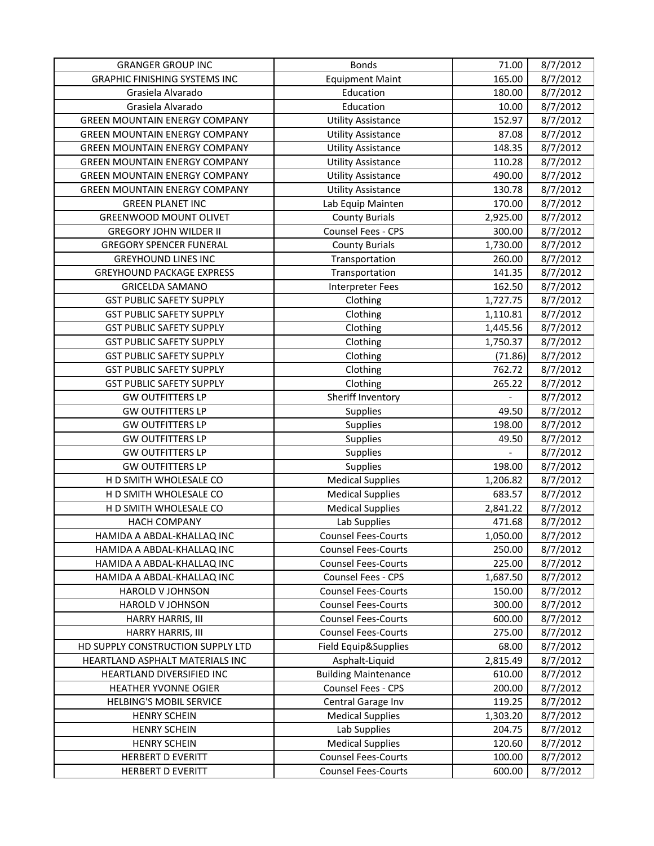| <b>GRANGER GROUP INC</b>             | <b>Bonds</b>                | 71.00    | 8/7/2012 |
|--------------------------------------|-----------------------------|----------|----------|
| <b>GRAPHIC FINISHING SYSTEMS INC</b> | <b>Equipment Maint</b>      | 165.00   | 8/7/2012 |
| Grasiela Alvarado                    | Education                   | 180.00   | 8/7/2012 |
| Grasiela Alvarado                    | Education                   | 10.00    | 8/7/2012 |
| <b>GREEN MOUNTAIN ENERGY COMPANY</b> | <b>Utility Assistance</b>   | 152.97   | 8/7/2012 |
| <b>GREEN MOUNTAIN ENERGY COMPANY</b> | <b>Utility Assistance</b>   | 87.08    | 8/7/2012 |
| <b>GREEN MOUNTAIN ENERGY COMPANY</b> | <b>Utility Assistance</b>   | 148.35   | 8/7/2012 |
| <b>GREEN MOUNTAIN ENERGY COMPANY</b> | <b>Utility Assistance</b>   | 110.28   | 8/7/2012 |
| <b>GREEN MOUNTAIN ENERGY COMPANY</b> | <b>Utility Assistance</b>   | 490.00   | 8/7/2012 |
| <b>GREEN MOUNTAIN ENERGY COMPANY</b> | <b>Utility Assistance</b>   | 130.78   | 8/7/2012 |
| <b>GREEN PLANET INC</b>              | Lab Equip Mainten           | 170.00   | 8/7/2012 |
| <b>GREENWOOD MOUNT OLIVET</b>        | <b>County Burials</b>       | 2,925.00 | 8/7/2012 |
| <b>GREGORY JOHN WILDER II</b>        | Counsel Fees - CPS          | 300.00   | 8/7/2012 |
| <b>GREGORY SPENCER FUNERAL</b>       | <b>County Burials</b>       | 1,730.00 | 8/7/2012 |
| <b>GREYHOUND LINES INC</b>           | Transportation              | 260.00   | 8/7/2012 |
| <b>GREYHOUND PACKAGE EXPRESS</b>     | Transportation              | 141.35   | 8/7/2012 |
| <b>GRICELDA SAMANO</b>               | Interpreter Fees            | 162.50   | 8/7/2012 |
| <b>GST PUBLIC SAFETY SUPPLY</b>      | Clothing                    | 1,727.75 | 8/7/2012 |
| <b>GST PUBLIC SAFETY SUPPLY</b>      | Clothing                    | 1,110.81 | 8/7/2012 |
| <b>GST PUBLIC SAFETY SUPPLY</b>      | Clothing                    | 1,445.56 | 8/7/2012 |
| <b>GST PUBLIC SAFETY SUPPLY</b>      | Clothing                    | 1,750.37 | 8/7/2012 |
| <b>GST PUBLIC SAFETY SUPPLY</b>      | Clothing                    | (71.86)  | 8/7/2012 |
| <b>GST PUBLIC SAFETY SUPPLY</b>      | Clothing                    | 762.72   | 8/7/2012 |
| <b>GST PUBLIC SAFETY SUPPLY</b>      | Clothing                    | 265.22   | 8/7/2012 |
| <b>GW OUTFITTERS LP</b>              | Sheriff Inventory           |          | 8/7/2012 |
| <b>GW OUTFITTERS LP</b>              | Supplies                    | 49.50    | 8/7/2012 |
| <b>GW OUTFITTERS LP</b>              | Supplies                    | 198.00   | 8/7/2012 |
| <b>GW OUTFITTERS LP</b>              | Supplies                    | 49.50    | 8/7/2012 |
| <b>GW OUTFITTERS LP</b>              | Supplies                    |          | 8/7/2012 |
| <b>GW OUTFITTERS LP</b>              | <b>Supplies</b>             | 198.00   | 8/7/2012 |
| H D SMITH WHOLESALE CO               | <b>Medical Supplies</b>     | 1,206.82 | 8/7/2012 |
| H D SMITH WHOLESALE CO               | <b>Medical Supplies</b>     | 683.57   | 8/7/2012 |
| H D SMITH WHOLESALE CO               | <b>Medical Supplies</b>     | 2,841.22 | 8/7/2012 |
| <b>HACH COMPANY</b>                  | Lab Supplies                | 471.68   | 8/7/2012 |
| HAMIDA A ABDAL-KHALLAQ INC           | <b>Counsel Fees-Courts</b>  | 1,050.00 | 8/7/2012 |
| HAMIDA A ABDAL-KHALLAQ INC           | <b>Counsel Fees-Courts</b>  | 250.00   | 8/7/2012 |
| HAMIDA A ABDAL-KHALLAQ INC           | <b>Counsel Fees-Courts</b>  | 225.00   | 8/7/2012 |
| HAMIDA A ABDAL-KHALLAQ INC           | Counsel Fees - CPS          | 1,687.50 | 8/7/2012 |
| HAROLD V JOHNSON                     | <b>Counsel Fees-Courts</b>  | 150.00   | 8/7/2012 |
| HAROLD V JOHNSON                     | <b>Counsel Fees-Courts</b>  | 300.00   | 8/7/2012 |
| HARRY HARRIS, III                    | <b>Counsel Fees-Courts</b>  | 600.00   | 8/7/2012 |
| HARRY HARRIS, III                    | <b>Counsel Fees-Courts</b>  | 275.00   | 8/7/2012 |
| HD SUPPLY CONSTRUCTION SUPPLY LTD    | Field Equip&Supplies        | 68.00    | 8/7/2012 |
| HEARTLAND ASPHALT MATERIALS INC      | Asphalt-Liquid              | 2,815.49 | 8/7/2012 |
| HEARTLAND DIVERSIFIED INC            | <b>Building Maintenance</b> | 610.00   | 8/7/2012 |
| <b>HEATHER YVONNE OGIER</b>          | Counsel Fees - CPS          | 200.00   | 8/7/2012 |
| <b>HELBING'S MOBIL SERVICE</b>       | Central Garage Inv          | 119.25   | 8/7/2012 |
| <b>HENRY SCHEIN</b>                  | <b>Medical Supplies</b>     | 1,303.20 | 8/7/2012 |
| <b>HENRY SCHEIN</b>                  | Lab Supplies                | 204.75   | 8/7/2012 |
| <b>HENRY SCHEIN</b>                  | <b>Medical Supplies</b>     | 120.60   | 8/7/2012 |
| <b>HERBERT D EVERITT</b>             | <b>Counsel Fees-Courts</b>  | 100.00   | 8/7/2012 |
| <b>HERBERT D EVERITT</b>             | <b>Counsel Fees-Courts</b>  | 600.00   | 8/7/2012 |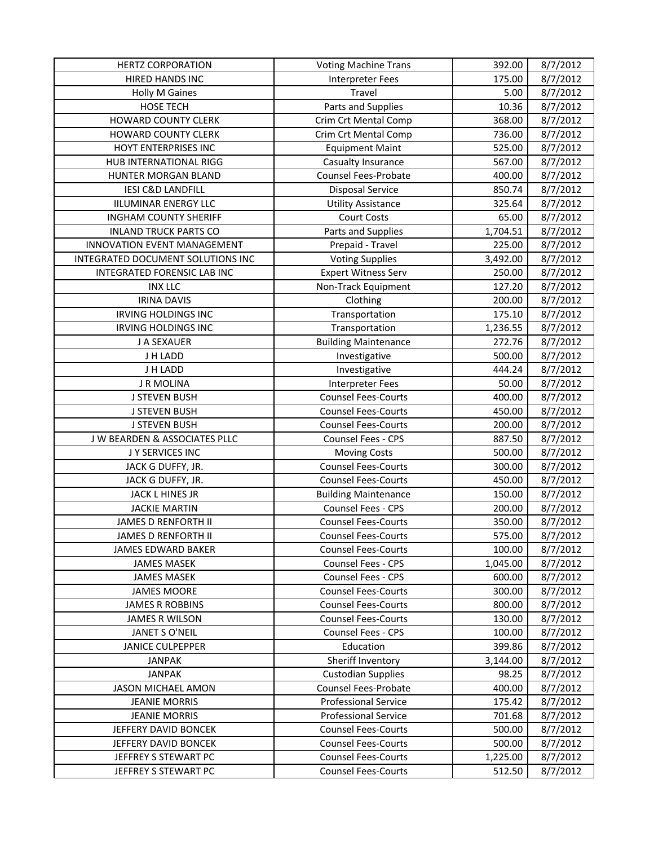| <b>HERTZ CORPORATION</b>          | <b>Voting Machine Trans</b> | 392.00   | 8/7/2012 |
|-----------------------------------|-----------------------------|----------|----------|
| <b>HIRED HANDS INC</b>            | <b>Interpreter Fees</b>     | 175.00   | 8/7/2012 |
| <b>Holly M Gaines</b>             | Travel                      | 5.00     | 8/7/2012 |
| <b>HOSE TECH</b>                  | Parts and Supplies          | 10.36    | 8/7/2012 |
| <b>HOWARD COUNTY CLERK</b>        | Crim Crt Mental Comp        | 368.00   | 8/7/2012 |
| <b>HOWARD COUNTY CLERK</b>        | Crim Crt Mental Comp        | 736.00   | 8/7/2012 |
| HOYT ENTERPRISES INC              | <b>Equipment Maint</b>      | 525.00   | 8/7/2012 |
| HUB INTERNATIONAL RIGG            | Casualty Insurance          | 567.00   | 8/7/2012 |
| HUNTER MORGAN BLAND               | Counsel Fees-Probate        | 400.00   | 8/7/2012 |
| <b>IESI C&amp;D LANDFILL</b>      | <b>Disposal Service</b>     | 850.74   | 8/7/2012 |
| <b>IILUMINAR ENERGY LLC</b>       | <b>Utility Assistance</b>   | 325.64   | 8/7/2012 |
| <b>INGHAM COUNTY SHERIFF</b>      | <b>Court Costs</b>          | 65.00    | 8/7/2012 |
| <b>INLAND TRUCK PARTS CO</b>      | Parts and Supplies          | 1,704.51 | 8/7/2012 |
| INNOVATION EVENT MANAGEMENT       | Prepaid - Travel            | 225.00   | 8/7/2012 |
| INTEGRATED DOCUMENT SOLUTIONS INC | <b>Voting Supplies</b>      | 3,492.00 | 8/7/2012 |
| INTEGRATED FORENSIC LAB INC       | <b>Expert Witness Serv</b>  | 250.00   | 8/7/2012 |
| <b>INX LLC</b>                    | Non-Track Equipment         | 127.20   | 8/7/2012 |
| <b>IRINA DAVIS</b>                | Clothing                    | 200.00   | 8/7/2012 |
| <b>IRVING HOLDINGS INC</b>        | Transportation              | 175.10   | 8/7/2012 |
| <b>IRVING HOLDINGS INC</b>        | Transportation              | 1,236.55 | 8/7/2012 |
| J A SEXAUER                       | <b>Building Maintenance</b> | 272.76   | 8/7/2012 |
| J H LADD                          | Investigative               | 500.00   | 8/7/2012 |
| J H LADD                          | Investigative               | 444.24   | 8/7/2012 |
| <b>J R MOLINA</b>                 | <b>Interpreter Fees</b>     | 50.00    | 8/7/2012 |
| <b>J STEVEN BUSH</b>              | <b>Counsel Fees-Courts</b>  | 400.00   | 8/7/2012 |
| <b>J STEVEN BUSH</b>              | <b>Counsel Fees-Courts</b>  | 450.00   | 8/7/2012 |
| <b>J STEVEN BUSH</b>              | <b>Counsel Fees-Courts</b>  | 200.00   | 8/7/2012 |
| J W BEARDEN & ASSOCIATES PLLC     | Counsel Fees - CPS          | 887.50   | 8/7/2012 |
| J Y SERVICES INC                  | <b>Moving Costs</b>         | 500.00   | 8/7/2012 |
| JACK G DUFFY, JR.                 | <b>Counsel Fees-Courts</b>  | 300.00   | 8/7/2012 |
| JACK G DUFFY, JR.                 | <b>Counsel Fees-Courts</b>  | 450.00   | 8/7/2012 |
| JACK L HINES JR                   | <b>Building Maintenance</b> | 150.00   | 8/7/2012 |
| <b>JACKIE MARTIN</b>              | Counsel Fees - CPS          | 200.00   | 8/7/2012 |
| JAMES D RENFORTH II               | <b>Counsel Fees-Courts</b>  | 350.00   | 8/7/2012 |
| JAMES D RENFORTH II               | <b>Counsel Fees-Courts</b>  | 575.00   | 8/7/2012 |
| JAMES EDWARD BAKER                | <b>Counsel Fees-Courts</b>  | 100.00   | 8/7/2012 |
| <b>JAMES MASEK</b>                | Counsel Fees - CPS          | 1,045.00 | 8/7/2012 |
| <b>JAMES MASEK</b>                | <b>Counsel Fees - CPS</b>   | 600.00   | 8/7/2012 |
| <b>JAMES MOORE</b>                | <b>Counsel Fees-Courts</b>  | 300.00   | 8/7/2012 |
| <b>JAMES R ROBBINS</b>            | <b>Counsel Fees-Courts</b>  | 800.00   | 8/7/2012 |
| <b>JAMES R WILSON</b>             | <b>Counsel Fees-Courts</b>  | 130.00   | 8/7/2012 |
| <b>JANET S O'NEIL</b>             | <b>Counsel Fees - CPS</b>   | 100.00   | 8/7/2012 |
| <b>JANICE CULPEPPER</b>           | Education                   | 399.86   | 8/7/2012 |
| <b>JANPAK</b>                     | Sheriff Inventory           | 3,144.00 | 8/7/2012 |
| <b>JANPAK</b>                     | <b>Custodian Supplies</b>   | 98.25    | 8/7/2012 |
| JASON MICHAEL AMON                | Counsel Fees-Probate        | 400.00   | 8/7/2012 |
| <b>JEANIE MORRIS</b>              | <b>Professional Service</b> | 175.42   | 8/7/2012 |
| <b>JEANIE MORRIS</b>              | <b>Professional Service</b> | 701.68   | 8/7/2012 |
| JEFFERY DAVID BONCEK              | <b>Counsel Fees-Courts</b>  | 500.00   | 8/7/2012 |
| JEFFERY DAVID BONCEK              | <b>Counsel Fees-Courts</b>  | 500.00   | 8/7/2012 |
| JEFFREY S STEWART PC              | <b>Counsel Fees-Courts</b>  | 1,225.00 | 8/7/2012 |
| JEFFREY S STEWART PC              | <b>Counsel Fees-Courts</b>  | 512.50   | 8/7/2012 |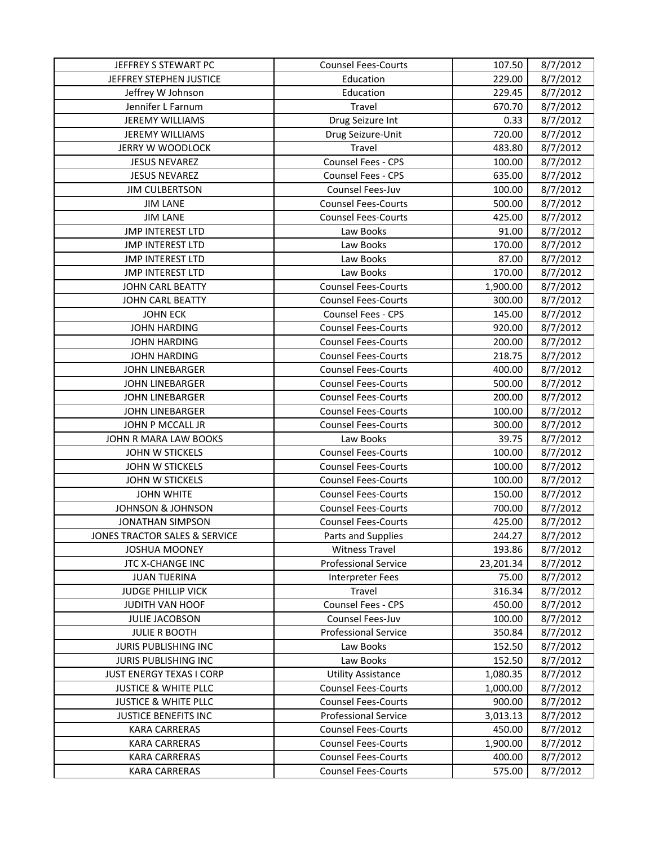| JEFFREY S STEWART PC            | <b>Counsel Fees-Courts</b>  | 107.50    | 8/7/2012 |
|---------------------------------|-----------------------------|-----------|----------|
| JEFFREY STEPHEN JUSTICE         | Education                   | 229.00    | 8/7/2012 |
| Jeffrey W Johnson               | Education                   | 229.45    | 8/7/2012 |
| Jennifer L Farnum               | Travel                      | 670.70    | 8/7/2012 |
| <b>JEREMY WILLIAMS</b>          | Drug Seizure Int            | 0.33      | 8/7/2012 |
| <b>JEREMY WILLIAMS</b>          | Drug Seizure-Unit           | 720.00    | 8/7/2012 |
| JERRY W WOODLOCK                | Travel                      | 483.80    | 8/7/2012 |
| <b>JESUS NEVAREZ</b>            | Counsel Fees - CPS          | 100.00    | 8/7/2012 |
| <b>JESUS NEVAREZ</b>            | <b>Counsel Fees - CPS</b>   | 635.00    | 8/7/2012 |
| <b>JIM CULBERTSON</b>           | Counsel Fees-Juv            | 100.00    | 8/7/2012 |
| <b>JIM LANE</b>                 | <b>Counsel Fees-Courts</b>  | 500.00    | 8/7/2012 |
| <b>JIM LANE</b>                 | <b>Counsel Fees-Courts</b>  | 425.00    | 8/7/2012 |
| <b>JMP INTEREST LTD</b>         | Law Books                   | 91.00     | 8/7/2012 |
| <b>JMP INTEREST LTD</b>         | Law Books                   | 170.00    | 8/7/2012 |
| <b>JMP INTEREST LTD</b>         | Law Books                   | 87.00     | 8/7/2012 |
| <b>JMP INTEREST LTD</b>         | Law Books                   | 170.00    | 8/7/2012 |
| JOHN CARL BEATTY                | <b>Counsel Fees-Courts</b>  | 1,900.00  | 8/7/2012 |
| <b>JOHN CARL BEATTY</b>         | <b>Counsel Fees-Courts</b>  | 300.00    | 8/7/2012 |
| <b>JOHN ECK</b>                 | Counsel Fees - CPS          | 145.00    | 8/7/2012 |
| <b>JOHN HARDING</b>             | <b>Counsel Fees-Courts</b>  | 920.00    | 8/7/2012 |
| <b>JOHN HARDING</b>             | <b>Counsel Fees-Courts</b>  | 200.00    | 8/7/2012 |
| <b>JOHN HARDING</b>             | <b>Counsel Fees-Courts</b>  | 218.75    | 8/7/2012 |
| <b>JOHN LINEBARGER</b>          | <b>Counsel Fees-Courts</b>  | 400.00    | 8/7/2012 |
| <b>JOHN LINEBARGER</b>          | <b>Counsel Fees-Courts</b>  | 500.00    | 8/7/2012 |
| <b>JOHN LINEBARGER</b>          | <b>Counsel Fees-Courts</b>  | 200.00    | 8/7/2012 |
| <b>JOHN LINEBARGER</b>          | <b>Counsel Fees-Courts</b>  | 100.00    | 8/7/2012 |
| JOHN P MCCALL JR                | <b>Counsel Fees-Courts</b>  | 300.00    | 8/7/2012 |
| JOHN R MARA LAW BOOKS           | Law Books                   | 39.75     | 8/7/2012 |
| JOHN W STICKELS                 | <b>Counsel Fees-Courts</b>  | 100.00    | 8/7/2012 |
| JOHN W STICKELS                 | <b>Counsel Fees-Courts</b>  | 100.00    | 8/7/2012 |
| <b>JOHN W STICKELS</b>          | <b>Counsel Fees-Courts</b>  | 100.00    | 8/7/2012 |
| <b>JOHN WHITE</b>               | <b>Counsel Fees-Courts</b>  | 150.00    | 8/7/2012 |
| <b>JOHNSON &amp; JOHNSON</b>    | <b>Counsel Fees-Courts</b>  | 700.00    | 8/7/2012 |
| <b>JONATHAN SIMPSON</b>         | <b>Counsel Fees-Courts</b>  | 425.00    | 8/7/2012 |
| JONES TRACTOR SALES & SERVICE   | Parts and Supplies          | 244.27    | 8/7/2012 |
| <b>JOSHUA MOONEY</b>            | <b>Witness Travel</b>       | 193.86    | 8/7/2012 |
| JTC X-CHANGE INC                | <b>Professional Service</b> | 23,201.34 | 8/7/2012 |
| <b>JUAN TIJERINA</b>            | <b>Interpreter Fees</b>     | 75.00     | 8/7/2012 |
| <b>JUDGE PHILLIP VICK</b>       | Travel                      | 316.34    | 8/7/2012 |
| JUDITH VAN HOOF                 | Counsel Fees - CPS          | 450.00    | 8/7/2012 |
| <b>JULIE JACOBSON</b>           | Counsel Fees-Juv            | 100.00    | 8/7/2012 |
| <b>JULIE R BOOTH</b>            | <b>Professional Service</b> | 350.84    | 8/7/2012 |
| <b>JURIS PUBLISHING INC</b>     | Law Books                   | 152.50    | 8/7/2012 |
| JURIS PUBLISHING INC            | Law Books                   | 152.50    | 8/7/2012 |
| <b>JUST ENERGY TEXAS I CORP</b> | <b>Utility Assistance</b>   | 1,080.35  | 8/7/2012 |
| <b>JUSTICE &amp; WHITE PLLC</b> | <b>Counsel Fees-Courts</b>  | 1,000.00  | 8/7/2012 |
| <b>JUSTICE &amp; WHITE PLLC</b> | <b>Counsel Fees-Courts</b>  | 900.00    | 8/7/2012 |
| <b>JUSTICE BENEFITS INC</b>     | <b>Professional Service</b> | 3,013.13  | 8/7/2012 |
| <b>KARA CARRERAS</b>            | <b>Counsel Fees-Courts</b>  | 450.00    | 8/7/2012 |
| <b>KARA CARRERAS</b>            | <b>Counsel Fees-Courts</b>  | 1,900.00  | 8/7/2012 |
| <b>KARA CARRERAS</b>            | <b>Counsel Fees-Courts</b>  | 400.00    | 8/7/2012 |
| <b>KARA CARRERAS</b>            | <b>Counsel Fees-Courts</b>  | 575.00    | 8/7/2012 |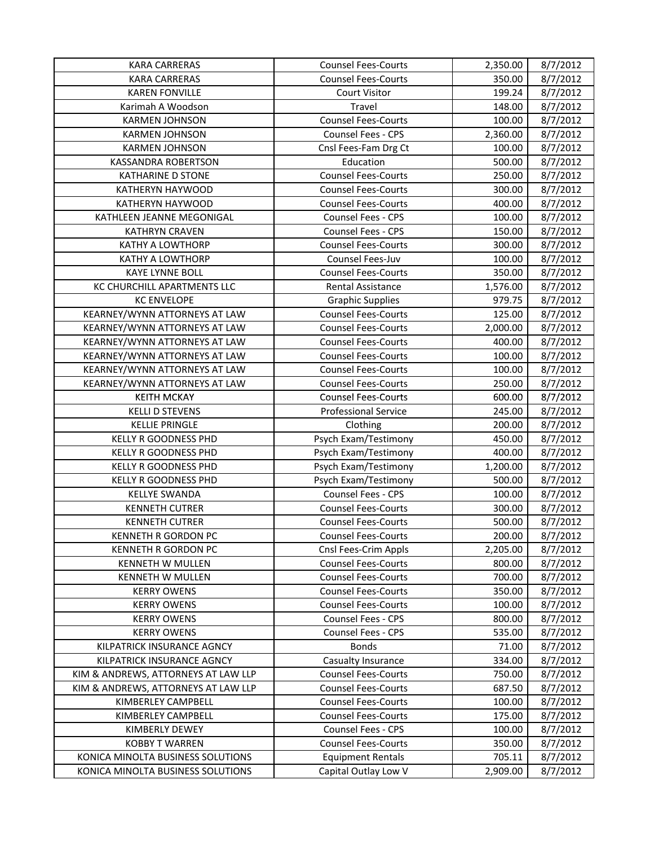| <b>KARA CARRERAS</b>                | <b>Counsel Fees-Courts</b>  | 2,350.00 | 8/7/2012 |
|-------------------------------------|-----------------------------|----------|----------|
| <b>KARA CARRERAS</b>                | <b>Counsel Fees-Courts</b>  | 350.00   | 8/7/2012 |
| <b>KAREN FONVILLE</b>               | <b>Court Visitor</b>        | 199.24   | 8/7/2012 |
| Karimah A Woodson                   | Travel                      | 148.00   | 8/7/2012 |
| <b>KARMEN JOHNSON</b>               | <b>Counsel Fees-Courts</b>  | 100.00   | 8/7/2012 |
| <b>KARMEN JOHNSON</b>               | <b>Counsel Fees - CPS</b>   | 2,360.00 | 8/7/2012 |
| <b>KARMEN JOHNSON</b>               | Cnsl Fees-Fam Drg Ct        | 100.00   | 8/7/2012 |
| <b>KASSANDRA ROBERTSON</b>          | Education                   | 500.00   | 8/7/2012 |
| <b>KATHARINE D STONE</b>            | <b>Counsel Fees-Courts</b>  | 250.00   | 8/7/2012 |
| KATHERYN HAYWOOD                    | <b>Counsel Fees-Courts</b>  | 300.00   | 8/7/2012 |
| KATHERYN HAYWOOD                    | <b>Counsel Fees-Courts</b>  | 400.00   | 8/7/2012 |
| KATHLEEN JEANNE MEGONIGAL           | <b>Counsel Fees - CPS</b>   | 100.00   | 8/7/2012 |
| <b>KATHRYN CRAVEN</b>               | <b>Counsel Fees - CPS</b>   | 150.00   | 8/7/2012 |
| <b>KATHY A LOWTHORP</b>             | <b>Counsel Fees-Courts</b>  | 300.00   | 8/7/2012 |
| <b>KATHY A LOWTHORP</b>             | Counsel Fees-Juv            | 100.00   | 8/7/2012 |
| <b>KAYE LYNNE BOLL</b>              | <b>Counsel Fees-Courts</b>  | 350.00   | 8/7/2012 |
| KC CHURCHILL APARTMENTS LLC         | <b>Rental Assistance</b>    | 1,576.00 | 8/7/2012 |
| <b>KC ENVELOPE</b>                  | <b>Graphic Supplies</b>     | 979.75   | 8/7/2012 |
| KEARNEY/WYNN ATTORNEYS AT LAW       | <b>Counsel Fees-Courts</b>  | 125.00   | 8/7/2012 |
| KEARNEY/WYNN ATTORNEYS AT LAW       | <b>Counsel Fees-Courts</b>  | 2,000.00 | 8/7/2012 |
| KEARNEY/WYNN ATTORNEYS AT LAW       | <b>Counsel Fees-Courts</b>  | 400.00   | 8/7/2012 |
| KEARNEY/WYNN ATTORNEYS AT LAW       | <b>Counsel Fees-Courts</b>  | 100.00   | 8/7/2012 |
| KEARNEY/WYNN ATTORNEYS AT LAW       | <b>Counsel Fees-Courts</b>  | 100.00   | 8/7/2012 |
| KEARNEY/WYNN ATTORNEYS AT LAW       | <b>Counsel Fees-Courts</b>  | 250.00   | 8/7/2012 |
| <b>KEITH MCKAY</b>                  | <b>Counsel Fees-Courts</b>  | 600.00   | 8/7/2012 |
| <b>KELLI D STEVENS</b>              | <b>Professional Service</b> | 245.00   | 8/7/2012 |
| <b>KELLIE PRINGLE</b>               | Clothing                    | 200.00   | 8/7/2012 |
| <b>KELLY R GOODNESS PHD</b>         | Psych Exam/Testimony        | 450.00   | 8/7/2012 |
| <b>KELLY R GOODNESS PHD</b>         | Psych Exam/Testimony        | 400.00   | 8/7/2012 |
| <b>KELLY R GOODNESS PHD</b>         | Psych Exam/Testimony        | 1,200.00 | 8/7/2012 |
| KELLY R GOODNESS PHD                | Psych Exam/Testimony        | 500.00   | 8/7/2012 |
| <b>KELLYE SWANDA</b>                | Counsel Fees - CPS          | 100.00   | 8/7/2012 |
| <b>KENNETH CUTRER</b>               | <b>Counsel Fees-Courts</b>  | 300.00   | 8/7/2012 |
| <b>KENNETH CUTRER</b>               | <b>Counsel Fees-Courts</b>  | 500.00   | 8/7/2012 |
| KENNETH R GORDON PC                 | <b>Counsel Fees-Courts</b>  | 200.00   | 8/7/2012 |
| KENNETH R GORDON PC                 | Cnsl Fees-Crim Appls        | 2,205.00 | 8/7/2012 |
| KENNETH W MULLEN                    | <b>Counsel Fees-Courts</b>  | 800.00   | 8/7/2012 |
| KENNETH W MULLEN                    | <b>Counsel Fees-Courts</b>  | 700.00   | 8/7/2012 |
| <b>KERRY OWENS</b>                  | <b>Counsel Fees-Courts</b>  | 350.00   | 8/7/2012 |
| <b>KERRY OWENS</b>                  | <b>Counsel Fees-Courts</b>  | 100.00   | 8/7/2012 |
| <b>KERRY OWENS</b>                  | <b>Counsel Fees - CPS</b>   | 800.00   | 8/7/2012 |
| <b>KERRY OWENS</b>                  | Counsel Fees - CPS          | 535.00   | 8/7/2012 |
| KILPATRICK INSURANCE AGNCY          | <b>Bonds</b>                | 71.00    | 8/7/2012 |
| KILPATRICK INSURANCE AGNCY          | Casualty Insurance          | 334.00   | 8/7/2012 |
| KIM & ANDREWS, ATTORNEYS AT LAW LLP | <b>Counsel Fees-Courts</b>  | 750.00   | 8/7/2012 |
| KIM & ANDREWS, ATTORNEYS AT LAW LLP | <b>Counsel Fees-Courts</b>  | 687.50   | 8/7/2012 |
| KIMBERLEY CAMPBELL                  | <b>Counsel Fees-Courts</b>  | 100.00   | 8/7/2012 |
| KIMBERLEY CAMPBELL                  | <b>Counsel Fees-Courts</b>  | 175.00   | 8/7/2012 |
| KIMBERLY DEWEY                      | Counsel Fees - CPS          | 100.00   | 8/7/2012 |
| <b>KOBBY T WARREN</b>               | <b>Counsel Fees-Courts</b>  | 350.00   | 8/7/2012 |
| KONICA MINOLTA BUSINESS SOLUTIONS   | <b>Equipment Rentals</b>    | 705.11   | 8/7/2012 |
| KONICA MINOLTA BUSINESS SOLUTIONS   | Capital Outlay Low V        | 2,909.00 | 8/7/2012 |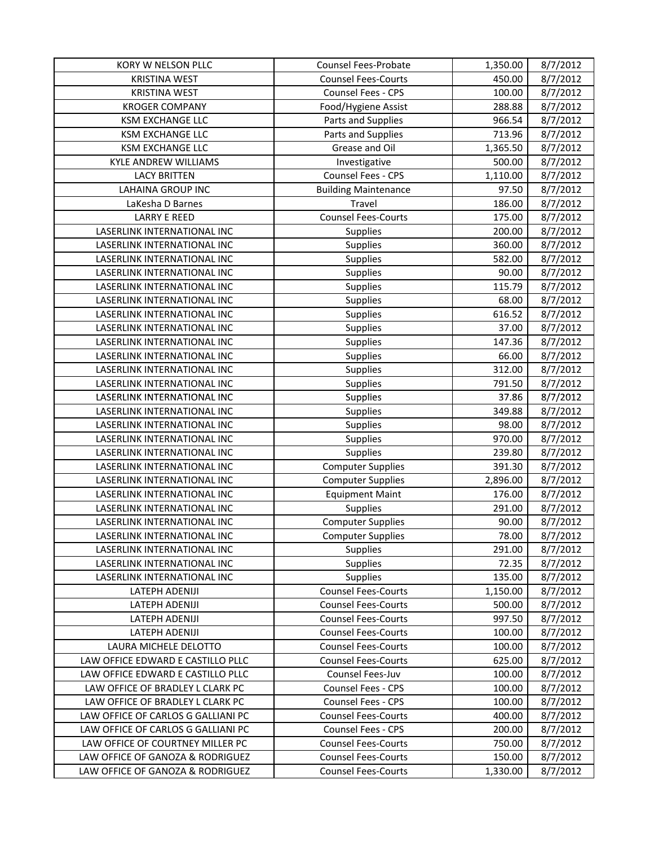| KORY W NELSON PLLC                 | Counsel Fees-Probate        | 1,350.00 | 8/7/2012 |
|------------------------------------|-----------------------------|----------|----------|
| <b>KRISTINA WEST</b>               | <b>Counsel Fees-Courts</b>  | 450.00   | 8/7/2012 |
| <b>KRISTINA WEST</b>               | Counsel Fees - CPS          | 100.00   | 8/7/2012 |
| <b>KROGER COMPANY</b>              | Food/Hygiene Assist         | 288.88   | 8/7/2012 |
| <b>KSM EXCHANGE LLC</b>            | Parts and Supplies          | 966.54   | 8/7/2012 |
| <b>KSM EXCHANGE LLC</b>            | Parts and Supplies          | 713.96   | 8/7/2012 |
| <b>KSM EXCHANGE LLC</b>            | Grease and Oil              | 1,365.50 | 8/7/2012 |
| <b>KYLE ANDREW WILLIAMS</b>        | Investigative               | 500.00   | 8/7/2012 |
| <b>LACY BRITTEN</b>                | Counsel Fees - CPS          | 1,110.00 | 8/7/2012 |
| <b>LAHAINA GROUP INC</b>           | <b>Building Maintenance</b> | 97.50    | 8/7/2012 |
| LaKesha D Barnes                   | Travel                      | 186.00   | 8/7/2012 |
| <b>LARRY E REED</b>                | <b>Counsel Fees-Courts</b>  | 175.00   | 8/7/2012 |
| LASERLINK INTERNATIONAL INC        | Supplies                    | 200.00   | 8/7/2012 |
| LASERLINK INTERNATIONAL INC        | Supplies                    | 360.00   | 8/7/2012 |
| LASERLINK INTERNATIONAL INC        | Supplies                    | 582.00   | 8/7/2012 |
| LASERLINK INTERNATIONAL INC        | Supplies                    | 90.00    | 8/7/2012 |
| LASERLINK INTERNATIONAL INC        | Supplies                    | 115.79   | 8/7/2012 |
| LASERLINK INTERNATIONAL INC        | Supplies                    | 68.00    | 8/7/2012 |
| LASERLINK INTERNATIONAL INC        | Supplies                    | 616.52   | 8/7/2012 |
| LASERLINK INTERNATIONAL INC        | Supplies                    | 37.00    | 8/7/2012 |
| LASERLINK INTERNATIONAL INC        | Supplies                    | 147.36   | 8/7/2012 |
| LASERLINK INTERNATIONAL INC        | Supplies                    | 66.00    | 8/7/2012 |
| LASERLINK INTERNATIONAL INC        | Supplies                    | 312.00   | 8/7/2012 |
| LASERLINK INTERNATIONAL INC        | Supplies                    | 791.50   | 8/7/2012 |
| LASERLINK INTERNATIONAL INC        | Supplies                    | 37.86    | 8/7/2012 |
| LASERLINK INTERNATIONAL INC        | Supplies                    | 349.88   | 8/7/2012 |
| LASERLINK INTERNATIONAL INC        | Supplies                    | 98.00    | 8/7/2012 |
| LASERLINK INTERNATIONAL INC        | Supplies                    | 970.00   | 8/7/2012 |
| LASERLINK INTERNATIONAL INC        | Supplies                    | 239.80   | 8/7/2012 |
| LASERLINK INTERNATIONAL INC        | <b>Computer Supplies</b>    | 391.30   | 8/7/2012 |
| LASERLINK INTERNATIONAL INC        | <b>Computer Supplies</b>    | 2,896.00 | 8/7/2012 |
| LASERLINK INTERNATIONAL INC        | <b>Equipment Maint</b>      | 176.00   | 8/7/2012 |
| LASERLINK INTERNATIONAL INC        | <b>Supplies</b>             | 291.00   | 8/7/2012 |
| LASERLINK INTERNATIONAL INC        | <b>Computer Supplies</b>    | 90.00    | 8/7/2012 |
| LASERLINK INTERNATIONAL INC        | <b>Computer Supplies</b>    | 78.00    | 8/7/2012 |
| LASERLINK INTERNATIONAL INC        | <b>Supplies</b>             | 291.00   | 8/7/2012 |
| LASERLINK INTERNATIONAL INC        | Supplies                    | 72.35    | 8/7/2012 |
| LASERLINK INTERNATIONAL INC        | <b>Supplies</b>             | 135.00   | 8/7/2012 |
| LATEPH ADENIJI                     | <b>Counsel Fees-Courts</b>  | 1,150.00 | 8/7/2012 |
| LATEPH ADENIJI                     | <b>Counsel Fees-Courts</b>  | 500.00   | 8/7/2012 |
| LATEPH ADENIJI                     | <b>Counsel Fees-Courts</b>  | 997.50   | 8/7/2012 |
| LATEPH ADENIJI                     | <b>Counsel Fees-Courts</b>  | 100.00   | 8/7/2012 |
| LAURA MICHELE DELOTTO              | <b>Counsel Fees-Courts</b>  | 100.00   | 8/7/2012 |
| LAW OFFICE EDWARD E CASTILLO PLLC  | <b>Counsel Fees-Courts</b>  | 625.00   | 8/7/2012 |
| LAW OFFICE EDWARD E CASTILLO PLLC  | Counsel Fees-Juv            | 100.00   | 8/7/2012 |
| LAW OFFICE OF BRADLEY L CLARK PC   | Counsel Fees - CPS          | 100.00   | 8/7/2012 |
| LAW OFFICE OF BRADLEY L CLARK PC   | <b>Counsel Fees - CPS</b>   | 100.00   | 8/7/2012 |
| LAW OFFICE OF CARLOS G GALLIANI PC | <b>Counsel Fees-Courts</b>  | 400.00   | 8/7/2012 |
| LAW OFFICE OF CARLOS G GALLIANI PC | Counsel Fees - CPS          | 200.00   | 8/7/2012 |
| LAW OFFICE OF COURTNEY MILLER PC   | <b>Counsel Fees-Courts</b>  | 750.00   | 8/7/2012 |
| LAW OFFICE OF GANOZA & RODRIGUEZ   | <b>Counsel Fees-Courts</b>  | 150.00   | 8/7/2012 |
| LAW OFFICE OF GANOZA & RODRIGUEZ   | <b>Counsel Fees-Courts</b>  | 1,330.00 | 8/7/2012 |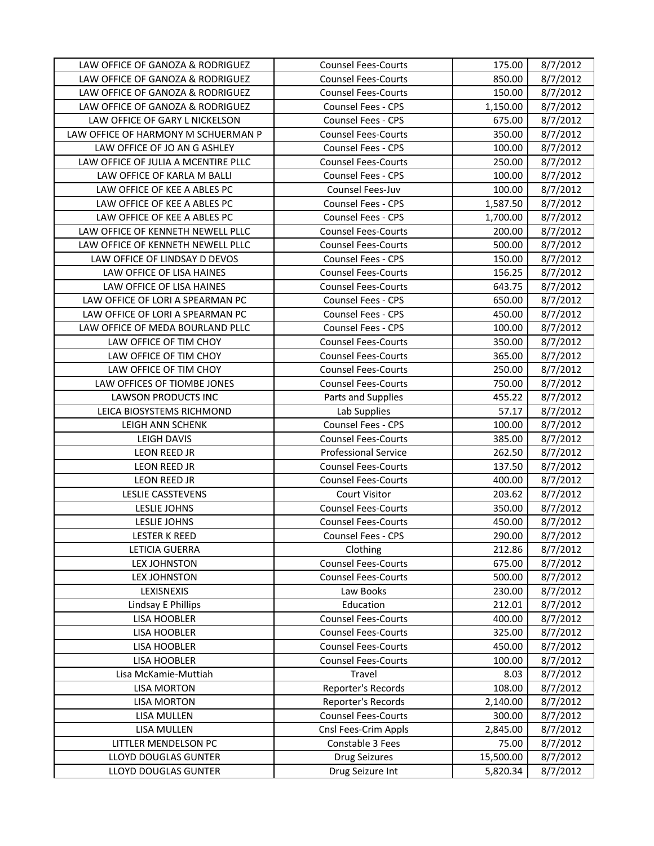| LAW OFFICE OF GANOZA & RODRIGUEZ    | <b>Counsel Fees-Courts</b>  | 175.00    | 8/7/2012 |
|-------------------------------------|-----------------------------|-----------|----------|
| LAW OFFICE OF GANOZA & RODRIGUEZ    | <b>Counsel Fees-Courts</b>  | 850.00    | 8/7/2012 |
| LAW OFFICE OF GANOZA & RODRIGUEZ    | <b>Counsel Fees-Courts</b>  | 150.00    | 8/7/2012 |
| LAW OFFICE OF GANOZA & RODRIGUEZ    | <b>Counsel Fees - CPS</b>   | 1,150.00  | 8/7/2012 |
| LAW OFFICE OF GARY L NICKELSON      | <b>Counsel Fees - CPS</b>   | 675.00    | 8/7/2012 |
| LAW OFFICE OF HARMONY M SCHUERMAN P | <b>Counsel Fees-Courts</b>  | 350.00    | 8/7/2012 |
| LAW OFFICE OF JO AN G ASHLEY        | <b>Counsel Fees - CPS</b>   | 100.00    | 8/7/2012 |
| LAW OFFICE OF JULIA A MCENTIRE PLLC | <b>Counsel Fees-Courts</b>  | 250.00    | 8/7/2012 |
| LAW OFFICE OF KARLA M BALLI         | Counsel Fees - CPS          | 100.00    | 8/7/2012 |
| LAW OFFICE OF KEE A ABLES PC        | Counsel Fees-Juv            | 100.00    | 8/7/2012 |
| LAW OFFICE OF KEE A ABLES PC        | <b>Counsel Fees - CPS</b>   | 1,587.50  | 8/7/2012 |
| LAW OFFICE OF KEE A ABLES PC        | <b>Counsel Fees - CPS</b>   | 1,700.00  | 8/7/2012 |
| LAW OFFICE OF KENNETH NEWELL PLLC   | <b>Counsel Fees-Courts</b>  | 200.00    | 8/7/2012 |
| LAW OFFICE OF KENNETH NEWELL PLLC   | <b>Counsel Fees-Courts</b>  | 500.00    | 8/7/2012 |
| LAW OFFICE OF LINDSAY D DEVOS       | Counsel Fees - CPS          | 150.00    | 8/7/2012 |
| LAW OFFICE OF LISA HAINES           | <b>Counsel Fees-Courts</b>  | 156.25    | 8/7/2012 |
| LAW OFFICE OF LISA HAINES           | <b>Counsel Fees-Courts</b>  | 643.75    | 8/7/2012 |
| LAW OFFICE OF LORI A SPEARMAN PC    | <b>Counsel Fees - CPS</b>   | 650.00    | 8/7/2012 |
| LAW OFFICE OF LORI A SPEARMAN PC    | Counsel Fees - CPS          | 450.00    | 8/7/2012 |
| LAW OFFICE OF MEDA BOURLAND PLLC    | <b>Counsel Fees - CPS</b>   | 100.00    | 8/7/2012 |
| LAW OFFICE OF TIM CHOY              | <b>Counsel Fees-Courts</b>  | 350.00    | 8/7/2012 |
| LAW OFFICE OF TIM CHOY              | <b>Counsel Fees-Courts</b>  | 365.00    | 8/7/2012 |
| LAW OFFICE OF TIM CHOY              | <b>Counsel Fees-Courts</b>  | 250.00    | 8/7/2012 |
| LAW OFFICES OF TIOMBE JONES         | <b>Counsel Fees-Courts</b>  | 750.00    | 8/7/2012 |
| <b>LAWSON PRODUCTS INC</b>          | Parts and Supplies          | 455.22    | 8/7/2012 |
| LEICA BIOSYSTEMS RICHMOND           | Lab Supplies                | 57.17     | 8/7/2012 |
| LEIGH ANN SCHENK                    | Counsel Fees - CPS          | 100.00    | 8/7/2012 |
| LEIGH DAVIS                         | <b>Counsel Fees-Courts</b>  | 385.00    | 8/7/2012 |
| LEON REED JR                        | <b>Professional Service</b> | 262.50    | 8/7/2012 |
| LEON REED JR                        | <b>Counsel Fees-Courts</b>  | 137.50    | 8/7/2012 |
| <b>LEON REED JR</b>                 | <b>Counsel Fees-Courts</b>  | 400.00    | 8/7/2012 |
| LESLIE CASSTEVENS                   | <b>Court Visitor</b>        | 203.62    | 8/7/2012 |
| <b>LESLIE JOHNS</b>                 | <b>Counsel Fees-Courts</b>  | 350.00    | 8/7/2012 |
| <b>LESLIE JOHNS</b>                 | <b>Counsel Fees-Courts</b>  | 450.00    | 8/7/2012 |
| <b>LESTER K REED</b>                | Counsel Fees - CPS          | 290.00    | 8/7/2012 |
| LETICIA GUERRA                      | Clothing                    | 212.86    | 8/7/2012 |
| <b>LEX JOHNSTON</b>                 | <b>Counsel Fees-Courts</b>  | 675.00    | 8/7/2012 |
| <b>LEX JOHNSTON</b>                 | <b>Counsel Fees-Courts</b>  | 500.00    | 8/7/2012 |
| LEXISNEXIS                          | Law Books                   | 230.00    | 8/7/2012 |
| Lindsay E Phillips                  | Education                   | 212.01    | 8/7/2012 |
| <b>LISA HOOBLER</b>                 | <b>Counsel Fees-Courts</b>  | 400.00    | 8/7/2012 |
| <b>LISA HOOBLER</b>                 | <b>Counsel Fees-Courts</b>  | 325.00    | 8/7/2012 |
| <b>LISA HOOBLER</b>                 | <b>Counsel Fees-Courts</b>  | 450.00    | 8/7/2012 |
| <b>LISA HOOBLER</b>                 | <b>Counsel Fees-Courts</b>  | 100.00    | 8/7/2012 |
| Lisa McKamie-Muttiah                | Travel                      | 8.03      | 8/7/2012 |
| <b>LISA MORTON</b>                  | Reporter's Records          | 108.00    | 8/7/2012 |
| <b>LISA MORTON</b>                  | Reporter's Records          | 2,140.00  | 8/7/2012 |
| LISA MULLEN                         | <b>Counsel Fees-Courts</b>  | 300.00    | 8/7/2012 |
| LISA MULLEN                         | Cnsl Fees-Crim Appls        | 2,845.00  | 8/7/2012 |
| LITTLER MENDELSON PC                | Constable 3 Fees            | 75.00     | 8/7/2012 |
| LLOYD DOUGLAS GUNTER                | <b>Drug Seizures</b>        | 15,500.00 | 8/7/2012 |
| LLOYD DOUGLAS GUNTER                | Drug Seizure Int            | 5,820.34  | 8/7/2012 |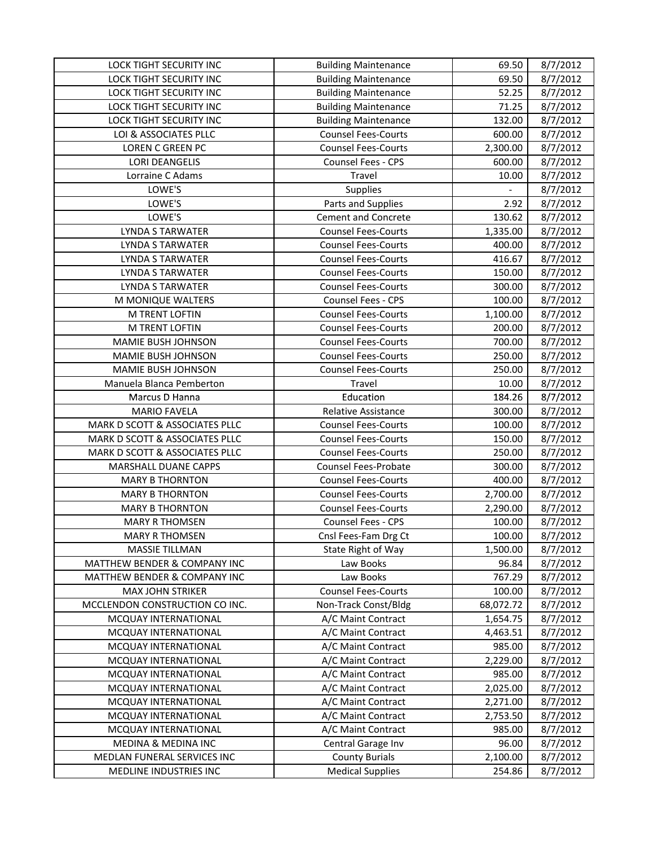| LOCK TIGHT SECURITY INC        | <b>Building Maintenance</b> | 69.50     | 8/7/2012 |
|--------------------------------|-----------------------------|-----------|----------|
| <b>LOCK TIGHT SECURITY INC</b> | <b>Building Maintenance</b> | 69.50     | 8/7/2012 |
| LOCK TIGHT SECURITY INC        | <b>Building Maintenance</b> | 52.25     | 8/7/2012 |
| LOCK TIGHT SECURITY INC        | <b>Building Maintenance</b> | 71.25     | 8/7/2012 |
| LOCK TIGHT SECURITY INC        | <b>Building Maintenance</b> | 132.00    | 8/7/2012 |
| LOI & ASSOCIATES PLLC          | <b>Counsel Fees-Courts</b>  | 600.00    | 8/7/2012 |
| <b>LOREN C GREEN PC</b>        | <b>Counsel Fees-Courts</b>  | 2,300.00  | 8/7/2012 |
| <b>LORI DEANGELIS</b>          | Counsel Fees - CPS          | 600.00    | 8/7/2012 |
| Lorraine C Adams               | Travel                      | 10.00     | 8/7/2012 |
| LOWE'S                         | Supplies                    |           | 8/7/2012 |
| LOWE'S                         | Parts and Supplies          | 2.92      | 8/7/2012 |
| LOWE'S                         | <b>Cement and Concrete</b>  | 130.62    | 8/7/2012 |
| LYNDA S TARWATER               | <b>Counsel Fees-Courts</b>  | 1,335.00  | 8/7/2012 |
| LYNDA S TARWATER               | <b>Counsel Fees-Courts</b>  | 400.00    | 8/7/2012 |
| <b>LYNDA S TARWATER</b>        | <b>Counsel Fees-Courts</b>  | 416.67    | 8/7/2012 |
| <b>LYNDA S TARWATER</b>        | <b>Counsel Fees-Courts</b>  | 150.00    | 8/7/2012 |
| LYNDA S TARWATER               | <b>Counsel Fees-Courts</b>  | 300.00    | 8/7/2012 |
| M MONIQUE WALTERS              | <b>Counsel Fees - CPS</b>   | 100.00    | 8/7/2012 |
| M TRENT LOFTIN                 | <b>Counsel Fees-Courts</b>  | 1,100.00  | 8/7/2012 |
| M TRENT LOFTIN                 | <b>Counsel Fees-Courts</b>  | 200.00    | 8/7/2012 |
| MAMIE BUSH JOHNSON             | <b>Counsel Fees-Courts</b>  | 700.00    | 8/7/2012 |
| MAMIE BUSH JOHNSON             | <b>Counsel Fees-Courts</b>  | 250.00    | 8/7/2012 |
| MAMIE BUSH JOHNSON             | <b>Counsel Fees-Courts</b>  | 250.00    | 8/7/2012 |
| Manuela Blanca Pemberton       | Travel                      | 10.00     | 8/7/2012 |
| Marcus D Hanna                 | Education                   | 184.26    | 8/7/2012 |
| <b>MARIO FAVELA</b>            | <b>Relative Assistance</b>  | 300.00    | 8/7/2012 |
| MARK D SCOTT & ASSOCIATES PLLC | <b>Counsel Fees-Courts</b>  | 100.00    | 8/7/2012 |
| MARK D SCOTT & ASSOCIATES PLLC | <b>Counsel Fees-Courts</b>  | 150.00    | 8/7/2012 |
| MARK D SCOTT & ASSOCIATES PLLC | <b>Counsel Fees-Courts</b>  | 250.00    | 8/7/2012 |
| MARSHALL DUANE CAPPS           | Counsel Fees-Probate        | 300.00    | 8/7/2012 |
| <b>MARY B THORNTON</b>         | <b>Counsel Fees-Courts</b>  | 400.00    | 8/7/2012 |
| <b>MARY B THORNTON</b>         | <b>Counsel Fees-Courts</b>  | 2,700.00  | 8/7/2012 |
| <b>MARY B THORNTON</b>         | <b>Counsel Fees-Courts</b>  | 2,290.00  | 8/7/2012 |
| <b>MARY R THOMSEN</b>          | Counsel Fees - CPS          | 100.00    | 8/7/2012 |
| <b>MARY R THOMSEN</b>          | Cnsl Fees-Fam Drg Ct        | 100.00    | 8/7/2012 |
| MASSIE TILLMAN                 | State Right of Way          | 1,500.00  | 8/7/2012 |
| MATTHEW BENDER & COMPANY INC   | Law Books                   | 96.84     | 8/7/2012 |
| MATTHEW BENDER & COMPANY INC   | Law Books                   | 767.29    | 8/7/2012 |
| <b>MAX JOHN STRIKER</b>        | <b>Counsel Fees-Courts</b>  | 100.00    | 8/7/2012 |
| MCCLENDON CONSTRUCTION CO INC. | Non-Track Const/Bldg        | 68,072.72 | 8/7/2012 |
| MCQUAY INTERNATIONAL           | A/C Maint Contract          | 1,654.75  | 8/7/2012 |
| MCQUAY INTERNATIONAL           | A/C Maint Contract          | 4,463.51  | 8/7/2012 |
| MCQUAY INTERNATIONAL           | A/C Maint Contract          | 985.00    | 8/7/2012 |
| MCQUAY INTERNATIONAL           | A/C Maint Contract          | 2,229.00  | 8/7/2012 |
| MCQUAY INTERNATIONAL           | A/C Maint Contract          | 985.00    | 8/7/2012 |
| MCQUAY INTERNATIONAL           | A/C Maint Contract          | 2,025.00  | 8/7/2012 |
| MCQUAY INTERNATIONAL           | A/C Maint Contract          | 2,271.00  | 8/7/2012 |
| MCQUAY INTERNATIONAL           | A/C Maint Contract          | 2,753.50  | 8/7/2012 |
| MCQUAY INTERNATIONAL           | A/C Maint Contract          | 985.00    | 8/7/2012 |
| MEDINA & MEDINA INC            | Central Garage Inv          | 96.00     | 8/7/2012 |
| MEDLAN FUNERAL SERVICES INC    | <b>County Burials</b>       | 2,100.00  | 8/7/2012 |
| MEDLINE INDUSTRIES INC         | <b>Medical Supplies</b>     | 254.86    | 8/7/2012 |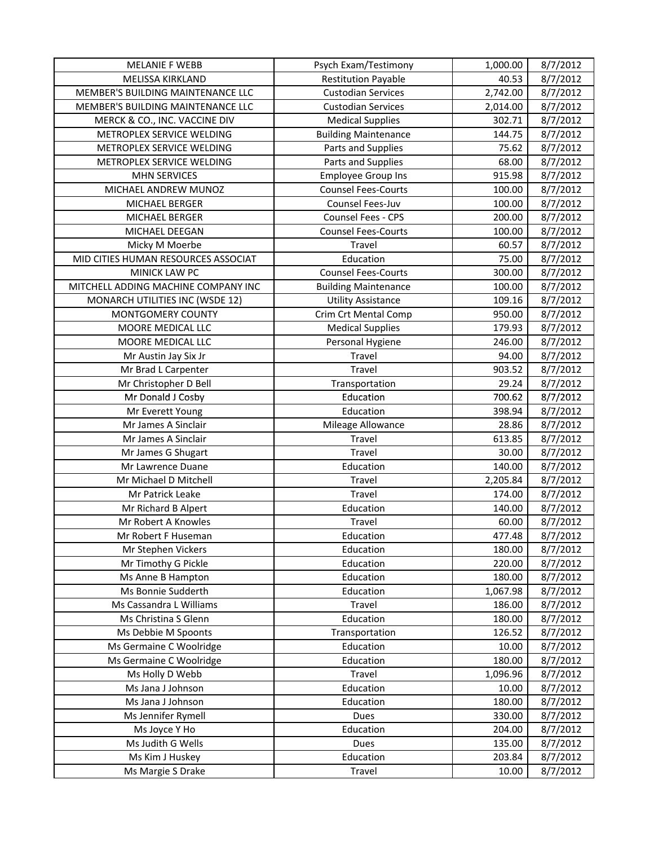| <b>MELANIE F WEBB</b>               | Psych Exam/Testimony        | 1,000.00 | 8/7/2012              |
|-------------------------------------|-----------------------------|----------|-----------------------|
| <b>MELISSA KIRKLAND</b>             | <b>Restitution Payable</b>  | 40.53    | 8/7/2012              |
| MEMBER'S BUILDING MAINTENANCE LLC   | <b>Custodian Services</b>   | 2,742.00 | 8/7/2012              |
| MEMBER'S BUILDING MAINTENANCE LLC   | <b>Custodian Services</b>   | 2,014.00 | 8/7/2012              |
| MERCK & CO., INC. VACCINE DIV       | <b>Medical Supplies</b>     | 302.71   | 8/7/2012              |
| METROPLEX SERVICE WELDING           | <b>Building Maintenance</b> | 144.75   | 8/7/2012              |
| METROPLEX SERVICE WELDING           | Parts and Supplies          | 75.62    | 8/7/2012              |
| METROPLEX SERVICE WELDING           | Parts and Supplies          | 68.00    | 8/7/2012              |
| <b>MHN SERVICES</b>                 | <b>Employee Group Ins</b>   | 915.98   | 8/7/2012              |
| MICHAEL ANDREW MUNOZ                | <b>Counsel Fees-Courts</b>  | 100.00   | 8/7/2012              |
| MICHAEL BERGER                      | Counsel Fees-Juv            | 100.00   | 8/7/2012              |
| MICHAEL BERGER                      | Counsel Fees - CPS          | 200.00   | 8/7/2012              |
| MICHAEL DEEGAN                      | <b>Counsel Fees-Courts</b>  | 100.00   | 8/7/2012              |
| Micky M Moerbe                      | Travel                      | 60.57    | $\frac{1}{8}$ /7/2012 |
| MID CITIES HUMAN RESOURCES ASSOCIAT | Education                   | 75.00    | 8/7/2012              |
| MINICK LAW PC                       | <b>Counsel Fees-Courts</b>  | 300.00   | 8/7/2012              |
| MITCHELL ADDING MACHINE COMPANY INC | <b>Building Maintenance</b> | 100.00   | 8/7/2012              |
| MONARCH UTILITIES INC (WSDE 12)     | <b>Utility Assistance</b>   | 109.16   | 8/7/2012              |
| MONTGOMERY COUNTY                   | Crim Crt Mental Comp        | 950.00   | 8/7/2012              |
| MOORE MEDICAL LLC                   | <b>Medical Supplies</b>     | 179.93   | 8/7/2012              |
| MOORE MEDICAL LLC                   | Personal Hygiene            | 246.00   | 8/7/2012              |
| Mr Austin Jay Six Jr                | Travel                      | 94.00    | 8/7/2012              |
| Mr Brad L Carpenter                 | Travel                      | 903.52   | 8/7/2012              |
| Mr Christopher D Bell               | Transportation              | 29.24    | 8/7/2012              |
| Mr Donald J Cosby                   | Education                   | 700.62   | 8/7/2012              |
| Mr Everett Young                    | Education                   | 398.94   | 8/7/2012              |
| Mr James A Sinclair                 | Mileage Allowance           | 28.86    | 8/7/2012              |
| Mr James A Sinclair                 | Travel                      | 613.85   | 8/7/2012              |
| Mr James G Shugart                  | Travel                      | 30.00    | 8/7/2012              |
| Mr Lawrence Duane                   | Education                   | 140.00   | 8/7/2012              |
| Mr Michael D Mitchell               | Travel                      | 2,205.84 | 8/7/2012              |
| Mr Patrick Leake                    | Travel                      | 174.00   | 8/7/2012              |
| Mr Richard B Alpert                 | Education                   | 140.00   | $\frac{1}{8}$ /7/2012 |
| Mr Robert A Knowles                 | Travel                      | 60.00    | 8/7/2012              |
| Mr Robert F Huseman                 | Education                   | 477.48   | 8/7/2012              |
| Mr Stephen Vickers                  | Education                   | 180.00   | 8/7/2012              |
| Mr Timothy G Pickle                 | Education                   | 220.00   | 8/7/2012              |
| Ms Anne B Hampton                   | Education                   | 180.00   | 8/7/2012              |
| Ms Bonnie Sudderth                  | Education                   | 1,067.98 | 8/7/2012              |
| Ms Cassandra L Williams             | Travel                      | 186.00   | 8/7/2012              |
| Ms Christina S Glenn                | Education                   | 180.00   | 8/7/2012              |
| Ms Debbie M Spoonts                 | Transportation              | 126.52   | 8/7/2012              |
| Ms Germaine C Woolridge             | Education                   | 10.00    | 8/7/2012              |
| Ms Germaine C Woolridge             | Education                   | 180.00   | 8/7/2012              |
| Ms Holly D Webb                     | Travel                      | 1,096.96 | 8/7/2012              |
| Ms Jana J Johnson                   | Education                   | 10.00    | 8/7/2012              |
| Ms Jana J Johnson                   | Education                   | 180.00   | 8/7/2012              |
| Ms Jennifer Rymell                  | Dues                        | 330.00   | 8/7/2012              |
| Ms Joyce Y Ho                       | Education                   | 204.00   | 8/7/2012              |
| Ms Judith G Wells                   | Dues                        | 135.00   | 8/7/2012              |
| Ms Kim J Huskey                     | Education                   | 203.84   | 8/7/2012              |
| Ms Margie S Drake                   | Travel                      | 10.00    | 8/7/2012              |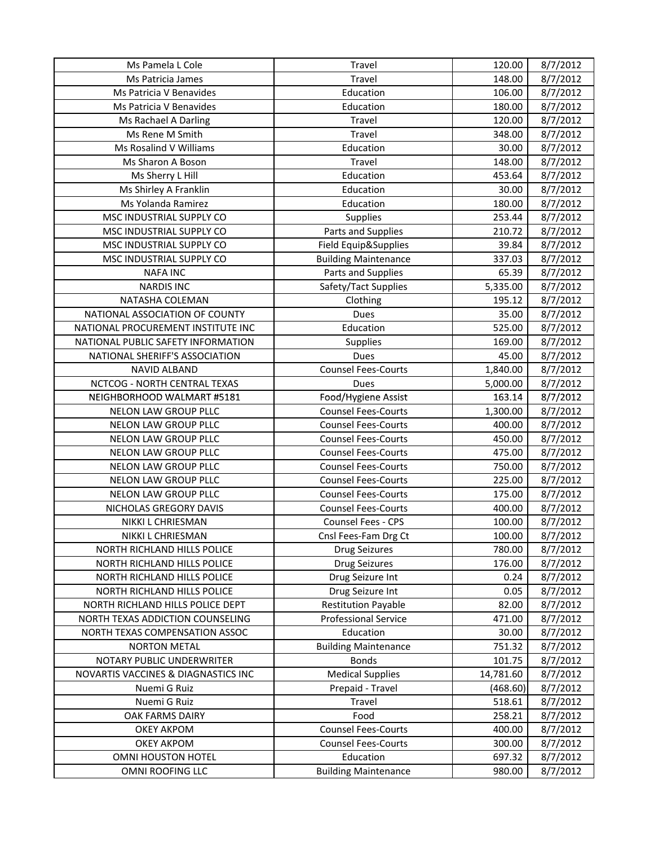| Ms Pamela L Cole                    | Travel                      | 120.00    | 8/7/2012 |
|-------------------------------------|-----------------------------|-----------|----------|
| Ms Patricia James                   | Travel                      | 148.00    | 8/7/2012 |
| Ms Patricia V Benavides             | Education                   | 106.00    | 8/7/2012 |
| Ms Patricia V Benavides             | Education                   | 180.00    | 8/7/2012 |
| Ms Rachael A Darling                | Travel                      | 120.00    | 8/7/2012 |
| Ms Rene M Smith                     | Travel                      | 348.00    | 8/7/2012 |
| Ms Rosalind V Williams              | Education                   | 30.00     | 8/7/2012 |
| Ms Sharon A Boson                   | Travel                      | 148.00    | 8/7/2012 |
| Ms Sherry L Hill                    | Education                   | 453.64    | 8/7/2012 |
| Ms Shirley A Franklin               | Education                   | 30.00     | 8/7/2012 |
| Ms Yolanda Ramirez                  | Education                   | 180.00    | 8/7/2012 |
| MSC INDUSTRIAL SUPPLY CO            | Supplies                    | 253.44    | 8/7/2012 |
| MSC INDUSTRIAL SUPPLY CO            | Parts and Supplies          | 210.72    | 8/7/2012 |
| MSC INDUSTRIAL SUPPLY CO            | Field Equip&Supplies        | 39.84     | 8/7/2012 |
| MSC INDUSTRIAL SUPPLY CO            | <b>Building Maintenance</b> | 337.03    | 8/7/2012 |
| <b>NAFA INC</b>                     | Parts and Supplies          | 65.39     | 8/7/2012 |
| <b>NARDIS INC</b>                   | Safety/Tact Supplies        | 5,335.00  | 8/7/2012 |
| NATASHA COLEMAN                     | Clothing                    | 195.12    | 8/7/2012 |
| NATIONAL ASSOCIATION OF COUNTY      | Dues                        | 35.00     | 8/7/2012 |
| NATIONAL PROCUREMENT INSTITUTE INC  | Education                   | 525.00    | 8/7/2012 |
| NATIONAL PUBLIC SAFETY INFORMATION  | Supplies                    | 169.00    | 8/7/2012 |
| NATIONAL SHERIFF'S ASSOCIATION      | Dues                        | 45.00     | 8/7/2012 |
| <b>NAVID ALBAND</b>                 | <b>Counsel Fees-Courts</b>  | 1,840.00  | 8/7/2012 |
| NCTCOG - NORTH CENTRAL TEXAS        | <b>Dues</b>                 | 5,000.00  | 8/7/2012 |
| NEIGHBORHOOD WALMART #5181          | Food/Hygiene Assist         | 163.14    | 8/7/2012 |
| NELON LAW GROUP PLLC                | <b>Counsel Fees-Courts</b>  | 1,300.00  | 8/7/2012 |
| NELON LAW GROUP PLLC                | <b>Counsel Fees-Courts</b>  | 400.00    | 8/7/2012 |
| NELON LAW GROUP PLLC                | <b>Counsel Fees-Courts</b>  | 450.00    | 8/7/2012 |
| NELON LAW GROUP PLLC                | <b>Counsel Fees-Courts</b>  | 475.00    | 8/7/2012 |
| NELON LAW GROUP PLLC                | <b>Counsel Fees-Courts</b>  | 750.00    | 8/7/2012 |
| NELON LAW GROUP PLLC                | <b>Counsel Fees-Courts</b>  | 225.00    | 8/7/2012 |
| NELON LAW GROUP PLLC                | <b>Counsel Fees-Courts</b>  | 175.00    | 8/7/2012 |
| NICHOLAS GREGORY DAVIS              | <b>Counsel Fees-Courts</b>  | 400.00    | 8/7/2012 |
| NIKKI L CHRIESMAN                   | Counsel Fees - CPS          | 100.00    | 8/7/2012 |
| NIKKI L CHRIESMAN                   | Cnsl Fees-Fam Drg Ct        | 100.00    | 8/7/2012 |
| NORTH RICHLAND HILLS POLICE         | <b>Drug Seizures</b>        | 780.00    | 8/7/2012 |
| NORTH RICHLAND HILLS POLICE         | <b>Drug Seizures</b>        | 176.00    | 8/7/2012 |
| NORTH RICHLAND HILLS POLICE         | Drug Seizure Int            | 0.24      | 8/7/2012 |
| NORTH RICHLAND HILLS POLICE         | Drug Seizure Int            | 0.05      | 8/7/2012 |
| NORTH RICHLAND HILLS POLICE DEPT    | <b>Restitution Payable</b>  | 82.00     | 8/7/2012 |
| NORTH TEXAS ADDICTION COUNSELING    | <b>Professional Service</b> | 471.00    | 8/7/2012 |
| NORTH TEXAS COMPENSATION ASSOC      | Education                   | 30.00     | 8/7/2012 |
| <b>NORTON METAL</b>                 | <b>Building Maintenance</b> | 751.32    | 8/7/2012 |
| NOTARY PUBLIC UNDERWRITER           | <b>Bonds</b>                | 101.75    | 8/7/2012 |
| NOVARTIS VACCINES & DIAGNASTICS INC | <b>Medical Supplies</b>     | 14,781.60 | 8/7/2012 |
| Nuemi G Ruiz                        | Prepaid - Travel            | (468.60)  | 8/7/2012 |
| Nuemi G Ruiz                        | Travel                      | 518.61    | 8/7/2012 |
| OAK FARMS DAIRY                     | Food                        | 258.21    | 8/7/2012 |
| <b>OKEY AKPOM</b>                   | <b>Counsel Fees-Courts</b>  | 400.00    | 8/7/2012 |
| <b>OKEY AKPOM</b>                   | <b>Counsel Fees-Courts</b>  | 300.00    | 8/7/2012 |
| OMNI HOUSTON HOTEL                  | Education                   | 697.32    | 8/7/2012 |
| OMNI ROOFING LLC                    | <b>Building Maintenance</b> | 980.00    | 8/7/2012 |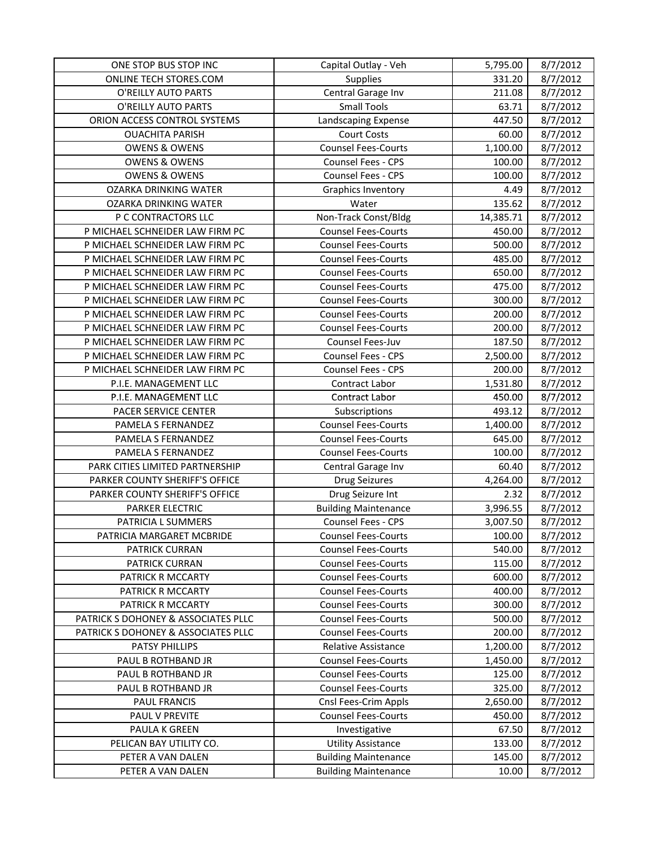| ONE STOP BUS STOP INC               | Capital Outlay - Veh        | 5,795.00  | 8/7/2012 |
|-------------------------------------|-----------------------------|-----------|----------|
| ONLINE TECH STORES.COM              | Supplies                    | 331.20    | 8/7/2012 |
| O'REILLY AUTO PARTS                 | Central Garage Inv          | 211.08    | 8/7/2012 |
| O'REILLY AUTO PARTS                 | <b>Small Tools</b>          | 63.71     | 8/7/2012 |
| ORION ACCESS CONTROL SYSTEMS        | Landscaping Expense         | 447.50    | 8/7/2012 |
| <b>OUACHITA PARISH</b>              | <b>Court Costs</b>          | 60.00     | 8/7/2012 |
| <b>OWENS &amp; OWENS</b>            | <b>Counsel Fees-Courts</b>  | 1,100.00  | 8/7/2012 |
| <b>OWENS &amp; OWENS</b>            | Counsel Fees - CPS          | 100.00    | 8/7/2012 |
| <b>OWENS &amp; OWENS</b>            | Counsel Fees - CPS          | 100.00    | 8/7/2012 |
| <b>OZARKA DRINKING WATER</b>        | Graphics Inventory          | 4.49      | 8/7/2012 |
| <b>OZARKA DRINKING WATER</b>        | Water                       | 135.62    | 8/7/2012 |
| P C CONTRACTORS LLC                 | Non-Track Const/Bldg        | 14,385.71 | 8/7/2012 |
| P MICHAEL SCHNEIDER LAW FIRM PC     | <b>Counsel Fees-Courts</b>  | 450.00    | 8/7/2012 |
| P MICHAEL SCHNEIDER LAW FIRM PC     | <b>Counsel Fees-Courts</b>  | 500.00    | 8/7/2012 |
| P MICHAEL SCHNEIDER LAW FIRM PC     | <b>Counsel Fees-Courts</b>  | 485.00    | 8/7/2012 |
| P MICHAEL SCHNEIDER LAW FIRM PC     | <b>Counsel Fees-Courts</b>  | 650.00    | 8/7/2012 |
| P MICHAEL SCHNEIDER LAW FIRM PC     | <b>Counsel Fees-Courts</b>  | 475.00    | 8/7/2012 |
| P MICHAEL SCHNEIDER LAW FIRM PC     | <b>Counsel Fees-Courts</b>  | 300.00    | 8/7/2012 |
| P MICHAEL SCHNEIDER LAW FIRM PC     | <b>Counsel Fees-Courts</b>  | 200.00    | 8/7/2012 |
| P MICHAEL SCHNEIDER LAW FIRM PC     | <b>Counsel Fees-Courts</b>  | 200.00    | 8/7/2012 |
| P MICHAEL SCHNEIDER LAW FIRM PC     | Counsel Fees-Juv            | 187.50    | 8/7/2012 |
| P MICHAEL SCHNEIDER LAW FIRM PC     | <b>Counsel Fees - CPS</b>   | 2,500.00  | 8/7/2012 |
| P MICHAEL SCHNEIDER LAW FIRM PC     | Counsel Fees - CPS          | 200.00    | 8/7/2012 |
| P.I.E. MANAGEMENT LLC               | Contract Labor              | 1,531.80  | 8/7/2012 |
| P.I.E. MANAGEMENT LLC               | Contract Labor              | 450.00    | 8/7/2012 |
| PACER SERVICE CENTER                | Subscriptions               | 493.12    | 8/7/2012 |
| PAMELA S FERNANDEZ                  | <b>Counsel Fees-Courts</b>  | 1,400.00  | 8/7/2012 |
| PAMELA S FERNANDEZ                  | <b>Counsel Fees-Courts</b>  | 645.00    | 8/7/2012 |
| PAMELA S FERNANDEZ                  | <b>Counsel Fees-Courts</b>  | 100.00    | 8/7/2012 |
| PARK CITIES LIMITED PARTNERSHIP     | Central Garage Inv          | 60.40     | 8/7/2012 |
| PARKER COUNTY SHERIFF'S OFFICE      | <b>Drug Seizures</b>        | 4,264.00  | 8/7/2012 |
| PARKER COUNTY SHERIFF'S OFFICE      | Drug Seizure Int            | 2.32      | 8/7/2012 |
| PARKER ELECTRIC                     | <b>Building Maintenance</b> | 3,996.55  | 8/7/2012 |
| PATRICIA L SUMMERS                  | Counsel Fees - CPS          | 3,007.50  | 8/7/2012 |
| PATRICIA MARGARET MCBRIDE           | <b>Counsel Fees-Courts</b>  | 100.00    | 8/7/2012 |
| PATRICK CURRAN                      | <b>Counsel Fees-Courts</b>  | 540.00    | 8/7/2012 |
| PATRICK CURRAN                      | <b>Counsel Fees-Courts</b>  | 115.00    | 8/7/2012 |
| PATRICK R MCCARTY                   | <b>Counsel Fees-Courts</b>  | 600.00    | 8/7/2012 |
| PATRICK R MCCARTY                   | <b>Counsel Fees-Courts</b>  | 400.00    | 8/7/2012 |
| PATRICK R MCCARTY                   | <b>Counsel Fees-Courts</b>  | 300.00    | 8/7/2012 |
| PATRICK S DOHONEY & ASSOCIATES PLLC | <b>Counsel Fees-Courts</b>  | 500.00    | 8/7/2012 |
| PATRICK S DOHONEY & ASSOCIATES PLLC | <b>Counsel Fees-Courts</b>  | 200.00    | 8/7/2012 |
| PATSY PHILLIPS                      | Relative Assistance         | 1,200.00  | 8/7/2012 |
| PAUL B ROTHBAND JR                  | <b>Counsel Fees-Courts</b>  | 1,450.00  | 8/7/2012 |
| PAUL B ROTHBAND JR                  | <b>Counsel Fees-Courts</b>  | 125.00    | 8/7/2012 |
| PAUL B ROTHBAND JR                  | <b>Counsel Fees-Courts</b>  | 325.00    | 8/7/2012 |
| <b>PAUL FRANCIS</b>                 | Cnsl Fees-Crim Appls        | 2,650.00  | 8/7/2012 |
| PAUL V PREVITE                      | <b>Counsel Fees-Courts</b>  | 450.00    | 8/7/2012 |
| PAULA K GREEN                       | Investigative               | 67.50     | 8/7/2012 |
| PELICAN BAY UTILITY CO.             | <b>Utility Assistance</b>   | 133.00    | 8/7/2012 |
| PETER A VAN DALEN                   | <b>Building Maintenance</b> | 145.00    | 8/7/2012 |
| PETER A VAN DALEN                   | <b>Building Maintenance</b> | 10.00     | 8/7/2012 |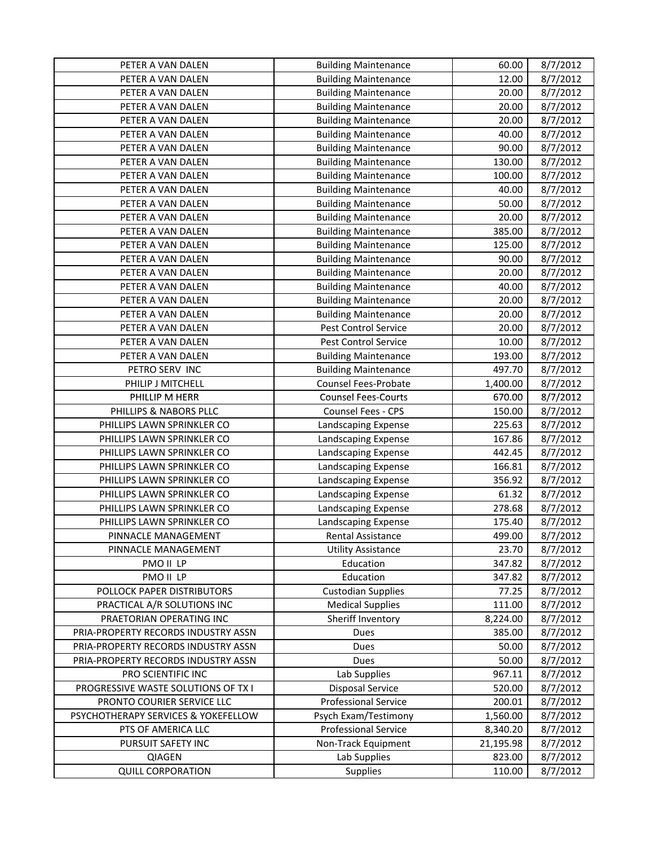| PETER A VAN DALEN                   | <b>Building Maintenance</b> | 60.00     | 8/7/2012 |
|-------------------------------------|-----------------------------|-----------|----------|
| PETER A VAN DALEN                   | <b>Building Maintenance</b> | 12.00     | 8/7/2012 |
| PETER A VAN DALEN                   | <b>Building Maintenance</b> | 20.00     | 8/7/2012 |
| PETER A VAN DALEN                   | <b>Building Maintenance</b> | 20.00     | 8/7/2012 |
| PETER A VAN DALEN                   | <b>Building Maintenance</b> | 20.00     | 8/7/2012 |
| PETER A VAN DALEN                   | <b>Building Maintenance</b> | 40.00     | 8/7/2012 |
| PETER A VAN DALEN                   | <b>Building Maintenance</b> | 90.00     | 8/7/2012 |
| PETER A VAN DALEN                   | <b>Building Maintenance</b> | 130.00    | 8/7/2012 |
| PETER A VAN DALEN                   | <b>Building Maintenance</b> | 100.00    | 8/7/2012 |
| PETER A VAN DALEN                   | <b>Building Maintenance</b> | 40.00     | 8/7/2012 |
| PETER A VAN DALEN                   | <b>Building Maintenance</b> | 50.00     | 8/7/2012 |
| PETER A VAN DALEN                   | <b>Building Maintenance</b> | 20.00     | 8/7/2012 |
| PETER A VAN DALEN                   | <b>Building Maintenance</b> | 385.00    | 8/7/2012 |
| PETER A VAN DALEN                   | <b>Building Maintenance</b> | 125.00    | 8/7/2012 |
| PETER A VAN DALEN                   | <b>Building Maintenance</b> | 90.00     | 8/7/2012 |
| PETER A VAN DALEN                   | <b>Building Maintenance</b> | 20.00     | 8/7/2012 |
| PETER A VAN DALEN                   | <b>Building Maintenance</b> | 40.00     | 8/7/2012 |
| PETER A VAN DALEN                   | <b>Building Maintenance</b> | 20.00     | 8/7/2012 |
| PETER A VAN DALEN                   | <b>Building Maintenance</b> | 20.00     | 8/7/2012 |
| PETER A VAN DALEN                   | Pest Control Service        | 20.00     | 8/7/2012 |
| PETER A VAN DALEN                   | Pest Control Service        | 10.00     | 8/7/2012 |
| PETER A VAN DALEN                   | <b>Building Maintenance</b> | 193.00    | 8/7/2012 |
| PETRO SERV INC                      | <b>Building Maintenance</b> | 497.70    | 8/7/2012 |
| PHILIP J MITCHELL                   | Counsel Fees-Probate        | 1,400.00  | 8/7/2012 |
| PHILLIP M HERR                      | <b>Counsel Fees-Courts</b>  | 670.00    | 8/7/2012 |
| PHILLIPS & NABORS PLLC              | Counsel Fees - CPS          | 150.00    | 8/7/2012 |
| PHILLIPS LAWN SPRINKLER CO          | Landscaping Expense         | 225.63    | 8/7/2012 |
| PHILLIPS LAWN SPRINKLER CO          | Landscaping Expense         | 167.86    | 8/7/2012 |
| PHILLIPS LAWN SPRINKLER CO          | Landscaping Expense         | 442.45    | 8/7/2012 |
| PHILLIPS LAWN SPRINKLER CO          | Landscaping Expense         | 166.81    | 8/7/2012 |
| PHILLIPS LAWN SPRINKLER CO          | Landscaping Expense         | 356.92    | 8/7/2012 |
| PHILLIPS LAWN SPRINKLER CO          | Landscaping Expense         | 61.32     | 8/7/2012 |
| PHILLIPS LAWN SPRINKLER CO          | Landscaping Expense         | 278.68    | 8/7/2012 |
| PHILLIPS LAWN SPRINKLER CO          | Landscaping Expense         | 175.40    | 8/7/2012 |
| PINNACLE MANAGEMENT                 | Rental Assistance           | 499.00    | 8/7/2012 |
| PINNACLE MANAGEMENT                 | <b>Utility Assistance</b>   | 23.70     | 8/7/2012 |
| PMO II LP                           | Education                   | 347.82    | 8/7/2012 |
| PMO II LP                           | Education                   | 347.82    | 8/7/2012 |
| POLLOCK PAPER DISTRIBUTORS          | <b>Custodian Supplies</b>   | 77.25     | 8/7/2012 |
| PRACTICAL A/R SOLUTIONS INC         | <b>Medical Supplies</b>     | 111.00    | 8/7/2012 |
| PRAETORIAN OPERATING INC            | Sheriff Inventory           | 8,224.00  | 8/7/2012 |
| PRIA-PROPERTY RECORDS INDUSTRY ASSN | Dues                        | 385.00    | 8/7/2012 |
| PRIA-PROPERTY RECORDS INDUSTRY ASSN | Dues                        | 50.00     | 8/7/2012 |
| PRIA-PROPERTY RECORDS INDUSTRY ASSN | Dues                        | 50.00     | 8/7/2012 |
| PRO SCIENTIFIC INC                  | Lab Supplies                | 967.11    | 8/7/2012 |
| PROGRESSIVE WASTE SOLUTIONS OF TX I | <b>Disposal Service</b>     | 520.00    | 8/7/2012 |
| PRONTO COURIER SERVICE LLC          | <b>Professional Service</b> | 200.01    | 8/7/2012 |
| PSYCHOTHERAPY SERVICES & YOKEFELLOW | Psych Exam/Testimony        | 1,560.00  | 8/7/2012 |
| PTS OF AMERICA LLC                  | <b>Professional Service</b> | 8,340.20  | 8/7/2012 |
| PURSUIT SAFETY INC                  | Non-Track Equipment         | 21,195.98 | 8/7/2012 |
| <b>QIAGEN</b>                       | Lab Supplies                | 823.00    | 8/7/2012 |
| <b>QUILL CORPORATION</b>            | Supplies                    | 110.00    | 8/7/2012 |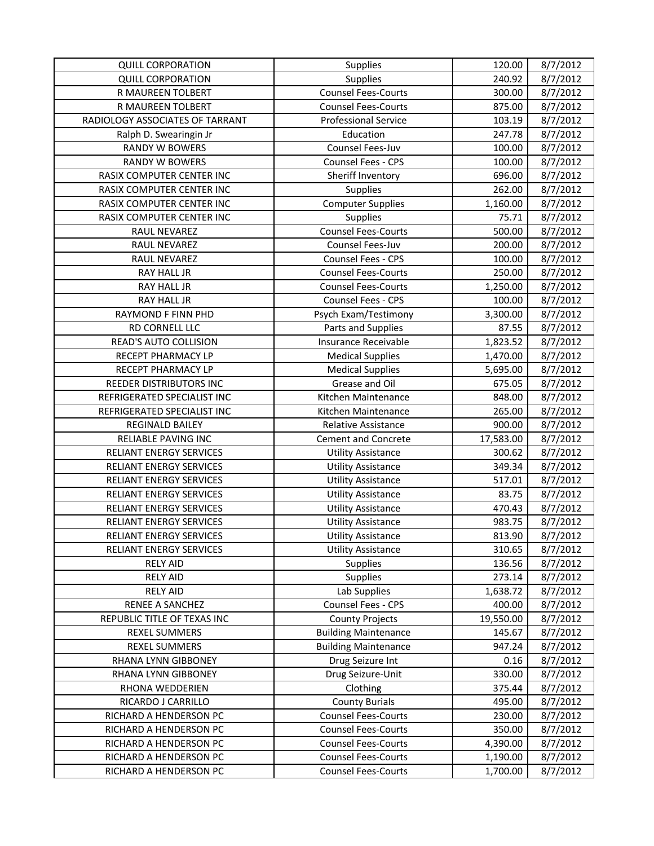| <b>QUILL CORPORATION</b>        | Supplies                    | 120.00    | 8/7/2012 |
|---------------------------------|-----------------------------|-----------|----------|
| <b>QUILL CORPORATION</b>        | <b>Supplies</b>             | 240.92    | 8/7/2012 |
| R MAUREEN TOLBERT               | <b>Counsel Fees-Courts</b>  | 300.00    | 8/7/2012 |
| R MAUREEN TOLBERT               | <b>Counsel Fees-Courts</b>  | 875.00    | 8/7/2012 |
| RADIOLOGY ASSOCIATES OF TARRANT | <b>Professional Service</b> | 103.19    | 8/7/2012 |
| Ralph D. Swearingin Jr          | Education                   | 247.78    | 8/7/2012 |
| <b>RANDY W BOWERS</b>           | Counsel Fees-Juv            | 100.00    | 8/7/2012 |
| <b>RANDY W BOWERS</b>           | Counsel Fees - CPS          | 100.00    | 8/7/2012 |
| RASIX COMPUTER CENTER INC       | Sheriff Inventory           | 696.00    | 8/7/2012 |
| RASIX COMPUTER CENTER INC       | <b>Supplies</b>             | 262.00    | 8/7/2012 |
| RASIX COMPUTER CENTER INC       | <b>Computer Supplies</b>    | 1,160.00  | 8/7/2012 |
| RASIX COMPUTER CENTER INC       | <b>Supplies</b>             | 75.71     | 8/7/2012 |
| RAUL NEVAREZ                    | <b>Counsel Fees-Courts</b>  | 500.00    | 8/7/2012 |
| RAUL NEVAREZ                    | Counsel Fees-Juv            | 200.00    | 8/7/2012 |
| RAUL NEVAREZ                    | Counsel Fees - CPS          | 100.00    | 8/7/2012 |
| <b>RAY HALL JR</b>              | <b>Counsel Fees-Courts</b>  | 250.00    | 8/7/2012 |
| <b>RAY HALL JR</b>              | <b>Counsel Fees-Courts</b>  | 1,250.00  | 8/7/2012 |
| <b>RAY HALL JR</b>              | <b>Counsel Fees - CPS</b>   | 100.00    | 8/7/2012 |
| RAYMOND F FINN PHD              | Psych Exam/Testimony        | 3,300.00  | 8/7/2012 |
| RD CORNELL LLC                  | Parts and Supplies          | 87.55     | 8/7/2012 |
| READ'S AUTO COLLISION           | Insurance Receivable        | 1,823.52  | 8/7/2012 |
| RECEPT PHARMACY LP              | <b>Medical Supplies</b>     | 1,470.00  | 8/7/2012 |
| RECEPT PHARMACY LP              | <b>Medical Supplies</b>     | 5,695.00  | 8/7/2012 |
| REEDER DISTRIBUTORS INC         | Grease and Oil              | 675.05    | 8/7/2012 |
| REFRIGERATED SPECIALIST INC     | Kitchen Maintenance         | 848.00    | 8/7/2012 |
| REFRIGERATED SPECIALIST INC     | Kitchen Maintenance         | 265.00    | 8/7/2012 |
| <b>REGINALD BAILEY</b>          | <b>Relative Assistance</b>  | 900.00    | 8/7/2012 |
| <b>RELIABLE PAVING INC</b>      | <b>Cement and Concrete</b>  | 17,583.00 | 8/7/2012 |
| <b>RELIANT ENERGY SERVICES</b>  | <b>Utility Assistance</b>   | 300.62    | 8/7/2012 |
| RELIANT ENERGY SERVICES         | <b>Utility Assistance</b>   | 349.34    | 8/7/2012 |
| <b>RELIANT ENERGY SERVICES</b>  | <b>Utility Assistance</b>   | 517.01    | 8/7/2012 |
| RELIANT ENERGY SERVICES         | <b>Utility Assistance</b>   | 83.75     | 8/7/2012 |
| RELIANT ENERGY SERVICES         | <b>Utility Assistance</b>   | 470.43    | 8/7/2012 |
| RELIANT ENERGY SERVICES         | <b>Utility Assistance</b>   | 983.75    | 8/7/2012 |
| <b>RELIANT ENERGY SERVICES</b>  | <b>Utility Assistance</b>   | 813.90    | 8/7/2012 |
| RELIANT ENERGY SERVICES         | <b>Utility Assistance</b>   | 310.65    | 8/7/2012 |
| <b>RELY AID</b>                 | Supplies                    | 136.56    | 8/7/2012 |
| <b>RELY AID</b>                 | <b>Supplies</b>             | 273.14    | 8/7/2012 |
| <b>RELY AID</b>                 | Lab Supplies                | 1,638.72  | 8/7/2012 |
| RENEE A SANCHEZ                 | Counsel Fees - CPS          | 400.00    | 8/7/2012 |
| REPUBLIC TITLE OF TEXAS INC     | <b>County Projects</b>      | 19,550.00 | 8/7/2012 |
| <b>REXEL SUMMERS</b>            | <b>Building Maintenance</b> | 145.67    | 8/7/2012 |
| <b>REXEL SUMMERS</b>            | <b>Building Maintenance</b> | 947.24    | 8/7/2012 |
| RHANA LYNN GIBBONEY             | Drug Seizure Int            | 0.16      | 8/7/2012 |
| RHANA LYNN GIBBONEY             | Drug Seizure-Unit           | 330.00    | 8/7/2012 |
| RHONA WEDDERIEN                 | Clothing                    | 375.44    | 8/7/2012 |
| RICARDO J CARRILLO              | <b>County Burials</b>       | 495.00    | 8/7/2012 |
| RICHARD A HENDERSON PC          | <b>Counsel Fees-Courts</b>  | 230.00    | 8/7/2012 |
| RICHARD A HENDERSON PC          | <b>Counsel Fees-Courts</b>  | 350.00    | 8/7/2012 |
| RICHARD A HENDERSON PC          | <b>Counsel Fees-Courts</b>  | 4,390.00  | 8/7/2012 |
| RICHARD A HENDERSON PC          | <b>Counsel Fees-Courts</b>  | 1,190.00  | 8/7/2012 |
| RICHARD A HENDERSON PC          | <b>Counsel Fees-Courts</b>  | 1,700.00  | 8/7/2012 |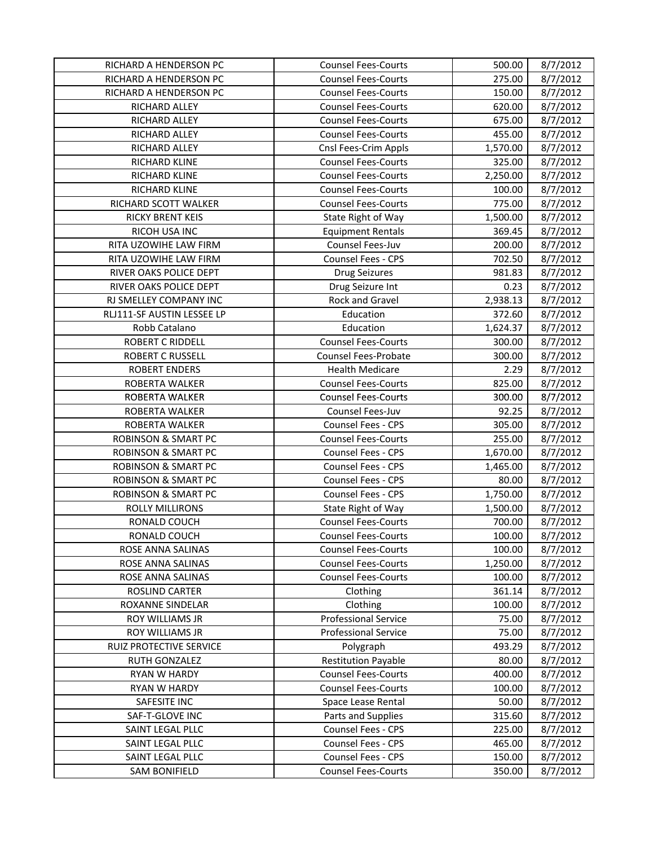| RICHARD A HENDERSON PC         | <b>Counsel Fees-Courts</b>  | 500.00   | 8/7/2012 |
|--------------------------------|-----------------------------|----------|----------|
| RICHARD A HENDERSON PC         | <b>Counsel Fees-Courts</b>  | 275.00   | 8/7/2012 |
| RICHARD A HENDERSON PC         | <b>Counsel Fees-Courts</b>  | 150.00   | 8/7/2012 |
| RICHARD ALLEY                  | <b>Counsel Fees-Courts</b>  | 620.00   | 8/7/2012 |
| RICHARD ALLEY                  | <b>Counsel Fees-Courts</b>  | 675.00   | 8/7/2012 |
| RICHARD ALLEY                  | <b>Counsel Fees-Courts</b>  | 455.00   | 8/7/2012 |
| RICHARD ALLEY                  | Cnsl Fees-Crim Appls        | 1,570.00 | 8/7/2012 |
| RICHARD KLINE                  | <b>Counsel Fees-Courts</b>  | 325.00   | 8/7/2012 |
| RICHARD KLINE                  | <b>Counsel Fees-Courts</b>  | 2,250.00 | 8/7/2012 |
| RICHARD KLINE                  | <b>Counsel Fees-Courts</b>  | 100.00   | 8/7/2012 |
| RICHARD SCOTT WALKER           | <b>Counsel Fees-Courts</b>  | 775.00   | 8/7/2012 |
| <b>RICKY BRENT KEIS</b>        | State Right of Way          | 1,500.00 | 8/7/2012 |
| RICOH USA INC                  | <b>Equipment Rentals</b>    | 369.45   | 8/7/2012 |
| RITA UZOWIHE LAW FIRM          | Counsel Fees-Juv            | 200.00   | 8/7/2012 |
| RITA UZOWIHE LAW FIRM          | Counsel Fees - CPS          | 702.50   | 8/7/2012 |
| RIVER OAKS POLICE DEPT         | <b>Drug Seizures</b>        | 981.83   | 8/7/2012 |
| RIVER OAKS POLICE DEPT         | Drug Seizure Int            | 0.23     | 8/7/2012 |
| RJ SMELLEY COMPANY INC         | Rock and Gravel             | 2,938.13 | 8/7/2012 |
| RLJ111-SF AUSTIN LESSEE LP     | Education                   | 372.60   | 8/7/2012 |
| Robb Catalano                  | Education                   | 1,624.37 | 8/7/2012 |
| <b>ROBERT C RIDDELL</b>        | <b>Counsel Fees-Courts</b>  | 300.00   | 8/7/2012 |
| <b>ROBERT C RUSSELL</b>        | <b>Counsel Fees-Probate</b> | 300.00   | 8/7/2012 |
| <b>ROBERT ENDERS</b>           | <b>Health Medicare</b>      | 2.29     | 8/7/2012 |
| ROBERTA WALKER                 | <b>Counsel Fees-Courts</b>  | 825.00   | 8/7/2012 |
| ROBERTA WALKER                 | <b>Counsel Fees-Courts</b>  | 300.00   | 8/7/2012 |
| ROBERTA WALKER                 | Counsel Fees-Juv            | 92.25    | 8/7/2012 |
| ROBERTA WALKER                 | Counsel Fees - CPS          | 305.00   | 8/7/2012 |
| <b>ROBINSON &amp; SMART PC</b> | <b>Counsel Fees-Courts</b>  | 255.00   | 8/7/2012 |
| <b>ROBINSON &amp; SMART PC</b> | Counsel Fees - CPS          | 1,670.00 | 8/7/2012 |
| <b>ROBINSON &amp; SMART PC</b> | Counsel Fees - CPS          | 1,465.00 | 8/7/2012 |
| <b>ROBINSON &amp; SMART PC</b> | Counsel Fees - CPS          | 80.00    | 8/7/2012 |
| <b>ROBINSON &amp; SMART PC</b> | Counsel Fees - CPS          | 1,750.00 | 8/7/2012 |
| ROLLY MILLIRONS                | State Right of Way          | 1,500.00 | 8/7/2012 |
| RONALD COUCH                   | <b>Counsel Fees-Courts</b>  | 700.00   | 8/7/2012 |
| RONALD COUCH                   | <b>Counsel Fees-Courts</b>  | 100.00   | 8/7/2012 |
| ROSE ANNA SALINAS              | <b>Counsel Fees-Courts</b>  | 100.00   | 8/7/2012 |
| ROSE ANNA SALINAS              | <b>Counsel Fees-Courts</b>  | 1,250.00 | 8/7/2012 |
| ROSE ANNA SALINAS              | <b>Counsel Fees-Courts</b>  | 100.00   | 8/7/2012 |
| ROSLIND CARTER                 | Clothing                    | 361.14   | 8/7/2012 |
| <b>ROXANNE SINDELAR</b>        | Clothing                    | 100.00   | 8/7/2012 |
| ROY WILLIAMS JR                | <b>Professional Service</b> | 75.00    | 8/7/2012 |
| ROY WILLIAMS JR                | <b>Professional Service</b> | 75.00    | 8/7/2012 |
| <b>RUIZ PROTECTIVE SERVICE</b> | Polygraph                   | 493.29   | 8/7/2012 |
| RUTH GONZALEZ                  | <b>Restitution Payable</b>  | 80.00    | 8/7/2012 |
| <b>RYAN W HARDY</b>            | <b>Counsel Fees-Courts</b>  | 400.00   | 8/7/2012 |
| RYAN W HARDY                   | <b>Counsel Fees-Courts</b>  | 100.00   | 8/7/2012 |
| SAFESITE INC                   | Space Lease Rental          | 50.00    | 8/7/2012 |
| SAF-T-GLOVE INC                | Parts and Supplies          | 315.60   | 8/7/2012 |
| SAINT LEGAL PLLC               | Counsel Fees - CPS          | 225.00   | 8/7/2012 |
| SAINT LEGAL PLLC               | Counsel Fees - CPS          | 465.00   | 8/7/2012 |
| SAINT LEGAL PLLC               | Counsel Fees - CPS          | 150.00   | 8/7/2012 |
| <b>SAM BONIFIELD</b>           | <b>Counsel Fees-Courts</b>  | 350.00   | 8/7/2012 |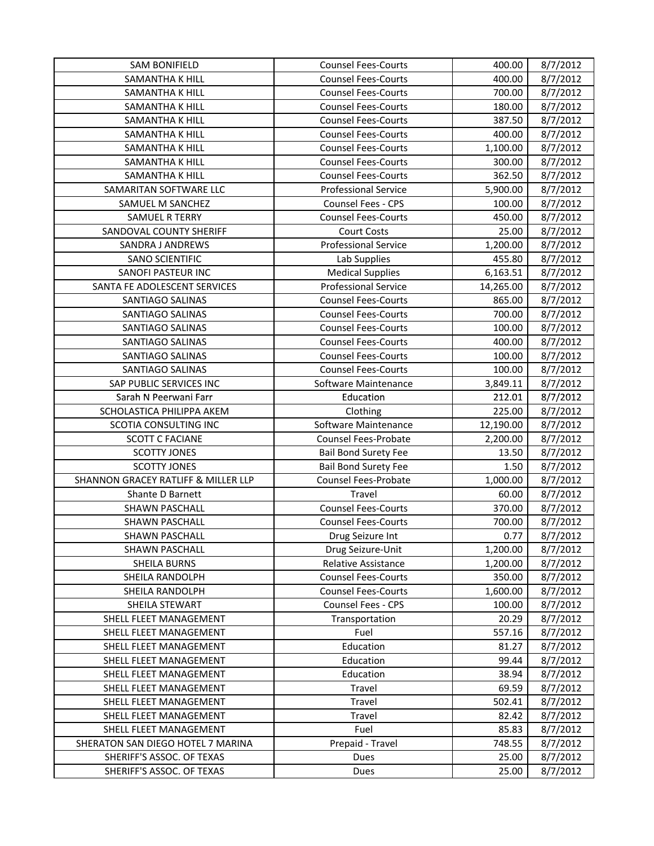| <b>SAM BONIFIELD</b>                | <b>Counsel Fees-Courts</b>  | 400.00    | 8/7/2012 |
|-------------------------------------|-----------------------------|-----------|----------|
| SAMANTHA K HILL                     | <b>Counsel Fees-Courts</b>  | 400.00    | 8/7/2012 |
| <b>SAMANTHA K HILL</b>              | <b>Counsel Fees-Courts</b>  | 700.00    | 8/7/2012 |
| SAMANTHA K HILL                     | <b>Counsel Fees-Courts</b>  | 180.00    | 8/7/2012 |
| SAMANTHA K HILL                     | <b>Counsel Fees-Courts</b>  | 387.50    | 8/7/2012 |
| SAMANTHA K HILL                     | <b>Counsel Fees-Courts</b>  | 400.00    | 8/7/2012 |
| SAMANTHA K HILL                     | <b>Counsel Fees-Courts</b>  | 1,100.00  | 8/7/2012 |
| SAMANTHA K HILL                     | <b>Counsel Fees-Courts</b>  | 300.00    | 8/7/2012 |
| SAMANTHA K HILL                     | <b>Counsel Fees-Courts</b>  | 362.50    | 8/7/2012 |
| SAMARITAN SOFTWARE LLC              | <b>Professional Service</b> | 5,900.00  | 8/7/2012 |
| SAMUEL M SANCHEZ                    | <b>Counsel Fees - CPS</b>   | 100.00    | 8/7/2012 |
| <b>SAMUEL R TERRY</b>               | <b>Counsel Fees-Courts</b>  | 450.00    | 8/7/2012 |
| SANDOVAL COUNTY SHERIFF             | <b>Court Costs</b>          | 25.00     | 8/7/2012 |
| SANDRA J ANDREWS                    | <b>Professional Service</b> | 1,200.00  | 8/7/2012 |
| <b>SANO SCIENTIFIC</b>              | Lab Supplies                | 455.80    | 8/7/2012 |
| SANOFI PASTEUR INC                  | <b>Medical Supplies</b>     | 6,163.51  | 8/7/2012 |
| SANTA FE ADOLESCENT SERVICES        | <b>Professional Service</b> | 14,265.00 | 8/7/2012 |
| <b>SANTIAGO SALINAS</b>             | <b>Counsel Fees-Courts</b>  | 865.00    | 8/7/2012 |
| SANTIAGO SALINAS                    | <b>Counsel Fees-Courts</b>  | 700.00    | 8/7/2012 |
| SANTIAGO SALINAS                    | <b>Counsel Fees-Courts</b>  | 100.00    | 8/7/2012 |
| SANTIAGO SALINAS                    | <b>Counsel Fees-Courts</b>  | 400.00    | 8/7/2012 |
| <b>SANTIAGO SALINAS</b>             | <b>Counsel Fees-Courts</b>  | 100.00    | 8/7/2012 |
| SANTIAGO SALINAS                    | <b>Counsel Fees-Courts</b>  | 100.00    | 8/7/2012 |
| SAP PUBLIC SERVICES INC             | Software Maintenance        | 3,849.11  | 8/7/2012 |
| Sarah N Peerwani Farr               | Education                   | 212.01    | 8/7/2012 |
| SCHOLASTICA PHILIPPA AKEM           | Clothing                    | 225.00    | 8/7/2012 |
| SCOTIA CONSULTING INC               | Software Maintenance        | 12,190.00 | 8/7/2012 |
| <b>SCOTT C FACIANE</b>              | Counsel Fees-Probate        | 2,200.00  | 8/7/2012 |
| <b>SCOTTY JONES</b>                 | <b>Bail Bond Surety Fee</b> | 13.50     | 8/7/2012 |
| <b>SCOTTY JONES</b>                 | <b>Bail Bond Surety Fee</b> | 1.50      | 8/7/2012 |
| SHANNON GRACEY RATLIFF & MILLER LLP | <b>Counsel Fees-Probate</b> | 1,000.00  | 8/7/2012 |
| Shante D Barnett                    | Travel                      | 60.00     | 8/7/2012 |
| <b>SHAWN PASCHALL</b>               | <b>Counsel Fees-Courts</b>  | 370.00    | 8/7/2012 |
| <b>SHAWN PASCHALL</b>               | <b>Counsel Fees-Courts</b>  | 700.00    | 8/7/2012 |
| <b>SHAWN PASCHALL</b>               | Drug Seizure Int            | 0.77      | 8/7/2012 |
| SHAWN PASCHALL                      | Drug Seizure-Unit           | 1,200.00  | 8/7/2012 |
| SHEILA BURNS                        | Relative Assistance         | 1,200.00  | 8/7/2012 |
| <b>SHEILA RANDOLPH</b>              | <b>Counsel Fees-Courts</b>  | 350.00    | 8/7/2012 |
| SHEILA RANDOLPH                     | <b>Counsel Fees-Courts</b>  | 1,600.00  | 8/7/2012 |
| SHEILA STEWART                      | Counsel Fees - CPS          | 100.00    | 8/7/2012 |
| SHELL FLEET MANAGEMENT              | Transportation              | 20.29     | 8/7/2012 |
| <b>SHELL FLEET MANAGEMENT</b>       | Fuel                        | 557.16    | 8/7/2012 |
| SHELL FLEET MANAGEMENT              | Education                   | 81.27     | 8/7/2012 |
| SHELL FLEET MANAGEMENT              | Education                   | 99.44     | 8/7/2012 |
| SHELL FLEET MANAGEMENT              | Education                   | 38.94     | 8/7/2012 |
| SHELL FLEET MANAGEMENT              | Travel                      | 69.59     | 8/7/2012 |
| SHELL FLEET MANAGEMENT              | Travel                      | 502.41    | 8/7/2012 |
| SHELL FLEET MANAGEMENT              | Travel                      | 82.42     | 8/7/2012 |
| SHELL FLEET MANAGEMENT              | Fuel                        | 85.83     | 8/7/2012 |
| SHERATON SAN DIEGO HOTEL 7 MARINA   | Prepaid - Travel            | 748.55    | 8/7/2012 |
| SHERIFF'S ASSOC. OF TEXAS           | Dues                        | 25.00     | 8/7/2012 |
| SHERIFF'S ASSOC. OF TEXAS           | Dues                        | 25.00     | 8/7/2012 |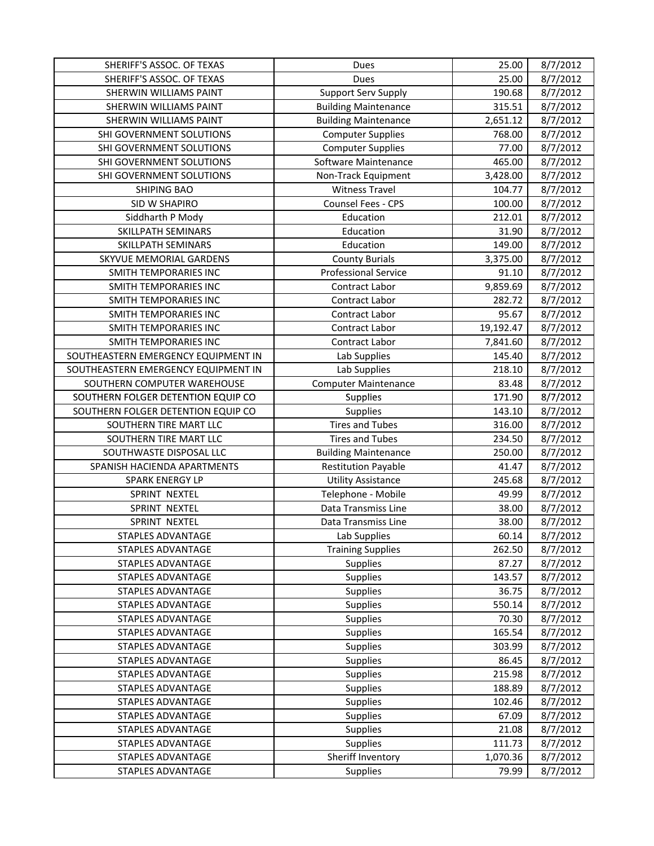| SHERIFF'S ASSOC. OF TEXAS           | Dues                        | 25.00     | 8/7/2012 |
|-------------------------------------|-----------------------------|-----------|----------|
| SHERIFF'S ASSOC. OF TEXAS           | Dues                        | 25.00     | 8/7/2012 |
| SHERWIN WILLIAMS PAINT              | <b>Support Serv Supply</b>  | 190.68    | 8/7/2012 |
| SHERWIN WILLIAMS PAINT              | <b>Building Maintenance</b> | 315.51    | 8/7/2012 |
| SHERWIN WILLIAMS PAINT              | <b>Building Maintenance</b> | 2,651.12  | 8/7/2012 |
| SHI GOVERNMENT SOLUTIONS            | <b>Computer Supplies</b>    | 768.00    | 8/7/2012 |
| SHI GOVERNMENT SOLUTIONS            | <b>Computer Supplies</b>    | 77.00     | 8/7/2012 |
| SHI GOVERNMENT SOLUTIONS            | Software Maintenance        | 465.00    | 8/7/2012 |
| SHI GOVERNMENT SOLUTIONS            | Non-Track Equipment         | 3,428.00  | 8/7/2012 |
| <b>SHIPING BAO</b>                  | <b>Witness Travel</b>       | 104.77    | 8/7/2012 |
| SID W SHAPIRO                       | <b>Counsel Fees - CPS</b>   | 100.00    | 8/7/2012 |
| Siddharth P Mody                    | Education                   | 212.01    | 8/7/2012 |
| SKILLPATH SEMINARS                  | Education                   | 31.90     | 8/7/2012 |
| SKILLPATH SEMINARS                  | Education                   | 149.00    | 8/7/2012 |
| SKYVUE MEMORIAL GARDENS             | <b>County Burials</b>       | 3,375.00  | 8/7/2012 |
| SMITH TEMPORARIES INC               | <b>Professional Service</b> | 91.10     | 8/7/2012 |
| SMITH TEMPORARIES INC               | Contract Labor              | 9,859.69  | 8/7/2012 |
| <b>SMITH TEMPORARIES INC</b>        | Contract Labor              | 282.72    | 8/7/2012 |
| SMITH TEMPORARIES INC               | Contract Labor              | 95.67     | 8/7/2012 |
| SMITH TEMPORARIES INC               | Contract Labor              | 19,192.47 | 8/7/2012 |
| <b>SMITH TEMPORARIES INC</b>        | Contract Labor              | 7,841.60  | 8/7/2012 |
| SOUTHEASTERN EMERGENCY EQUIPMENT IN | Lab Supplies                | 145.40    | 8/7/2012 |
| SOUTHEASTERN EMERGENCY EQUIPMENT IN | Lab Supplies                | 218.10    | 8/7/2012 |
| SOUTHERN COMPUTER WAREHOUSE         | <b>Computer Maintenance</b> | 83.48     | 8/7/2012 |
| SOUTHERN FOLGER DETENTION EQUIP CO  | <b>Supplies</b>             | 171.90    | 8/7/2012 |
| SOUTHERN FOLGER DETENTION EQUIP CO  | Supplies                    | 143.10    | 8/7/2012 |
| SOUTHERN TIRE MART LLC              | <b>Tires and Tubes</b>      | 316.00    | 8/7/2012 |
| SOUTHERN TIRE MART LLC              | <b>Tires and Tubes</b>      | 234.50    | 8/7/2012 |
| SOUTHWASTE DISPOSAL LLC             | <b>Building Maintenance</b> | 250.00    | 8/7/2012 |
| SPANISH HACIENDA APARTMENTS         | <b>Restitution Payable</b>  | 41.47     | 8/7/2012 |
| SPARK ENERGY LP                     | <b>Utility Assistance</b>   | 245.68    | 8/7/2012 |
| SPRINT NEXTEL                       | Telephone - Mobile          | 49.99     | 8/7/2012 |
| SPRINT NEXTEL                       | Data Transmiss Line         | 38.00     | 8/7/2012 |
| SPRINT NEXTEL                       | Data Transmiss Line         | 38.00     | 8/7/2012 |
| STAPLES ADVANTAGE                   | Lab Supplies                | 60.14     | 8/7/2012 |
| STAPLES ADVANTAGE                   | <b>Training Supplies</b>    | 262.50    | 8/7/2012 |
| <b>STAPLES ADVANTAGE</b>            | Supplies                    | 87.27     | 8/7/2012 |
| <b>STAPLES ADVANTAGE</b>            | <b>Supplies</b>             | 143.57    | 8/7/2012 |
| STAPLES ADVANTAGE                   | Supplies                    | 36.75     | 8/7/2012 |
| <b>STAPLES ADVANTAGE</b>            | <b>Supplies</b>             | 550.14    | 8/7/2012 |
| <b>STAPLES ADVANTAGE</b>            | Supplies                    | 70.30     | 8/7/2012 |
| STAPLES ADVANTAGE                   | Supplies                    | 165.54    | 8/7/2012 |
| STAPLES ADVANTAGE                   | Supplies                    | 303.99    | 8/7/2012 |
| <b>STAPLES ADVANTAGE</b>            | Supplies                    | 86.45     | 8/7/2012 |
| STAPLES ADVANTAGE                   | Supplies                    | 215.98    | 8/7/2012 |
| STAPLES ADVANTAGE                   | Supplies                    | 188.89    | 8/7/2012 |
| <b>STAPLES ADVANTAGE</b>            | Supplies                    | 102.46    | 8/7/2012 |
| STAPLES ADVANTAGE                   | Supplies                    | 67.09     | 8/7/2012 |
| STAPLES ADVANTAGE                   | Supplies                    | 21.08     | 8/7/2012 |
| STAPLES ADVANTAGE                   | Supplies                    | 111.73    | 8/7/2012 |
| STAPLES ADVANTAGE                   | Sheriff Inventory           | 1,070.36  | 8/7/2012 |
| STAPLES ADVANTAGE                   | Supplies                    | 79.99     | 8/7/2012 |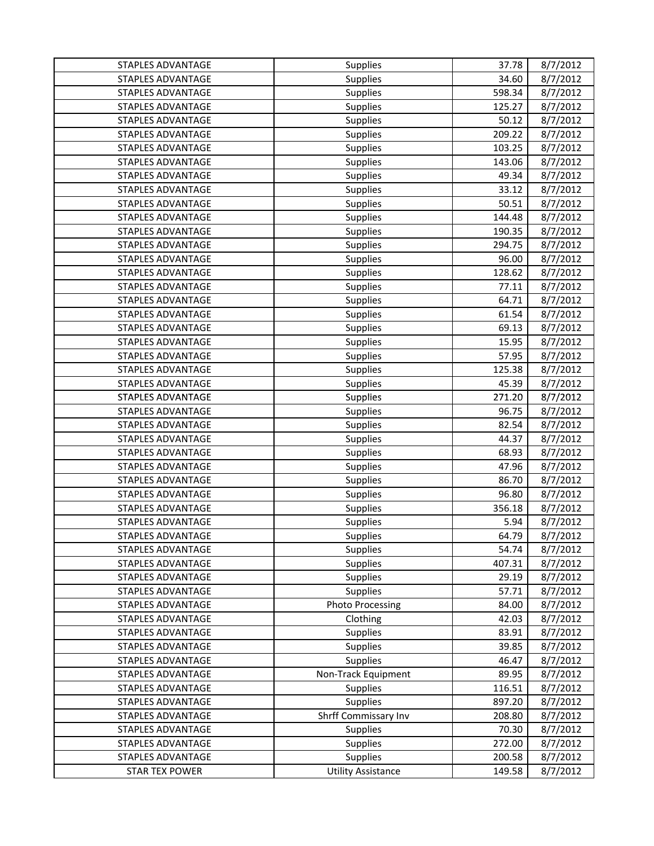| STAPLES ADVANTAGE        | <b>Supplies</b>           | 37.78  | 8/7/2012 |
|--------------------------|---------------------------|--------|----------|
| <b>STAPLES ADVANTAGE</b> | Supplies                  | 34.60  | 8/7/2012 |
| <b>STAPLES ADVANTAGE</b> | Supplies                  | 598.34 | 8/7/2012 |
| <b>STAPLES ADVANTAGE</b> | Supplies                  | 125.27 | 8/7/2012 |
| <b>STAPLES ADVANTAGE</b> | Supplies                  | 50.12  | 8/7/2012 |
| <b>STAPLES ADVANTAGE</b> | <b>Supplies</b>           | 209.22 | 8/7/2012 |
| <b>STAPLES ADVANTAGE</b> | <b>Supplies</b>           | 103.25 | 8/7/2012 |
| <b>STAPLES ADVANTAGE</b> | Supplies                  | 143.06 | 8/7/2012 |
| <b>STAPLES ADVANTAGE</b> | Supplies                  | 49.34  | 8/7/2012 |
| <b>STAPLES ADVANTAGE</b> | Supplies                  | 33.12  | 8/7/2012 |
| <b>STAPLES ADVANTAGE</b> | Supplies                  | 50.51  | 8/7/2012 |
| <b>STAPLES ADVANTAGE</b> | <b>Supplies</b>           | 144.48 | 8/7/2012 |
| STAPLES ADVANTAGE        | Supplies                  | 190.35 | 8/7/2012 |
| STAPLES ADVANTAGE        | Supplies                  | 294.75 | 8/7/2012 |
| <b>STAPLES ADVANTAGE</b> | Supplies                  | 96.00  | 8/7/2012 |
| STAPLES ADVANTAGE        | Supplies                  | 128.62 | 8/7/2012 |
| <b>STAPLES ADVANTAGE</b> | Supplies                  | 77.11  | 8/7/2012 |
| <b>STAPLES ADVANTAGE</b> | Supplies                  | 64.71  | 8/7/2012 |
| <b>STAPLES ADVANTAGE</b> | Supplies                  | 61.54  | 8/7/2012 |
| <b>STAPLES ADVANTAGE</b> | Supplies                  | 69.13  | 8/7/2012 |
| STAPLES ADVANTAGE        | Supplies                  | 15.95  | 8/7/2012 |
| <b>STAPLES ADVANTAGE</b> | Supplies                  | 57.95  | 8/7/2012 |
| <b>STAPLES ADVANTAGE</b> | Supplies                  | 125.38 | 8/7/2012 |
| STAPLES ADVANTAGE        | Supplies                  | 45.39  | 8/7/2012 |
| <b>STAPLES ADVANTAGE</b> | Supplies                  | 271.20 | 8/7/2012 |
| STAPLES ADVANTAGE        | Supplies                  | 96.75  | 8/7/2012 |
| STAPLES ADVANTAGE        | Supplies                  | 82.54  | 8/7/2012 |
| <b>STAPLES ADVANTAGE</b> | Supplies                  | 44.37  | 8/7/2012 |
| <b>STAPLES ADVANTAGE</b> | Supplies                  | 68.93  | 8/7/2012 |
| STAPLES ADVANTAGE        | Supplies                  | 47.96  | 8/7/2012 |
| <b>STAPLES ADVANTAGE</b> | Supplies                  | 86.70  | 8/7/2012 |
| STAPLES ADVANTAGE        | Supplies                  | 96.80  | 8/7/2012 |
| <b>STAPLES ADVANTAGE</b> | Supplies                  | 356.18 | 8/7/2012 |
| <b>STAPLES ADVANTAGE</b> | Supplies                  | 5.94   | 8/7/2012 |
| STAPLES ADVANTAGE        | Supplies                  | 64.79  | 8/7/2012 |
| STAPLES ADVANTAGE        | <b>Supplies</b>           | 54.74  | 8/7/2012 |
| STAPLES ADVANTAGE        | Supplies                  | 407.31 | 8/7/2012 |
| STAPLES ADVANTAGE        | <b>Supplies</b>           | 29.19  | 8/7/2012 |
| STAPLES ADVANTAGE        | Supplies                  | 57.71  | 8/7/2012 |
| <b>STAPLES ADVANTAGE</b> | <b>Photo Processing</b>   | 84.00  | 8/7/2012 |
| <b>STAPLES ADVANTAGE</b> | Clothing                  | 42.03  | 8/7/2012 |
| <b>STAPLES ADVANTAGE</b> | <b>Supplies</b>           | 83.91  | 8/7/2012 |
| <b>STAPLES ADVANTAGE</b> | <b>Supplies</b>           | 39.85  | 8/7/2012 |
| <b>STAPLES ADVANTAGE</b> | Supplies                  | 46.47  | 8/7/2012 |
| STAPLES ADVANTAGE        | Non-Track Equipment       | 89.95  | 8/7/2012 |
| STAPLES ADVANTAGE        | Supplies                  | 116.51 | 8/7/2012 |
| STAPLES ADVANTAGE        | <b>Supplies</b>           | 897.20 | 8/7/2012 |
| <b>STAPLES ADVANTAGE</b> | Shrff Commissary Inv      | 208.80 | 8/7/2012 |
| <b>STAPLES ADVANTAGE</b> | Supplies                  | 70.30  | 8/7/2012 |
| STAPLES ADVANTAGE        | <b>Supplies</b>           | 272.00 | 8/7/2012 |
| STAPLES ADVANTAGE        | Supplies                  | 200.58 | 8/7/2012 |
| <b>STAR TEX POWER</b>    | <b>Utility Assistance</b> | 149.58 | 8/7/2012 |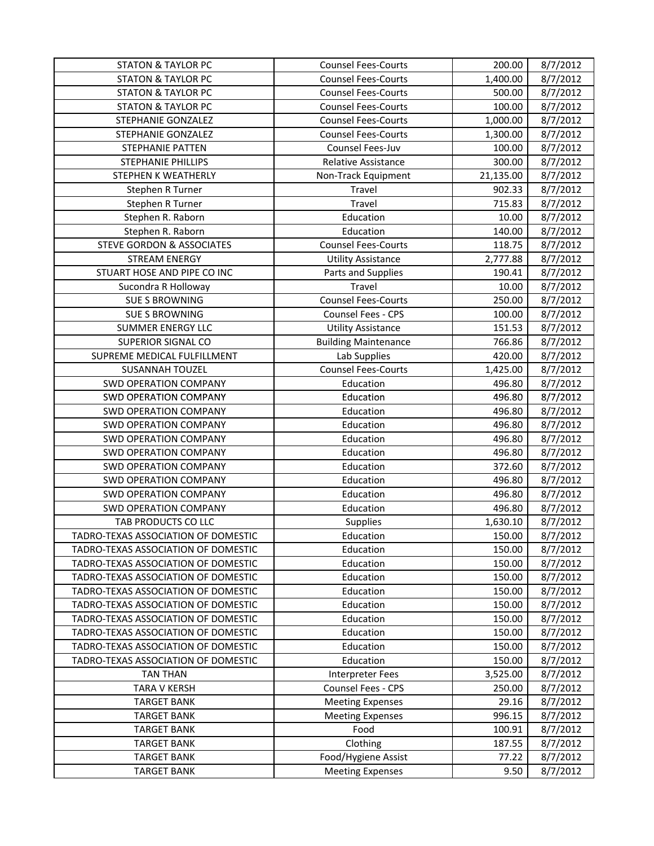| <b>STATON &amp; TAYLOR PC</b>            | <b>Counsel Fees-Courts</b>      | 200.00          | 8/7/2012             |
|------------------------------------------|---------------------------------|-----------------|----------------------|
| <b>STATON &amp; TAYLOR PC</b>            | <b>Counsel Fees-Courts</b>      | 1,400.00        | 8/7/2012             |
| <b>STATON &amp; TAYLOR PC</b>            | <b>Counsel Fees-Courts</b>      | 500.00          | 8/7/2012             |
| <b>STATON &amp; TAYLOR PC</b>            | <b>Counsel Fees-Courts</b>      | 100.00          | 8/7/2012             |
| STEPHANIE GONZALEZ                       | <b>Counsel Fees-Courts</b>      | 1,000.00        | 8/7/2012             |
| STEPHANIE GONZALEZ                       | <b>Counsel Fees-Courts</b>      | 1,300.00        | 8/7/2012             |
| <b>STEPHANIE PATTEN</b>                  | Counsel Fees-Juv                | 100.00          | 8/7/2012             |
| STEPHANIE PHILLIPS                       | <b>Relative Assistance</b>      | 300.00          | 8/7/2012             |
| STEPHEN K WEATHERLY                      | Non-Track Equipment             | 21,135.00       | 8/7/2012             |
| Stephen R Turner                         | Travel                          | 902.33          | 8/7/2012             |
| Stephen R Turner                         | Travel                          | 715.83          | 8/7/2012             |
| Stephen R. Raborn                        | Education                       | 10.00           | 8/7/2012             |
| Stephen R. Raborn                        | Education                       | 140.00          | 8/7/2012             |
| <b>STEVE GORDON &amp; ASSOCIATES</b>     | <b>Counsel Fees-Courts</b>      | 118.75          | 8/7/2012             |
| <b>STREAM ENERGY</b>                     | <b>Utility Assistance</b>       | 2,777.88        | 8/7/2012             |
| STUART HOSE AND PIPE CO INC              | Parts and Supplies              | 190.41          | 8/7/2012             |
| Sucondra R Holloway                      | Travel                          | 10.00           | 8/7/2012             |
| <b>SUE S BROWNING</b>                    | <b>Counsel Fees-Courts</b>      | 250.00          | 8/7/2012             |
| <b>SUE S BROWNING</b>                    | <b>Counsel Fees - CPS</b>       | 100.00          | 8/7/2012             |
| SUMMER ENERGY LLC                        | <b>Utility Assistance</b>       | 151.53          | 8/7/2012             |
| SUPERIOR SIGNAL CO                       | <b>Building Maintenance</b>     | 766.86          | 8/7/2012             |
| SUPREME MEDICAL FULFILLMENT              | Lab Supplies                    | 420.00          | 8/7/2012             |
| SUSANNAH TOUZEL                          | <b>Counsel Fees-Courts</b>      | 1,425.00        | 8/7/2012             |
| <b>SWD OPERATION COMPANY</b>             | Education                       | 496.80          | 8/7/2012             |
| <b>SWD OPERATION COMPANY</b>             | Education                       | 496.80          | 8/7/2012             |
| <b>SWD OPERATION COMPANY</b>             | Education                       | 496.80          | 8/7/2012             |
| <b>SWD OPERATION COMPANY</b>             | Education                       | 496.80          | 8/7/2012             |
| <b>SWD OPERATION COMPANY</b>             | Education                       | 496.80          | 8/7/2012             |
| <b>SWD OPERATION COMPANY</b>             | Education                       | 496.80          | 8/7/2012             |
| <b>SWD OPERATION COMPANY</b>             | Education                       | 372.60          | 8/7/2012             |
| <b>SWD OPERATION COMPANY</b>             | Education                       | 496.80          | 8/7/2012             |
| <b>SWD OPERATION COMPANY</b>             | Education                       | 496.80          | 8/7/2012             |
| <b>SWD OPERATION COMPANY</b>             | Education                       | 496.80          | 8/7/2012             |
| TAB PRODUCTS CO LLC                      | Supplies                        | 1,630.10        | 8/7/2012             |
| TADRO-TEXAS ASSOCIATION OF DOMESTIC      | Education                       | 150.00          | 8/7/2012             |
| TADRO-TEXAS ASSOCIATION OF DOMESTIC      | Education                       | 150.00          | 8/7/2012             |
| TADRO-TEXAS ASSOCIATION OF DOMESTIC      | Education                       | 150.00          | 8/7/2012             |
| TADRO-TEXAS ASSOCIATION OF DOMESTIC      | Education                       | 150.00          | 8/7/2012             |
| TADRO-TEXAS ASSOCIATION OF DOMESTIC      | Education                       | 150.00          | 8/7/2012             |
| TADRO-TEXAS ASSOCIATION OF DOMESTIC      | Education                       | 150.00          | 8/7/2012             |
| TADRO-TEXAS ASSOCIATION OF DOMESTIC      | Education                       | 150.00          | 8/7/2012             |
| TADRO-TEXAS ASSOCIATION OF DOMESTIC      | Education                       | 150.00          | 8/7/2012             |
| TADRO-TEXAS ASSOCIATION OF DOMESTIC      | Education                       | 150.00          | 8/7/2012             |
| TADRO-TEXAS ASSOCIATION OF DOMESTIC      | Education                       | 150.00          | 8/7/2012             |
| <b>TAN THAN</b>                          | <b>Interpreter Fees</b>         | 3,525.00        | 8/7/2012             |
| TARA V KERSH                             | Counsel Fees - CPS              | 250.00          | 8/7/2012             |
| <b>TARGET BANK</b>                       | <b>Meeting Expenses</b>         | 29.16           | 8/7/2012             |
| <b>TARGET BANK</b>                       | <b>Meeting Expenses</b>         | 996.15          | 8/7/2012             |
| <b>TARGET BANK</b>                       | Food                            | 100.91          | 8/7/2012             |
| <b>TARGET BANK</b>                       | Clothing<br>Food/Hygiene Assist | 187.55<br>77.22 | 8/7/2012<br>8/7/2012 |
| <b>TARGET BANK</b><br><b>TARGET BANK</b> |                                 | 9.50            |                      |
|                                          | <b>Meeting Expenses</b>         |                 | 8/7/2012             |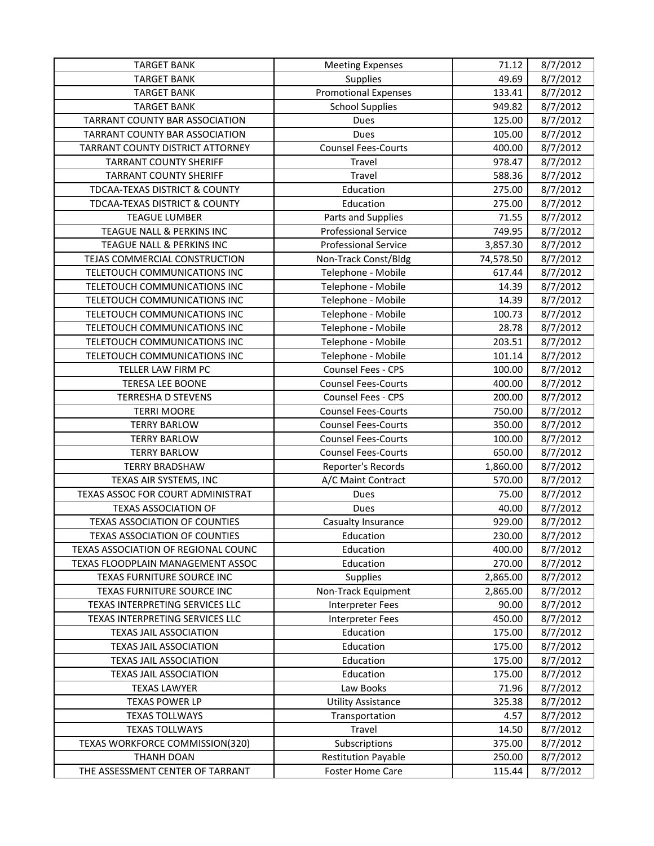| <b>TARGET BANK</b>                   | <b>Meeting Expenses</b>     | 71.12     | 8/7/2012 |
|--------------------------------------|-----------------------------|-----------|----------|
| <b>TARGET BANK</b>                   | Supplies                    | 49.69     | 8/7/2012 |
| <b>TARGET BANK</b>                   | <b>Promotional Expenses</b> | 133.41    | 8/7/2012 |
| <b>TARGET BANK</b>                   | <b>School Supplies</b>      | 949.82    | 8/7/2012 |
| TARRANT COUNTY BAR ASSOCIATION       | Dues                        | 125.00    | 8/7/2012 |
| TARRANT COUNTY BAR ASSOCIATION       | Dues                        | 105.00    | 8/7/2012 |
| TARRANT COUNTY DISTRICT ATTORNEY     | <b>Counsel Fees-Courts</b>  | 400.00    | 8/7/2012 |
| <b>TARRANT COUNTY SHERIFF</b>        | Travel                      | 978.47    | 8/7/2012 |
| <b>TARRANT COUNTY SHERIFF</b>        | Travel                      | 588.36    | 8/7/2012 |
| TDCAA-TEXAS DISTRICT & COUNTY        | Education                   | 275.00    | 8/7/2012 |
| TDCAA-TEXAS DISTRICT & COUNTY        | Education                   | 275.00    | 8/7/2012 |
| <b>TEAGUE LUMBER</b>                 | Parts and Supplies          | 71.55     | 8/7/2012 |
| TEAGUE NALL & PERKINS INC            | <b>Professional Service</b> | 749.95    | 8/7/2012 |
| TEAGUE NALL & PERKINS INC            | <b>Professional Service</b> | 3,857.30  | 8/7/2012 |
| TEJAS COMMERCIAL CONSTRUCTION        | Non-Track Const/Bldg        | 74,578.50 | 8/7/2012 |
| TELETOUCH COMMUNICATIONS INC         | Telephone - Mobile          | 617.44    | 8/7/2012 |
| TELETOUCH COMMUNICATIONS INC         | Telephone - Mobile          | 14.39     | 8/7/2012 |
| TELETOUCH COMMUNICATIONS INC         | Telephone - Mobile          | 14.39     | 8/7/2012 |
| TELETOUCH COMMUNICATIONS INC         | Telephone - Mobile          | 100.73    | 8/7/2012 |
| TELETOUCH COMMUNICATIONS INC         | Telephone - Mobile          | 28.78     | 8/7/2012 |
| TELETOUCH COMMUNICATIONS INC         | Telephone - Mobile          | 203.51    | 8/7/2012 |
| TELETOUCH COMMUNICATIONS INC         | Telephone - Mobile          | 101.14    | 8/7/2012 |
| TELLER LAW FIRM PC                   | Counsel Fees - CPS          | 100.00    | 8/7/2012 |
| <b>TERESA LEE BOONE</b>              | <b>Counsel Fees-Courts</b>  | 400.00    | 8/7/2012 |
| <b>TERRESHA D STEVENS</b>            | Counsel Fees - CPS          | 200.00    | 8/7/2012 |
| <b>TERRI MOORE</b>                   | <b>Counsel Fees-Courts</b>  | 750.00    | 8/7/2012 |
| <b>TERRY BARLOW</b>                  | <b>Counsel Fees-Courts</b>  | 350.00    | 8/7/2012 |
| <b>TERRY BARLOW</b>                  | <b>Counsel Fees-Courts</b>  | 100.00    | 8/7/2012 |
| <b>TERRY BARLOW</b>                  | <b>Counsel Fees-Courts</b>  | 650.00    | 8/7/2012 |
| <b>TERRY BRADSHAW</b>                | Reporter's Records          | 1,860.00  | 8/7/2012 |
| TEXAS AIR SYSTEMS, INC               | A/C Maint Contract          | 570.00    | 8/7/2012 |
| TEXAS ASSOC FOR COURT ADMINISTRAT    | Dues                        | 75.00     | 8/7/2012 |
| <b>TEXAS ASSOCIATION OF</b>          | Dues                        | 40.00     | 8/7/2012 |
| <b>TEXAS ASSOCIATION OF COUNTIES</b> | Casualty Insurance          | 929.00    | 8/7/2012 |
| TEXAS ASSOCIATION OF COUNTIES        | Education                   | 230.00    | 8/7/2012 |
| TEXAS ASSOCIATION OF REGIONAL COUNC  | Education                   | 400.00    | 8/7/2012 |
| TEXAS FLOODPLAIN MANAGEMENT ASSOC    | Education                   | 270.00    | 8/7/2012 |
| TEXAS FURNITURE SOURCE INC           | Supplies                    | 2,865.00  | 8/7/2012 |
| TEXAS FURNITURE SOURCE INC           | Non-Track Equipment         | 2,865.00  | 8/7/2012 |
| TEXAS INTERPRETING SERVICES LLC      | <b>Interpreter Fees</b>     | 90.00     | 8/7/2012 |
| TEXAS INTERPRETING SERVICES LLC      | <b>Interpreter Fees</b>     | 450.00    | 8/7/2012 |
| <b>TEXAS JAIL ASSOCIATION</b>        | Education                   | 175.00    | 8/7/2012 |
| <b>TEXAS JAIL ASSOCIATION</b>        | Education                   | 175.00    | 8/7/2012 |
| <b>TEXAS JAIL ASSOCIATION</b>        | Education                   | 175.00    | 8/7/2012 |
| <b>TEXAS JAIL ASSOCIATION</b>        | Education                   | 175.00    | 8/7/2012 |
| <b>TEXAS LAWYER</b>                  | Law Books                   | 71.96     | 8/7/2012 |
| <b>TEXAS POWER LP</b>                | <b>Utility Assistance</b>   | 325.38    | 8/7/2012 |
| <b>TEXAS TOLLWAYS</b>                | Transportation              | 4.57      | 8/7/2012 |
| <b>TEXAS TOLLWAYS</b>                | Travel                      | 14.50     | 8/7/2012 |
| TEXAS WORKFORCE COMMISSION(320)      | Subscriptions               | 375.00    | 8/7/2012 |
| THANH DOAN                           | <b>Restitution Payable</b>  | 250.00    | 8/7/2012 |
| THE ASSESSMENT CENTER OF TARRANT     | Foster Home Care            | 115.44    | 8/7/2012 |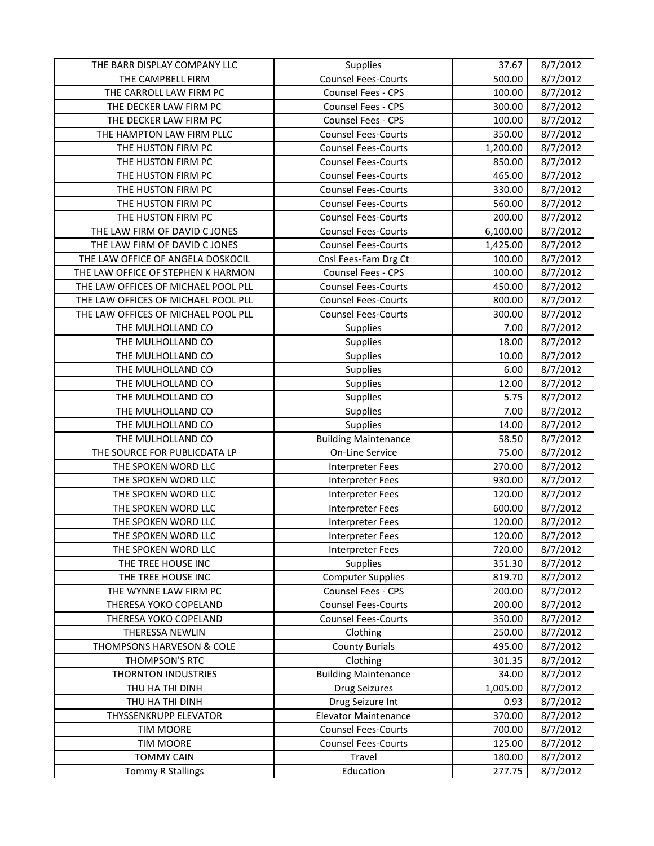| THE BARR DISPLAY COMPANY LLC        | Supplies                    | 37.67    | 8/7/2012 |
|-------------------------------------|-----------------------------|----------|----------|
| THE CAMPBELL FIRM                   | <b>Counsel Fees-Courts</b>  | 500.00   | 8/7/2012 |
| THE CARROLL LAW FIRM PC             | Counsel Fees - CPS          | 100.00   | 8/7/2012 |
| THE DECKER LAW FIRM PC              | Counsel Fees - CPS          | 300.00   | 8/7/2012 |
| THE DECKER LAW FIRM PC              | Counsel Fees - CPS          | 100.00   | 8/7/2012 |
| THE HAMPTON LAW FIRM PLLC           | <b>Counsel Fees-Courts</b>  | 350.00   | 8/7/2012 |
| THE HUSTON FIRM PC                  | <b>Counsel Fees-Courts</b>  | 1,200.00 | 8/7/2012 |
| THE HUSTON FIRM PC                  | <b>Counsel Fees-Courts</b>  | 850.00   | 8/7/2012 |
| THE HUSTON FIRM PC                  | <b>Counsel Fees-Courts</b>  | 465.00   | 8/7/2012 |
| THE HUSTON FIRM PC                  | <b>Counsel Fees-Courts</b>  | 330.00   | 8/7/2012 |
| THE HUSTON FIRM PC                  | <b>Counsel Fees-Courts</b>  | 560.00   | 8/7/2012 |
| THE HUSTON FIRM PC                  | <b>Counsel Fees-Courts</b>  | 200.00   | 8/7/2012 |
| THE LAW FIRM OF DAVID C JONES       | <b>Counsel Fees-Courts</b>  | 6,100.00 | 8/7/2012 |
| THE LAW FIRM OF DAVID C JONES       | <b>Counsel Fees-Courts</b>  | 1,425.00 | 8/7/2012 |
| THE LAW OFFICE OF ANGELA DOSKOCIL   | Cnsl Fees-Fam Drg Ct        | 100.00   | 8/7/2012 |
| THE LAW OFFICE OF STEPHEN K HARMON  | Counsel Fees - CPS          | 100.00   | 8/7/2012 |
| THE LAW OFFICES OF MICHAEL POOL PLL | <b>Counsel Fees-Courts</b>  | 450.00   | 8/7/2012 |
| THE LAW OFFICES OF MICHAEL POOL PLL | <b>Counsel Fees-Courts</b>  | 800.00   | 8/7/2012 |
| THE LAW OFFICES OF MICHAEL POOL PLL | <b>Counsel Fees-Courts</b>  | 300.00   | 8/7/2012 |
| THE MULHOLLAND CO                   | <b>Supplies</b>             | 7.00     | 8/7/2012 |
| THE MULHOLLAND CO                   | Supplies                    | 18.00    | 8/7/2012 |
| THE MULHOLLAND CO                   | Supplies                    | 10.00    | 8/7/2012 |
| THE MULHOLLAND CO                   | Supplies                    | 6.00     | 8/7/2012 |
| THE MULHOLLAND CO                   | Supplies                    | 12.00    | 8/7/2012 |
| THE MULHOLLAND CO                   | <b>Supplies</b>             | 5.75     | 8/7/2012 |
| THE MULHOLLAND CO                   | Supplies                    | 7.00     | 8/7/2012 |
| THE MULHOLLAND CO                   | Supplies                    | 14.00    | 8/7/2012 |
| THE MULHOLLAND CO                   | <b>Building Maintenance</b> | 58.50    | 8/7/2012 |
| THE SOURCE FOR PUBLICDATA LP        | On-Line Service             | 75.00    | 8/7/2012 |
| THE SPOKEN WORD LLC                 | Interpreter Fees            | 270.00   | 8/7/2012 |
| THE SPOKEN WORD LLC                 | <b>Interpreter Fees</b>     | 930.00   | 8/7/2012 |
| THE SPOKEN WORD LLC                 | <b>Interpreter Fees</b>     | 120.00   | 8/7/2012 |
| THE SPOKEN WORD LLC                 | Interpreter Fees            | 600.00   | 8/7/2012 |
| THE SPOKEN WORD LLC                 | <b>Interpreter Fees</b>     | 120.00   | 8/7/2012 |
| THE SPOKEN WORD LLC                 | Interpreter Fees            | 120.00   | 8/7/2012 |
| THE SPOKEN WORD LLC                 | Interpreter Fees            | 720.00   | 8/7/2012 |
| THE TREE HOUSE INC                  | <b>Supplies</b>             | 351.30   | 8/7/2012 |
| THE TREE HOUSE INC                  | <b>Computer Supplies</b>    | 819.70   | 8/7/2012 |
| THE WYNNE LAW FIRM PC               | Counsel Fees - CPS          | 200.00   | 8/7/2012 |
| THERESA YOKO COPELAND               | <b>Counsel Fees-Courts</b>  | 200.00   | 8/7/2012 |
| THERESA YOKO COPELAND               | <b>Counsel Fees-Courts</b>  | 350.00   | 8/7/2012 |
| THERESSA NEWLIN                     | Clothing                    | 250.00   | 8/7/2012 |
| THOMPSONS HARVESON & COLE           | <b>County Burials</b>       | 495.00   | 8/7/2012 |
| THOMPSON'S RTC                      | Clothing                    | 301.35   | 8/7/2012 |
| <b>THORNTON INDUSTRIES</b>          | <b>Building Maintenance</b> | 34.00    | 8/7/2012 |
| THU HA THI DINH                     | <b>Drug Seizures</b>        | 1,005.00 | 8/7/2012 |
| THU HA THI DINH                     | Drug Seizure Int            | 0.93     | 8/7/2012 |
| THYSSENKRUPP ELEVATOR               | <b>Elevator Maintenance</b> | 370.00   | 8/7/2012 |
| <b>TIM MOORE</b>                    | <b>Counsel Fees-Courts</b>  | 700.00   | 8/7/2012 |
| <b>TIM MOORE</b>                    | <b>Counsel Fees-Courts</b>  | 125.00   | 8/7/2012 |
| <b>TOMMY CAIN</b>                   | Travel                      | 180.00   | 8/7/2012 |
| <b>Tommy R Stallings</b>            | Education                   | 277.75   | 8/7/2012 |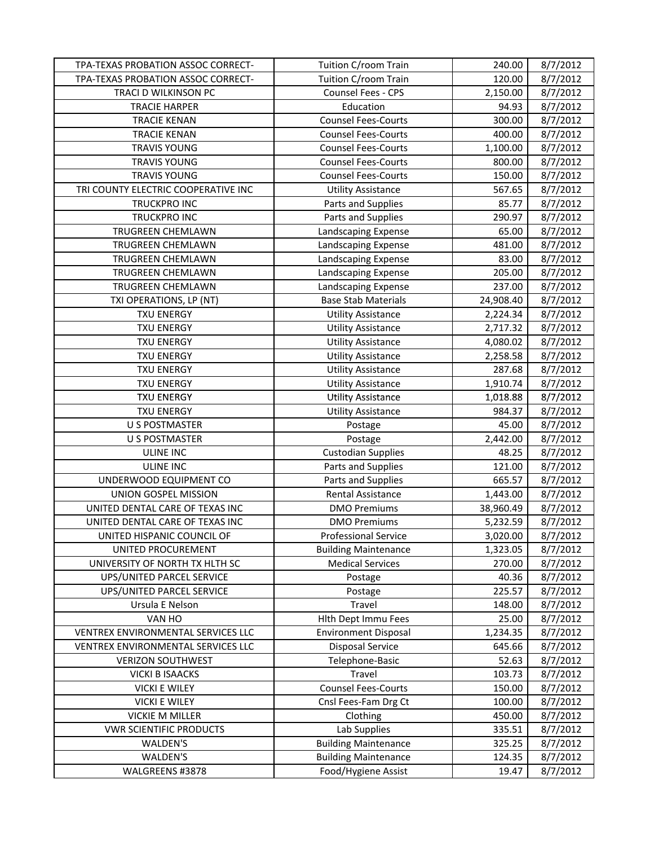| TPA-TEXAS PROBATION ASSOC CORRECT-  | Tuition C/room Train        | 240.00    | 8/7/2012 |
|-------------------------------------|-----------------------------|-----------|----------|
| TPA-TEXAS PROBATION ASSOC CORRECT-  | Tuition C/room Train        | 120.00    | 8/7/2012 |
| TRACI D WILKINSON PC                | Counsel Fees - CPS          | 2,150.00  | 8/7/2012 |
| <b>TRACIE HARPER</b>                | Education                   | 94.93     | 8/7/2012 |
| <b>TRACIE KENAN</b>                 | <b>Counsel Fees-Courts</b>  | 300.00    | 8/7/2012 |
| <b>TRACIE KENAN</b>                 | <b>Counsel Fees-Courts</b>  | 400.00    | 8/7/2012 |
| <b>TRAVIS YOUNG</b>                 | <b>Counsel Fees-Courts</b>  | 1,100.00  | 8/7/2012 |
| <b>TRAVIS YOUNG</b>                 | <b>Counsel Fees-Courts</b>  | 800.00    | 8/7/2012 |
| <b>TRAVIS YOUNG</b>                 | <b>Counsel Fees-Courts</b>  | 150.00    | 8/7/2012 |
| TRI COUNTY ELECTRIC COOPERATIVE INC | <b>Utility Assistance</b>   | 567.65    | 8/7/2012 |
| TRUCKPRO INC                        | Parts and Supplies          | 85.77     | 8/7/2012 |
| <b>TRUCKPRO INC</b>                 | Parts and Supplies          | 290.97    | 8/7/2012 |
| TRUGREEN CHEMLAWN                   | Landscaping Expense         | 65.00     | 8/7/2012 |
| TRUGREEN CHEMLAWN                   | Landscaping Expense         | 481.00    | 8/7/2012 |
| TRUGREEN CHEMLAWN                   | Landscaping Expense         | 83.00     | 8/7/2012 |
| TRUGREEN CHEMLAWN                   | Landscaping Expense         | 205.00    | 8/7/2012 |
| TRUGREEN CHEMLAWN                   | Landscaping Expense         | 237.00    | 8/7/2012 |
| TXI OPERATIONS, LP (NT)             | <b>Base Stab Materials</b>  | 24,908.40 | 8/7/2012 |
| <b>TXU ENERGY</b>                   | <b>Utility Assistance</b>   | 2,224.34  | 8/7/2012 |
| <b>TXU ENERGY</b>                   | <b>Utility Assistance</b>   | 2,717.32  | 8/7/2012 |
| <b>TXU ENERGY</b>                   | <b>Utility Assistance</b>   | 4,080.02  | 8/7/2012 |
| <b>TXU ENERGY</b>                   | <b>Utility Assistance</b>   | 2,258.58  | 8/7/2012 |
| <b>TXU ENERGY</b>                   | <b>Utility Assistance</b>   | 287.68    | 8/7/2012 |
| <b>TXU ENERGY</b>                   | <b>Utility Assistance</b>   | 1,910.74  | 8/7/2012 |
| <b>TXU ENERGY</b>                   | <b>Utility Assistance</b>   | 1,018.88  | 8/7/2012 |
| <b>TXU ENERGY</b>                   | <b>Utility Assistance</b>   | 984.37    | 8/7/2012 |
| <b>U S POSTMASTER</b>               | Postage                     | 45.00     | 8/7/2012 |
| <b>U S POSTMASTER</b>               | Postage                     | 2,442.00  | 8/7/2012 |
| <b>ULINE INC</b>                    | <b>Custodian Supplies</b>   | 48.25     | 8/7/2012 |
| ULINE INC                           | Parts and Supplies          | 121.00    | 8/7/2012 |
| UNDERWOOD EQUIPMENT CO              | Parts and Supplies          | 665.57    | 8/7/2012 |
| UNION GOSPEL MISSION                | Rental Assistance           | 1,443.00  | 8/7/2012 |
| UNITED DENTAL CARE OF TEXAS INC     | <b>DMO Premiums</b>         | 38,960.49 | 8/7/2012 |
| UNITED DENTAL CARE OF TEXAS INC     | <b>DMO Premiums</b>         | 5,232.59  | 8/7/2012 |
| UNITED HISPANIC COUNCIL OF          | <b>Professional Service</b> | 3,020.00  | 8/7/2012 |
| UNITED PROCUREMENT                  | <b>Building Maintenance</b> | 1,323.05  | 8/7/2012 |
| UNIVERSITY OF NORTH TX HLTH SC      | <b>Medical Services</b>     | 270.00    | 8/7/2012 |
| UPS/UNITED PARCEL SERVICE           | Postage                     | 40.36     | 8/7/2012 |
| UPS/UNITED PARCEL SERVICE           | Postage                     | 225.57    | 8/7/2012 |
| Ursula E Nelson                     | Travel                      | 148.00    | 8/7/2012 |
| VAN HO                              | Hlth Dept Immu Fees         | 25.00     | 8/7/2012 |
| VENTREX ENVIRONMENTAL SERVICES LLC  | <b>Environment Disposal</b> | 1,234.35  | 8/7/2012 |
| VENTREX ENVIRONMENTAL SERVICES LLC  | <b>Disposal Service</b>     | 645.66    | 8/7/2012 |
| <b>VERIZON SOUTHWEST</b>            | Telephone-Basic             | 52.63     | 8/7/2012 |
| <b>VICKI B ISAACKS</b>              | Travel                      | 103.73    | 8/7/2012 |
| <b>VICKI E WILEY</b>                | <b>Counsel Fees-Courts</b>  | 150.00    | 8/7/2012 |
| <b>VICKI E WILEY</b>                | Cnsl Fees-Fam Drg Ct        | 100.00    | 8/7/2012 |
| <b>VICKIE M MILLER</b>              | Clothing                    | 450.00    | 8/7/2012 |
| <b>VWR SCIENTIFIC PRODUCTS</b>      | Lab Supplies                | 335.51    | 8/7/2012 |
| WALDEN'S                            | <b>Building Maintenance</b> | 325.25    | 8/7/2012 |
| WALDEN'S                            | <b>Building Maintenance</b> | 124.35    | 8/7/2012 |
| WALGREENS #3878                     | Food/Hygiene Assist         | 19.47     | 8/7/2012 |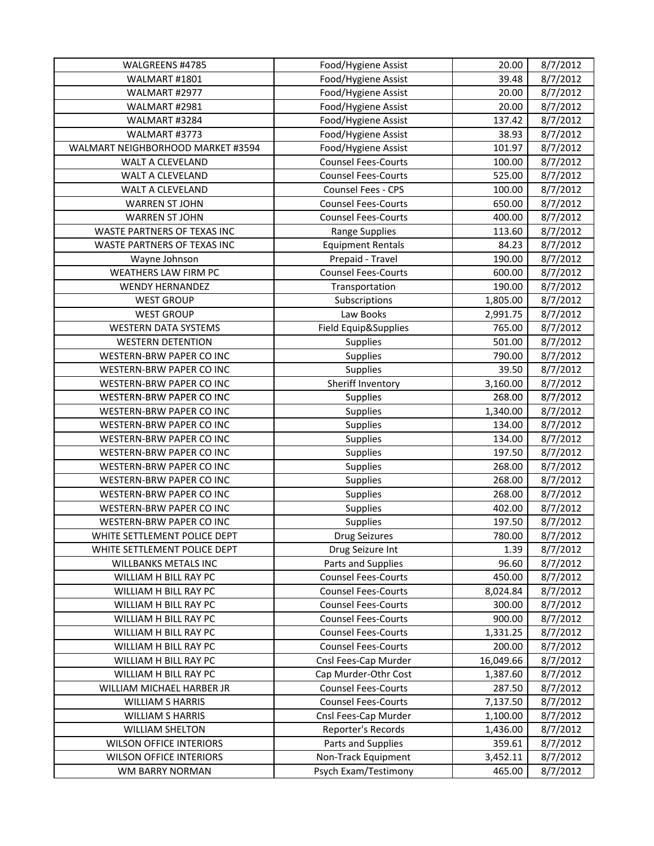| WALGREENS #4785                   | Food/Hygiene Assist        | 20.00     | 8/7/2012 |
|-----------------------------------|----------------------------|-----------|----------|
| WALMART #1801                     | Food/Hygiene Assist        | 39.48     | 8/7/2012 |
| WALMART #2977                     | Food/Hygiene Assist        | 20.00     | 8/7/2012 |
| WALMART #2981                     | Food/Hygiene Assist        | 20.00     | 8/7/2012 |
| WALMART #3284                     | Food/Hygiene Assist        | 137.42    | 8/7/2012 |
| WALMART #3773                     | Food/Hygiene Assist        | 38.93     | 8/7/2012 |
| WALMART NEIGHBORHOOD MARKET #3594 | Food/Hygiene Assist        | 101.97    | 8/7/2012 |
| WALT A CLEVELAND                  | <b>Counsel Fees-Courts</b> | 100.00    | 8/7/2012 |
| WALT A CLEVELAND                  | <b>Counsel Fees-Courts</b> | 525.00    | 8/7/2012 |
| WALT A CLEVELAND                  | Counsel Fees - CPS         | 100.00    | 8/7/2012 |
| <b>WARREN ST JOHN</b>             | <b>Counsel Fees-Courts</b> | 650.00    | 8/7/2012 |
| <b>WARREN ST JOHN</b>             | <b>Counsel Fees-Courts</b> | 400.00    | 8/7/2012 |
| WASTE PARTNERS OF TEXAS INC       | <b>Range Supplies</b>      | 113.60    | 8/7/2012 |
| WASTE PARTNERS OF TEXAS INC       | <b>Equipment Rentals</b>   | 84.23     | 8/7/2012 |
| Wayne Johnson                     | Prepaid - Travel           | 190.00    | 8/7/2012 |
| WEATHERS LAW FIRM PC              | <b>Counsel Fees-Courts</b> | 600.00    | 8/7/2012 |
| <b>WENDY HERNANDEZ</b>            | Transportation             | 190.00    | 8/7/2012 |
| <b>WEST GROUP</b>                 | Subscriptions              | 1,805.00  | 8/7/2012 |
| <b>WEST GROUP</b>                 | Law Books                  | 2,991.75  | 8/7/2012 |
| <b>WESTERN DATA SYSTEMS</b>       | Field Equip&Supplies       | 765.00    | 8/7/2012 |
| <b>WESTERN DETENTION</b>          | Supplies                   | 501.00    | 8/7/2012 |
| WESTERN-BRW PAPER CO INC          | Supplies                   | 790.00    | 8/7/2012 |
| WESTERN-BRW PAPER CO INC          | Supplies                   | 39.50     | 8/7/2012 |
| WESTERN-BRW PAPER CO INC          | Sheriff Inventory          | 3,160.00  | 8/7/2012 |
| WESTERN-BRW PAPER CO INC          | <b>Supplies</b>            | 268.00    | 8/7/2012 |
| WESTERN-BRW PAPER CO INC          | Supplies                   | 1,340.00  | 8/7/2012 |
| WESTERN-BRW PAPER CO INC          | Supplies                   | 134.00    | 8/7/2012 |
| WESTERN-BRW PAPER CO INC          | Supplies                   | 134.00    | 8/7/2012 |
| WESTERN-BRW PAPER CO INC          | Supplies                   | 197.50    | 8/7/2012 |
| WESTERN-BRW PAPER CO INC          | Supplies                   | 268.00    | 8/7/2012 |
| WESTERN-BRW PAPER CO INC          | Supplies                   | 268.00    | 8/7/2012 |
| WESTERN-BRW PAPER CO INC          | Supplies                   | 268.00    | 8/7/2012 |
| WESTERN-BRW PAPER CO INC          | Supplies                   | 402.00    | 8/7/2012 |
| WESTERN-BRW PAPER CO INC          | Supplies                   | 197.50    | 8/7/2012 |
| WHITE SETTLEMENT POLICE DEPT      | <b>Drug Seizures</b>       | 780.00    | 8/7/2012 |
| WHITE SETTLEMENT POLICE DEPT      | Drug Seizure Int           | 1.39      | 8/7/2012 |
| WILLBANKS METALS INC              | Parts and Supplies         | 96.60     | 8/7/2012 |
| WILLIAM H BILL RAY PC             | <b>Counsel Fees-Courts</b> | 450.00    | 8/7/2012 |
| WILLIAM H BILL RAY PC             | <b>Counsel Fees-Courts</b> | 8,024.84  | 8/7/2012 |
| WILLIAM H BILL RAY PC             | <b>Counsel Fees-Courts</b> | 300.00    | 8/7/2012 |
| WILLIAM H BILL RAY PC             | <b>Counsel Fees-Courts</b> | 900.00    | 8/7/2012 |
| WILLIAM H BILL RAY PC             | <b>Counsel Fees-Courts</b> | 1,331.25  | 8/7/2012 |
| WILLIAM H BILL RAY PC             | <b>Counsel Fees-Courts</b> | 200.00    | 8/7/2012 |
| WILLIAM H BILL RAY PC             | Cnsl Fees-Cap Murder       | 16,049.66 | 8/7/2012 |
| WILLIAM H BILL RAY PC             | Cap Murder-Othr Cost       | 1,387.60  | 8/7/2012 |
| WILLIAM MICHAEL HARBER JR         | <b>Counsel Fees-Courts</b> | 287.50    | 8/7/2012 |
| <b>WILLIAM S HARRIS</b>           | <b>Counsel Fees-Courts</b> | 7,137.50  | 8/7/2012 |
| <b>WILLIAM S HARRIS</b>           | Cnsl Fees-Cap Murder       | 1,100.00  | 8/7/2012 |
| <b>WILLIAM SHELTON</b>            | Reporter's Records         | 1,436.00  | 8/7/2012 |
| <b>WILSON OFFICE INTERIORS</b>    | Parts and Supplies         | 359.61    | 8/7/2012 |
| <b>WILSON OFFICE INTERIORS</b>    | Non-Track Equipment        | 3,452.11  | 8/7/2012 |
| WM BARRY NORMAN                   | Psych Exam/Testimony       | 465.00    | 8/7/2012 |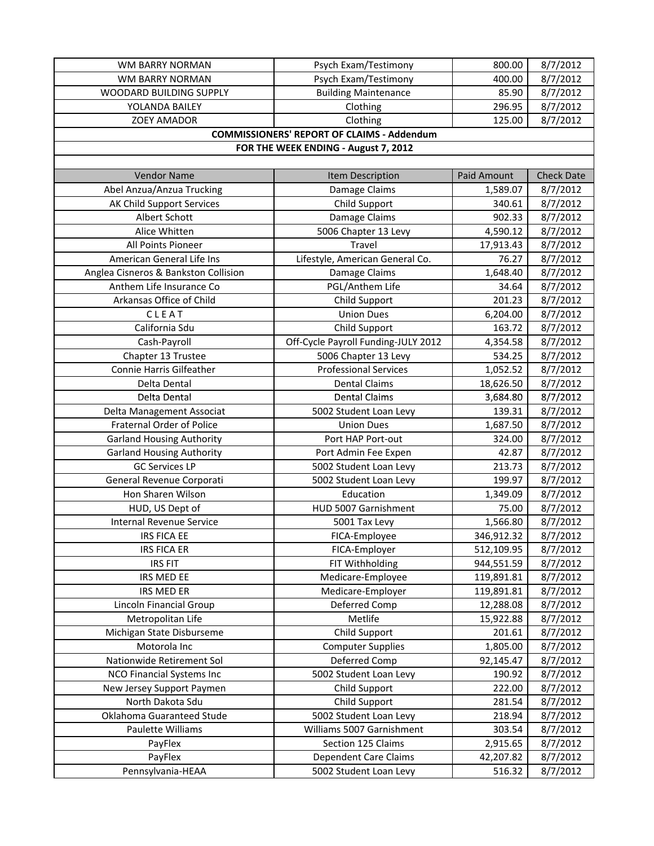| WM BARRY NORMAN                      | Psych Exam/Testimony                              | 800.00             | 8/7/2012          |
|--------------------------------------|---------------------------------------------------|--------------------|-------------------|
| WM BARRY NORMAN                      | Psych Exam/Testimony                              | 400.00             | 8/7/2012          |
| WOODARD BUILDING SUPPLY              | <b>Building Maintenance</b>                       | 85.90              | 8/7/2012          |
| YOLANDA BAILEY                       | Clothing                                          | 296.95             | 8/7/2012          |
| <b>ZOEY AMADOR</b>                   | Clothing                                          | 125.00             | 8/7/2012          |
|                                      | <b>COMMISSIONERS' REPORT OF CLAIMS - Addendum</b> |                    |                   |
|                                      | FOR THE WEEK ENDING - August 7, 2012              |                    |                   |
|                                      |                                                   |                    |                   |
| <b>Vendor Name</b>                   | Item Description                                  | <b>Paid Amount</b> | <b>Check Date</b> |
| Abel Anzua/Anzua Trucking            | Damage Claims                                     | 1,589.07           | 8/7/2012          |
| AK Child Support Services            | Child Support                                     | 340.61             | 8/7/2012          |
| Albert Schott                        | Damage Claims                                     | 902.33             | 8/7/2012          |
| Alice Whitten                        | 5006 Chapter 13 Levy                              | 4,590.12           | 8/7/2012          |
| All Points Pioneer                   | Travel                                            | 17,913.43          | 8/7/2012          |
| American General Life Ins            | Lifestyle, American General Co.                   | 76.27              | 8/7/2012          |
| Anglea Cisneros & Bankston Collision | Damage Claims                                     | 1,648.40           | 8/7/2012          |
| Anthem Life Insurance Co             | PGL/Anthem Life                                   | 34.64              | 8/7/2012          |
| Arkansas Office of Child             | Child Support                                     | 201.23             | 8/7/2012          |
| CLEAT                                | <b>Union Dues</b>                                 | 6,204.00           | 8/7/2012          |
| California Sdu                       |                                                   |                    |                   |
|                                      | Child Support                                     | 163.72             | 8/7/2012          |
| Cash-Payroll                         | Off-Cycle Payroll Funding-JULY 2012               | 4,354.58           | 8/7/2012          |
| Chapter 13 Trustee                   | 5006 Chapter 13 Levy                              | 534.25             | 8/7/2012          |
| Connie Harris Gilfeather             | <b>Professional Services</b>                      | 1,052.52           | 8/7/2012          |
| Delta Dental                         | <b>Dental Claims</b>                              | 18,626.50          | 8/7/2012          |
| Delta Dental                         | <b>Dental Claims</b>                              | 3,684.80           | 8/7/2012          |
| Delta Management Associat            | 5002 Student Loan Levy                            | 139.31             | 8/7/2012          |
| <b>Fraternal Order of Police</b>     | <b>Union Dues</b>                                 | 1,687.50           | 8/7/2012          |
| <b>Garland Housing Authority</b>     | Port HAP Port-out                                 | 324.00             | 8/7/2012          |
| <b>Garland Housing Authority</b>     | Port Admin Fee Expen                              | 42.87              | 8/7/2012          |
| <b>GC Services LP</b>                | 5002 Student Loan Levy                            | 213.73             | 8/7/2012          |
| General Revenue Corporati            | 5002 Student Loan Levy                            | 199.97             | 8/7/2012          |
| Hon Sharen Wilson                    | Education                                         | 1,349.09           | 8/7/2012          |
| HUD, US Dept of                      | HUD 5007 Garnishment                              | 75.00              | 8/7/2012          |
| <b>Internal Revenue Service</b>      | 5001 Tax Levy                                     | 1,566.80           | 8/7/2012          |
| <b>IRS FICA EE</b>                   | FICA-Employee                                     | 346,912.32         | 8/7/2012          |
| <b>IRS FICA ER</b>                   | FICA-Employer                                     | 512,109.95         | 8/7/2012          |
| <b>IRS FIT</b>                       | FIT Withholding                                   | 944,551.59         | 8/7/2012          |
| IRS MED EE                           | Medicare-Employee                                 | 119,891.81         | 8/7/2012          |
| IRS MED ER                           | Medicare-Employer                                 | 119,891.81         | 8/7/2012          |
| Lincoln Financial Group              | Deferred Comp                                     | 12,288.08          | 8/7/2012          |
| Metropolitan Life                    | Metlife                                           | 15,922.88          | 8/7/2012          |
| Michigan State Disburseme            | Child Support                                     | 201.61             | 8/7/2012          |
| Motorola Inc                         | <b>Computer Supplies</b>                          | 1,805.00           | 8/7/2012          |
| Nationwide Retirement Sol            | Deferred Comp                                     | 92,145.47          | 8/7/2012          |
| NCO Financial Systems Inc            | 5002 Student Loan Levy                            | 190.92             | 8/7/2012          |
| New Jersey Support Paymen            | Child Support                                     | 222.00             | 8/7/2012          |
| North Dakota Sdu                     | Child Support                                     | 281.54             | 8/7/2012          |
| Oklahoma Guaranteed Stude            | 5002 Student Loan Levy                            | 218.94             | 8/7/2012          |
| Paulette Williams                    | Williams 5007 Garnishment                         | 303.54             | 8/7/2012          |
| PayFlex                              | Section 125 Claims                                | 2,915.65           | 8/7/2012          |
| PayFlex                              | Dependent Care Claims                             | 42,207.82          | 8/7/2012          |
| Pennsylvania-HEAA                    | 5002 Student Loan Levy                            | 516.32             | 8/7/2012          |